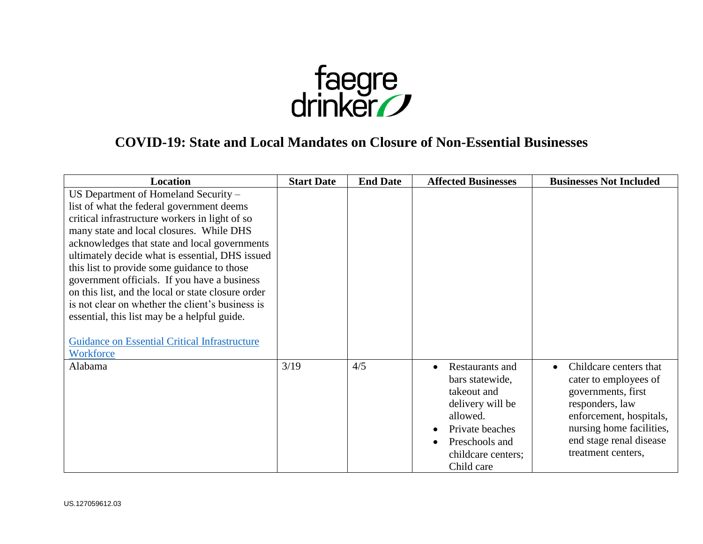

## **COVID-19: State and Local Mandates on Closure of Non-Essential Businesses**

| <b>Location</b>                                                                                                                                                                                                                                                                                                                                                                                                                                                                                                                                                                                                   | <b>Start Date</b> | <b>End Date</b> | <b>Affected Businesses</b>                                                                                                                                              | <b>Businesses Not Included</b>                                                                                                                                                                   |
|-------------------------------------------------------------------------------------------------------------------------------------------------------------------------------------------------------------------------------------------------------------------------------------------------------------------------------------------------------------------------------------------------------------------------------------------------------------------------------------------------------------------------------------------------------------------------------------------------------------------|-------------------|-----------------|-------------------------------------------------------------------------------------------------------------------------------------------------------------------------|--------------------------------------------------------------------------------------------------------------------------------------------------------------------------------------------------|
| US Department of Homeland Security -<br>list of what the federal government deems<br>critical infrastructure workers in light of so<br>many state and local closures. While DHS<br>acknowledges that state and local governments<br>ultimately decide what is essential, DHS issued<br>this list to provide some guidance to those<br>government officials. If you have a business<br>on this list, and the local or state closure order<br>is not clear on whether the client's business is<br>essential, this list may be a helpful guide.<br><b>Guidance on Essential Critical Infrastructure</b><br>Workforce |                   |                 |                                                                                                                                                                         |                                                                                                                                                                                                  |
| Alabama                                                                                                                                                                                                                                                                                                                                                                                                                                                                                                                                                                                                           | 3/19              | 4/5             | Restaurants and<br>$\bullet$<br>bars statewide,<br>takeout and<br>delivery will be<br>allowed.<br>Private beaches<br>Preschools and<br>childcare centers;<br>Child care | Childcare centers that<br>cater to employees of<br>governments, first<br>responders, law<br>enforcement, hospitals,<br>nursing home facilities,<br>end stage renal disease<br>treatment centers, |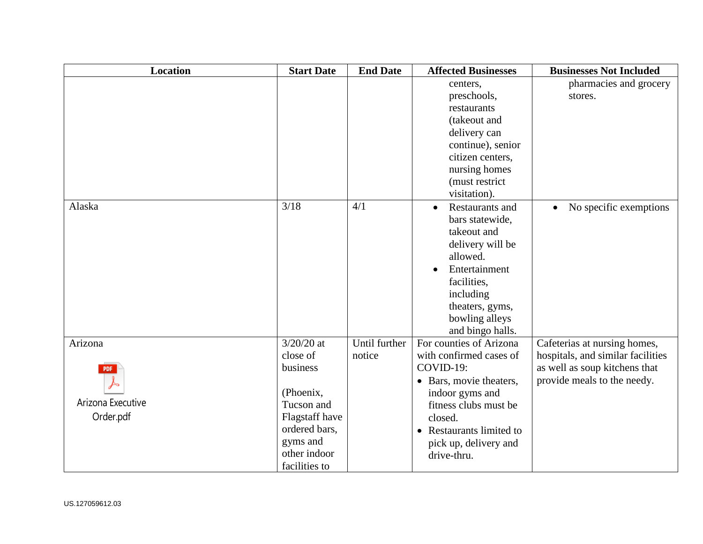| <b>Location</b>   | <b>Start Date</b> | <b>End Date</b> | <b>Affected Businesses</b>   | <b>Businesses Not Included</b>      |
|-------------------|-------------------|-----------------|------------------------------|-------------------------------------|
|                   |                   |                 | centers,                     | pharmacies and grocery              |
|                   |                   |                 | preschools,                  | stores.                             |
|                   |                   |                 | restaurants                  |                                     |
|                   |                   |                 | (takeout and                 |                                     |
|                   |                   |                 | delivery can                 |                                     |
|                   |                   |                 | continue), senior            |                                     |
|                   |                   |                 | citizen centers,             |                                     |
|                   |                   |                 | nursing homes                |                                     |
|                   |                   |                 | (must restrict               |                                     |
|                   |                   |                 | visitation).                 |                                     |
| Alaska            | 3/18              | 4/1             | Restaurants and<br>$\bullet$ | No specific exemptions<br>$\bullet$ |
|                   |                   |                 | bars statewide,              |                                     |
|                   |                   |                 | takeout and                  |                                     |
|                   |                   |                 | delivery will be             |                                     |
|                   |                   |                 | allowed.                     |                                     |
|                   |                   |                 | Entertainment                |                                     |
|                   |                   |                 | facilities,                  |                                     |
|                   |                   |                 | including                    |                                     |
|                   |                   |                 | theaters, gyms,              |                                     |
|                   |                   |                 | bowling alleys               |                                     |
|                   |                   |                 | and bingo halls.             |                                     |
| Arizona           | $3/20/20$ at      | Until further   | For counties of Arizona      | Cafeterias at nursing homes,        |
|                   | close of          | notice          | with confirmed cases of      | hospitals, and similar facilities   |
|                   | business          |                 | COVID-19:                    | as well as soup kitchens that       |
|                   |                   |                 | • Bars, movie theaters,      | provide meals to the needy.         |
|                   | (Phoenix,         |                 | indoor gyms and              |                                     |
| Arizona Executive | Tucson and        |                 | fitness clubs must be        |                                     |
| Order.pdf         | Flagstaff have    |                 | closed.                      |                                     |
|                   | ordered bars,     |                 | • Restaurants limited to     |                                     |
|                   | gyms and          |                 | pick up, delivery and        |                                     |
|                   | other indoor      |                 | drive-thru.                  |                                     |
|                   | facilities to     |                 |                              |                                     |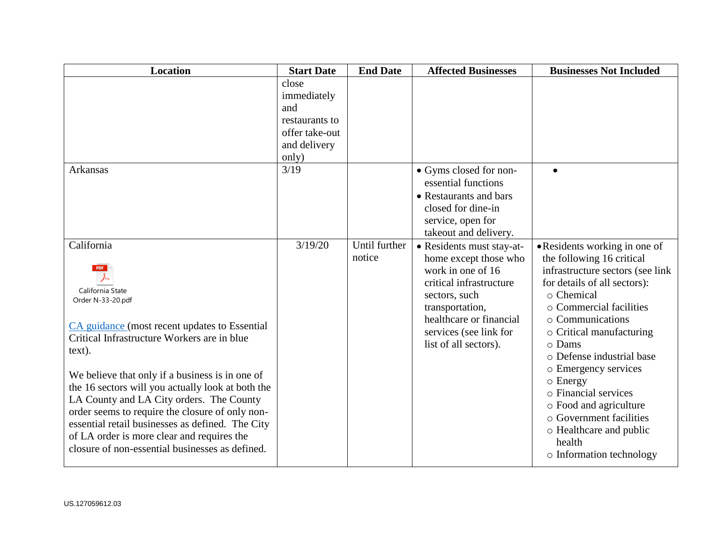| <b>Location</b>                                                                                                                                                                                                                                                                                                                                                                                                                                                                                                                  | <b>Start Date</b>                                                                        | <b>End Date</b>         | <b>Affected Businesses</b>                                                                                                                                                                                           | <b>Businesses Not Included</b>                                                                                                                                                                                                                                                                                                                                                                                                                         |
|----------------------------------------------------------------------------------------------------------------------------------------------------------------------------------------------------------------------------------------------------------------------------------------------------------------------------------------------------------------------------------------------------------------------------------------------------------------------------------------------------------------------------------|------------------------------------------------------------------------------------------|-------------------------|----------------------------------------------------------------------------------------------------------------------------------------------------------------------------------------------------------------------|--------------------------------------------------------------------------------------------------------------------------------------------------------------------------------------------------------------------------------------------------------------------------------------------------------------------------------------------------------------------------------------------------------------------------------------------------------|
|                                                                                                                                                                                                                                                                                                                                                                                                                                                                                                                                  | close<br>immediately<br>and<br>restaurants to<br>offer take-out<br>and delivery<br>only) |                         |                                                                                                                                                                                                                      |                                                                                                                                                                                                                                                                                                                                                                                                                                                        |
| Arkansas                                                                                                                                                                                                                                                                                                                                                                                                                                                                                                                         | 3/19                                                                                     |                         | • Gyms closed for non-<br>essential functions<br>• Restaurants and bars<br>closed for dine-in<br>service, open for<br>takeout and delivery.                                                                          |                                                                                                                                                                                                                                                                                                                                                                                                                                                        |
| California<br>PDF<br>California State<br>Order N-33-20.pdf<br>CA guidance (most recent updates to Essential<br>Critical Infrastructure Workers are in blue<br>text).<br>We believe that only if a business is in one of<br>the 16 sectors will you actually look at both the<br>LA County and LA City orders. The County<br>order seems to require the closure of only non-<br>essential retail businesses as defined. The City<br>of LA order is more clear and requires the<br>closure of non-essential businesses as defined. | 3/19/20                                                                                  | Until further<br>notice | • Residents must stay-at-<br>home except those who<br>work in one of 16<br>critical infrastructure<br>sectors, such<br>transportation,<br>healthcare or financial<br>services (see link for<br>list of all sectors). | • Residents working in one of<br>the following 16 critical<br>infrastructure sectors (see link<br>for details of all sectors):<br>o Chemical<br>○ Commercial facilities<br>○ Communications<br>o Critical manufacturing<br>o Dams<br>o Defense industrial base<br>o Emergency services<br>$\circ$ Energy<br>o Financial services<br>o Food and agriculture<br>o Government facilities<br>o Healthcare and public<br>health<br>o Information technology |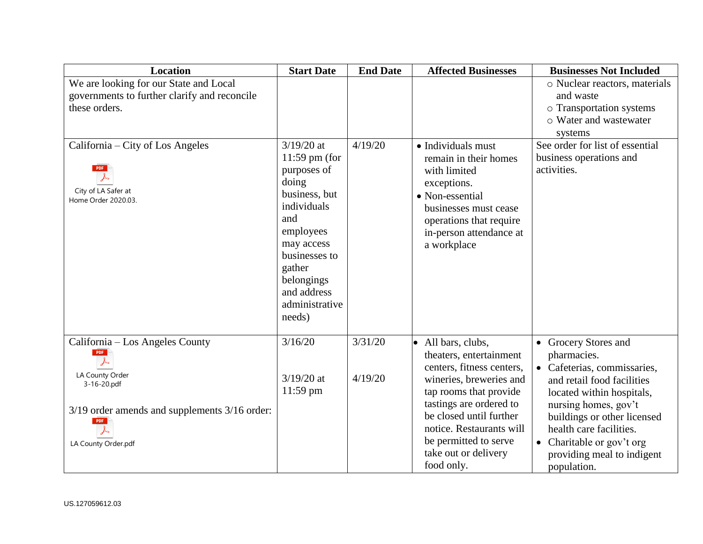| Location                                                                                                                          | <b>Start Date</b>                                                                                                                                                                                             | <b>End Date</b> | <b>Affected Businesses</b>                                                                                                                                                                                                                                 | <b>Businesses Not Included</b>                                                                                                                                                                                                                                  |
|-----------------------------------------------------------------------------------------------------------------------------------|---------------------------------------------------------------------------------------------------------------------------------------------------------------------------------------------------------------|-----------------|------------------------------------------------------------------------------------------------------------------------------------------------------------------------------------------------------------------------------------------------------------|-----------------------------------------------------------------------------------------------------------------------------------------------------------------------------------------------------------------------------------------------------------------|
| We are looking for our State and Local                                                                                            |                                                                                                                                                                                                               |                 |                                                                                                                                                                                                                                                            | o Nuclear reactors, materials                                                                                                                                                                                                                                   |
| governments to further clarify and reconcile                                                                                      |                                                                                                                                                                                                               |                 |                                                                                                                                                                                                                                                            | and waste                                                                                                                                                                                                                                                       |
| these orders.                                                                                                                     |                                                                                                                                                                                                               |                 |                                                                                                                                                                                                                                                            | o Transportation systems                                                                                                                                                                                                                                        |
|                                                                                                                                   |                                                                                                                                                                                                               |                 |                                                                                                                                                                                                                                                            | o Water and wastewater                                                                                                                                                                                                                                          |
|                                                                                                                                   |                                                                                                                                                                                                               |                 |                                                                                                                                                                                                                                                            | systems                                                                                                                                                                                                                                                         |
| California – City of Los Angeles<br><b>PDF</b><br>City of LA Safer at<br>Home Order 2020.03.                                      | $3/19/20$ at<br>$11:59$ pm (for<br>purposes of<br>doing<br>business, but<br>individuals<br>and<br>employees<br>may access<br>businesses to<br>gather<br>belongings<br>and address<br>administrative<br>needs) | 4/19/20         | $\bullet$ Individuals must<br>remain in their homes<br>with limited<br>exceptions.<br>• Non-essential<br>businesses must cease<br>operations that require<br>in-person attendance at<br>a workplace                                                        | See order for list of essential<br>business operations and<br>activities.                                                                                                                                                                                       |
| California - Los Angeles County                                                                                                   | 3/16/20                                                                                                                                                                                                       | 3/31/20         | All bars, clubs,                                                                                                                                                                                                                                           | • Grocery Stores and                                                                                                                                                                                                                                            |
| PDF<br>LA County Order<br>3-16-20.pdf<br>3/19 order amends and supplements 3/16 order:<br>PDF<br>$\lambda$<br>LA County Order.pdf | $3/19/20$ at<br>$11:59$ pm                                                                                                                                                                                    | 4/19/20         | theaters, entertainment<br>centers, fitness centers,<br>wineries, breweries and<br>tap rooms that provide<br>tastings are ordered to<br>be closed until further<br>notice. Restaurants will<br>be permitted to serve<br>take out or delivery<br>food only. | pharmacies.<br>• Cafeterias, commissaries,<br>and retail food facilities<br>located within hospitals,<br>nursing homes, gov't<br>buildings or other licensed<br>health care facilities.<br>Charitable or gov't org<br>providing meal to indigent<br>population. |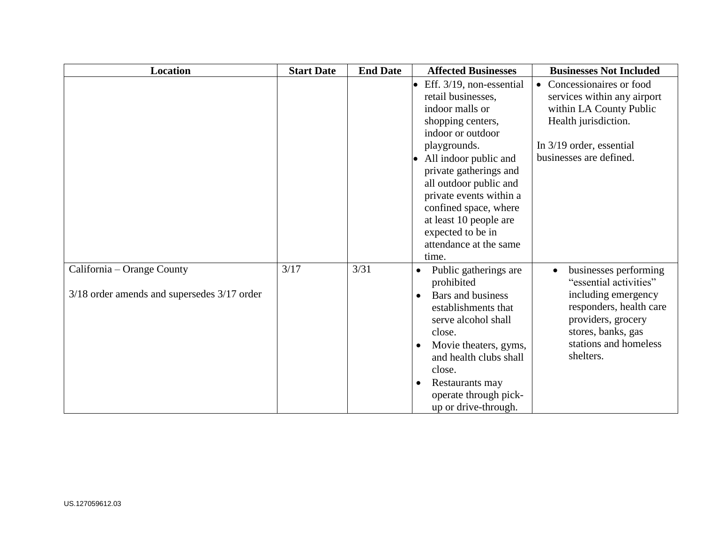| Location                                                                  | <b>Start Date</b> | <b>End Date</b> | <b>Affected Businesses</b>                                                                                                                                                                                                                                                                                                                                  | <b>Businesses Not Included</b>                                                                                                                                                                   |
|---------------------------------------------------------------------------|-------------------|-----------------|-------------------------------------------------------------------------------------------------------------------------------------------------------------------------------------------------------------------------------------------------------------------------------------------------------------------------------------------------------------|--------------------------------------------------------------------------------------------------------------------------------------------------------------------------------------------------|
|                                                                           |                   |                 | Eff. 3/19, non-essential<br>$\bullet$<br>retail businesses.<br>indoor malls or<br>shopping centers,<br>indoor or outdoor<br>playgrounds.<br>All indoor public and<br>private gatherings and<br>all outdoor public and<br>private events within a<br>confined space, where<br>at least 10 people are<br>expected to be in<br>attendance at the same<br>time. | Concessionaires or food<br>$\bullet$<br>services within any airport<br>within LA County Public<br>Health jurisdiction.<br>In 3/19 order, essential<br>businesses are defined.                    |
| California – Orange County<br>3/18 order amends and supersedes 3/17 order | 3/17              | 3/31            | Public gatherings are<br>prohibited<br>Bars and business<br>establishments that<br>serve alcohol shall<br>close.<br>Movie theaters, gyms,<br>and health clubs shall<br>close.<br>Restaurants may<br>operate through pick-<br>up or drive-through.                                                                                                           | businesses performing<br>$\bullet$<br>"essential activities"<br>including emergency<br>responders, health care<br>providers, grocery<br>stores, banks, gas<br>stations and homeless<br>shelters. |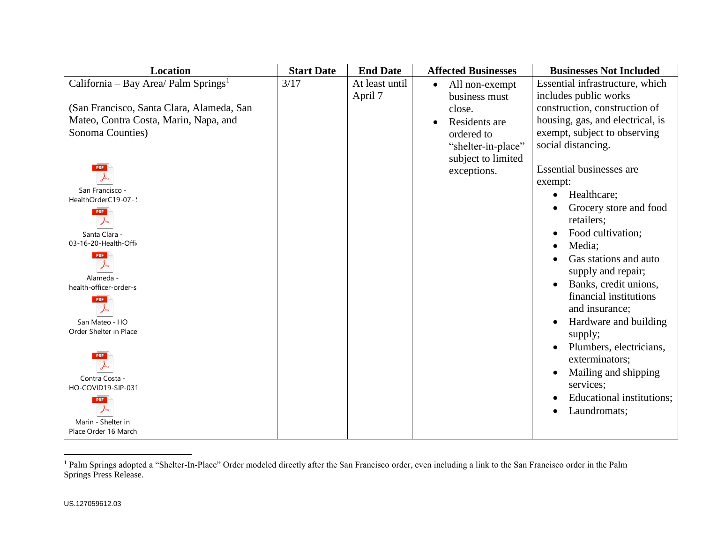| <b>Location</b>                                  | <b>Start Date</b> | <b>End Date</b> | <b>Affected Businesses</b>  | <b>Businesses Not Included</b>     |
|--------------------------------------------------|-------------------|-----------------|-----------------------------|------------------------------------|
| California - Bay Area/ Palm Springs <sup>1</sup> | 3/17              | At least until  | All non-exempt<br>$\bullet$ | Essential infrastructure, which    |
|                                                  |                   | April 7         | business must               | includes public works              |
| (San Francisco, Santa Clara, Alameda, San        |                   |                 | close.                      | construction, construction of      |
| Mateo, Contra Costa, Marin, Napa, and            |                   |                 | Residents are               | housing, gas, and electrical, is   |
| Sonoma Counties)                                 |                   |                 | ordered to                  | exempt, subject to observing       |
|                                                  |                   |                 | "shelter-in-place"          | social distancing.                 |
|                                                  |                   |                 | subject to limited          |                                    |
| <b>PDF</b>                                       |                   |                 | exceptions.                 | <b>Essential businesses are</b>    |
|                                                  |                   |                 |                             | exempt:                            |
| San Francisco -                                  |                   |                 |                             | Healthcare;<br>$\bullet$           |
| HealthOrderC19-07-:                              |                   |                 |                             | Grocery store and food             |
| <b>PDF</b>                                       |                   |                 |                             | retailers;                         |
| Santa Clara -                                    |                   |                 |                             | Food cultivation;                  |
| 03-16-20-Health-Offi-                            |                   |                 |                             | Media;<br>$\bullet$                |
| <b>PDF</b>                                       |                   |                 |                             | Gas stations and auto              |
|                                                  |                   |                 |                             | supply and repair;                 |
| Alameda -                                        |                   |                 |                             | Banks, credit unions,              |
| health-officer-order-s                           |                   |                 |                             | financial institutions             |
| <b>PDF</b>                                       |                   |                 |                             | and insurance;                     |
|                                                  |                   |                 |                             |                                    |
| San Mateo - HO<br>Order Shelter in Place         |                   |                 |                             | Hardware and building<br>$\bullet$ |
|                                                  |                   |                 |                             | supply;                            |
|                                                  |                   |                 |                             | Plumbers, electricians,            |
|                                                  |                   |                 |                             | exterminators;                     |
| Contra Costa -                                   |                   |                 |                             | Mailing and shipping               |
| HO-COVID19-SIP-03                                |                   |                 |                             | services;                          |
| <b>PDF</b>                                       |                   |                 |                             | Educational institutions;          |
|                                                  |                   |                 |                             | Laundromats;<br>$\bullet$          |
| Marin - Shelter in                               |                   |                 |                             |                                    |
| Place Order 16 March                             |                   |                 |                             |                                    |

<sup>&</sup>lt;sup>1</sup> Palm Springs adopted a "Shelter-In-Place" Order modeled directly after the San Francisco order, even including a link to the San Francisco order in the Palm Springs Press Release.

 $\overline{a}$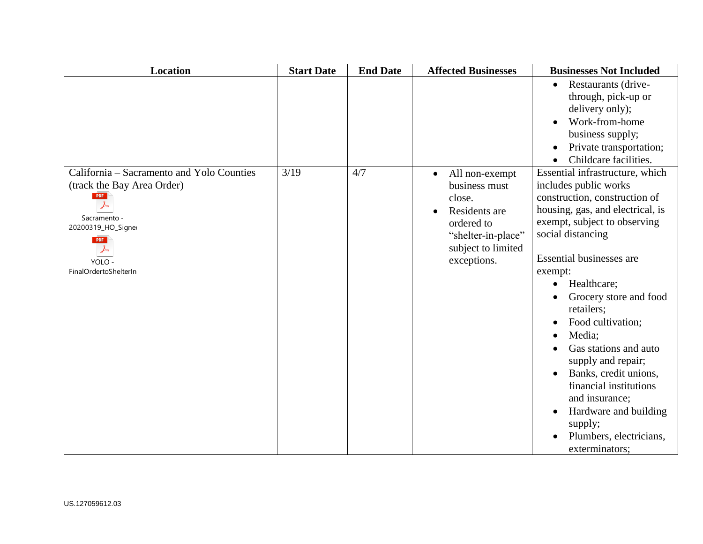| <b>Location</b>                                                                                                                                                | <b>Start Date</b> | <b>End Date</b> | <b>Affected Businesses</b>                                                                                                          | <b>Businesses Not Included</b>                                                                                                                                                                                                                                                                                                                                                                                                                                                                                                                                                  |
|----------------------------------------------------------------------------------------------------------------------------------------------------------------|-------------------|-----------------|-------------------------------------------------------------------------------------------------------------------------------------|---------------------------------------------------------------------------------------------------------------------------------------------------------------------------------------------------------------------------------------------------------------------------------------------------------------------------------------------------------------------------------------------------------------------------------------------------------------------------------------------------------------------------------------------------------------------------------|
|                                                                                                                                                                |                   |                 |                                                                                                                                     | Restaurants (drive-<br>$\bullet$<br>through, pick-up or<br>delivery only);<br>Work-from-home<br>business supply;<br>Private transportation;<br>$\bullet$<br>Childcare facilities.<br>$\bullet$                                                                                                                                                                                                                                                                                                                                                                                  |
| California – Sacramento and Yolo Counties<br>(track the Bay Area Order)<br>PDF<br>Sacramento -<br>20200319_HO_Signer<br>PDF<br>YOLO -<br>FinalOrdertoShelterIn | 3/19              | 4/7             | All non-exempt<br>business must<br>close.<br>Residents are<br>ordered to<br>"shelter-in-place"<br>subject to limited<br>exceptions. | Essential infrastructure, which<br>includes public works<br>construction, construction of<br>housing, gas, and electrical, is<br>exempt, subject to observing<br>social distancing<br><b>Essential businesses are</b><br>exempt:<br>Healthcare;<br>$\bullet$<br>Grocery store and food<br>retailers;<br>Food cultivation;<br>$\bullet$<br>Media;<br>$\bullet$<br>Gas stations and auto<br>supply and repair;<br>Banks, credit unions,<br>financial institutions<br>and insurance;<br>Hardware and building<br>$\bullet$<br>supply;<br>Plumbers, electricians,<br>exterminators; |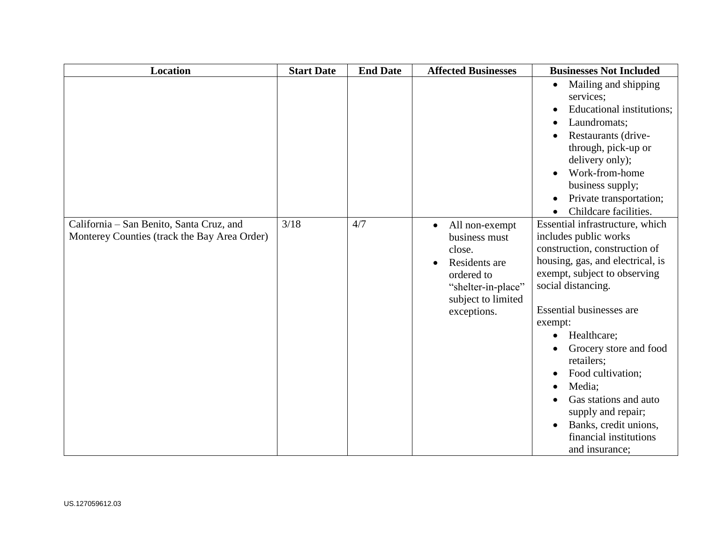| <b>Location</b>                                                                          | <b>Start Date</b> | <b>End Date</b> | <b>Affected Businesses</b>                                                                                                                       | <b>Businesses Not Included</b>                                                                                                                                                                                                                                                                                                                                                                                                                                      |
|------------------------------------------------------------------------------------------|-------------------|-----------------|--------------------------------------------------------------------------------------------------------------------------------------------------|---------------------------------------------------------------------------------------------------------------------------------------------------------------------------------------------------------------------------------------------------------------------------------------------------------------------------------------------------------------------------------------------------------------------------------------------------------------------|
|                                                                                          |                   |                 |                                                                                                                                                  | Mailing and shipping<br>$\bullet$<br>services;<br>Educational institutions;<br>Laundromats;<br>Restaurants (drive-<br>through, pick-up or<br>delivery only);<br>Work-from-home<br>business supply;<br>Private transportation;<br>$\bullet$<br>Childcare facilities.<br>$\bullet$                                                                                                                                                                                    |
| California - San Benito, Santa Cruz, and<br>Monterey Counties (track the Bay Area Order) | 3/18              | 4/7             | All non-exempt<br>$\bullet$<br>business must<br>close.<br>Residents are<br>ordered to<br>"shelter-in-place"<br>subject to limited<br>exceptions. | Essential infrastructure, which<br>includes public works<br>construction, construction of<br>housing, gas, and electrical, is<br>exempt, subject to observing<br>social distancing.<br>Essential businesses are<br>exempt:<br>Healthcare;<br>$\bullet$<br>Grocery store and food<br>retailers;<br>Food cultivation;<br>٠<br>Media;<br>$\bullet$<br>Gas stations and auto<br>supply and repair;<br>Banks, credit unions,<br>financial institutions<br>and insurance; |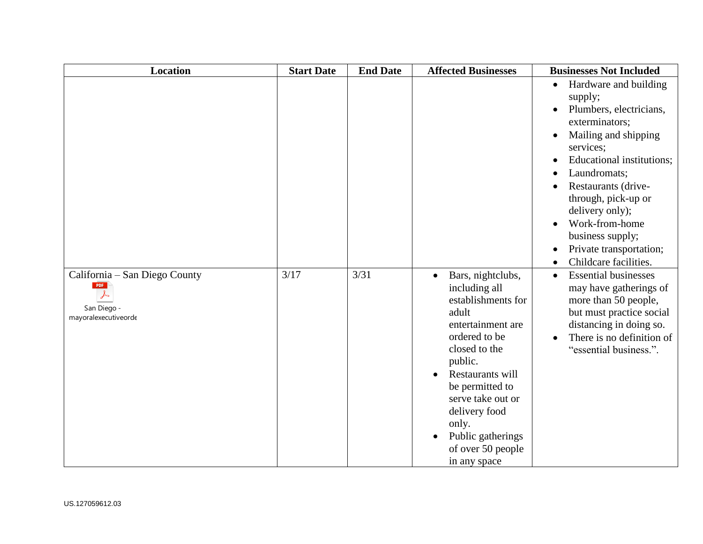| <b>Location</b>                                                                  | <b>Start Date</b> | <b>End Date</b> | <b>Affected Businesses</b>                                                                                                                                                                                                                                                                       | <b>Businesses Not Included</b>                                                                                                                                                                                                                                                                                                                                                                                               |
|----------------------------------------------------------------------------------|-------------------|-----------------|--------------------------------------------------------------------------------------------------------------------------------------------------------------------------------------------------------------------------------------------------------------------------------------------------|------------------------------------------------------------------------------------------------------------------------------------------------------------------------------------------------------------------------------------------------------------------------------------------------------------------------------------------------------------------------------------------------------------------------------|
|                                                                                  |                   |                 |                                                                                                                                                                                                                                                                                                  | Hardware and building<br>$\bullet$<br>supply;<br>Plumbers, electricians,<br>$\bullet$<br>exterminators;<br>Mailing and shipping<br>services;<br><b>Educational institutions:</b><br>$\bullet$<br>Laundromats;<br>$\bullet$<br>Restaurants (drive-<br>through, pick-up or<br>delivery only);<br>Work-from-home<br>$\bullet$<br>business supply;<br>Private transportation;<br>$\bullet$<br>Childcare facilities.<br>$\bullet$ |
| California – San Diego County<br>PDF<br>人<br>San Diego -<br>mayoralexecutiveorde | 3/17              | 3/31            | Bars, nightclubs,<br>$\bullet$<br>including all<br>establishments for<br>adult<br>entertainment are<br>ordered to be<br>closed to the<br>public.<br>Restaurants will<br>be permitted to<br>serve take out or<br>delivery food<br>only.<br>Public gatherings<br>of over 50 people<br>in any space | <b>Essential businesses</b><br>$\bullet$<br>may have gatherings of<br>more than 50 people,<br>but must practice social<br>distancing in doing so.<br>There is no definition of<br>$\bullet$<br>"essential business.".                                                                                                                                                                                                        |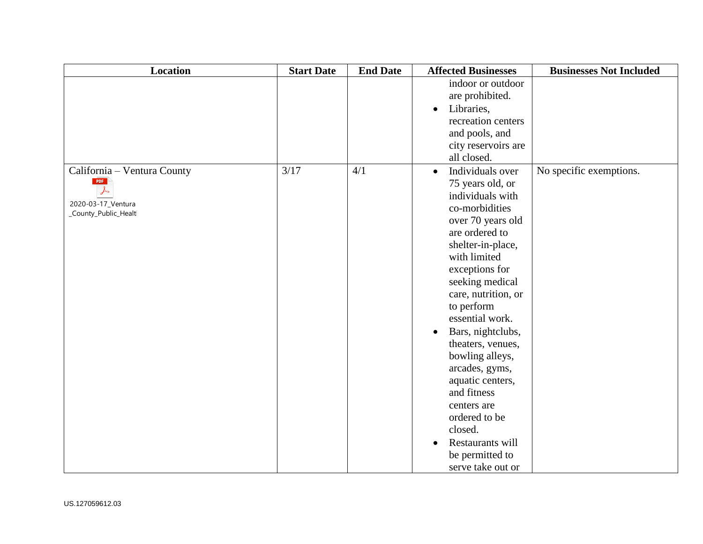| Location                                                                         | <b>Start Date</b> | <b>End Date</b> | <b>Affected Businesses</b>                                                                                                                                                                                                                                                                                                                                                                                                                                                                             | <b>Businesses Not Included</b> |
|----------------------------------------------------------------------------------|-------------------|-----------------|--------------------------------------------------------------------------------------------------------------------------------------------------------------------------------------------------------------------------------------------------------------------------------------------------------------------------------------------------------------------------------------------------------------------------------------------------------------------------------------------------------|--------------------------------|
|                                                                                  |                   |                 | indoor or outdoor<br>are prohibited.<br>Libraries,<br>recreation centers<br>and pools, and<br>city reservoirs are<br>all closed.                                                                                                                                                                                                                                                                                                                                                                       |                                |
| California - Ventura County<br>PDF<br>2020-03-17_Ventura<br>_County_Public_Healt | 3/17              | 4/1             | Individuals over<br>$\bullet$<br>75 years old, or<br>individuals with<br>co-morbidities<br>over 70 years old<br>are ordered to<br>shelter-in-place,<br>with limited<br>exceptions for<br>seeking medical<br>care, nutrition, or<br>to perform<br>essential work.<br>Bars, nightclubs,<br>$\bullet$<br>theaters, venues,<br>bowling alleys,<br>arcades, gyms,<br>aquatic centers,<br>and fitness<br>centers are<br>ordered to be<br>closed.<br>Restaurants will<br>be permitted to<br>serve take out or | No specific exemptions.        |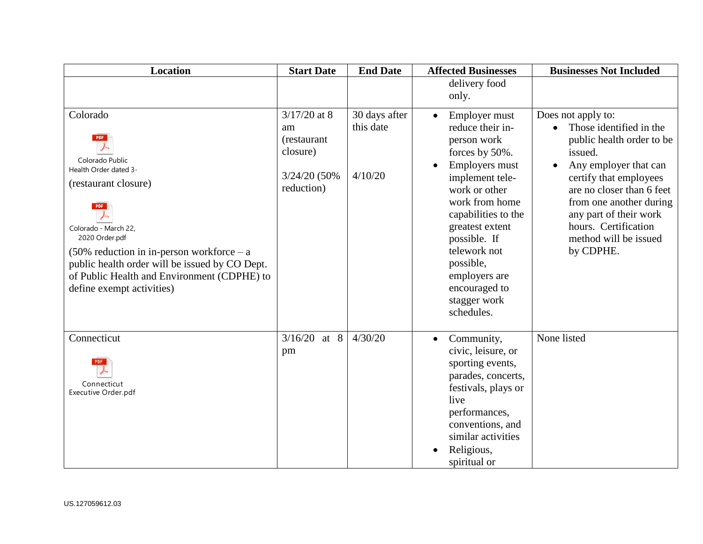| <b>Location</b>                                                                                                                                                                                                                                                                                                                  | <b>Start Date</b>                                                              | <b>End Date</b>                       | <b>Affected Businesses</b>                                                                                                                                                                                                                                                                                            | <b>Businesses Not Included</b>                                                                                                                                                                                                                                                           |
|----------------------------------------------------------------------------------------------------------------------------------------------------------------------------------------------------------------------------------------------------------------------------------------------------------------------------------|--------------------------------------------------------------------------------|---------------------------------------|-----------------------------------------------------------------------------------------------------------------------------------------------------------------------------------------------------------------------------------------------------------------------------------------------------------------------|------------------------------------------------------------------------------------------------------------------------------------------------------------------------------------------------------------------------------------------------------------------------------------------|
|                                                                                                                                                                                                                                                                                                                                  |                                                                                |                                       | delivery food<br>only.                                                                                                                                                                                                                                                                                                |                                                                                                                                                                                                                                                                                          |
| Colorado<br><b>PDF</b><br>Colorado Public<br>Health Order dated 3-<br>(restaurant closure)<br><b>PDF</b><br>Colorado - March 22,<br>2020 Order.pdf<br>$(50\%$ reduction in in-person workforce – a<br>public health order will be issued by CO Dept.<br>of Public Health and Environment (CDPHE) to<br>define exempt activities) | $3/17/20$ at 8<br>am<br>(restaurant<br>closure)<br>3/24/20 (50%)<br>reduction) | 30 days after<br>this date<br>4/10/20 | Employer must<br>$\bullet$<br>reduce their in-<br>person work<br>forces by 50%.<br><b>Employers must</b><br>implement tele-<br>work or other<br>work from home<br>capabilities to the<br>greatest extent<br>possible. If<br>telework not<br>possible,<br>employers are<br>encouraged to<br>stagger work<br>schedules. | Does not apply to:<br>Those identified in the<br>public health order to be<br>issued.<br>Any employer that can<br>certify that employees<br>are no closer than 6 feet<br>from one another during<br>any part of their work<br>hours. Certification<br>method will be issued<br>by CDPHE. |
| Connecticut<br>Connecticut<br>Executive Order.pdf                                                                                                                                                                                                                                                                                | 3/16/20<br>at $8$<br>pm                                                        | 4/30/20                               | Community,<br>$\bullet$<br>civic, leisure, or<br>sporting events,<br>parades, concerts,<br>festivals, plays or<br>live<br>performances,<br>conventions, and<br>similar activities<br>Religious,<br>spiritual or                                                                                                       | None listed                                                                                                                                                                                                                                                                              |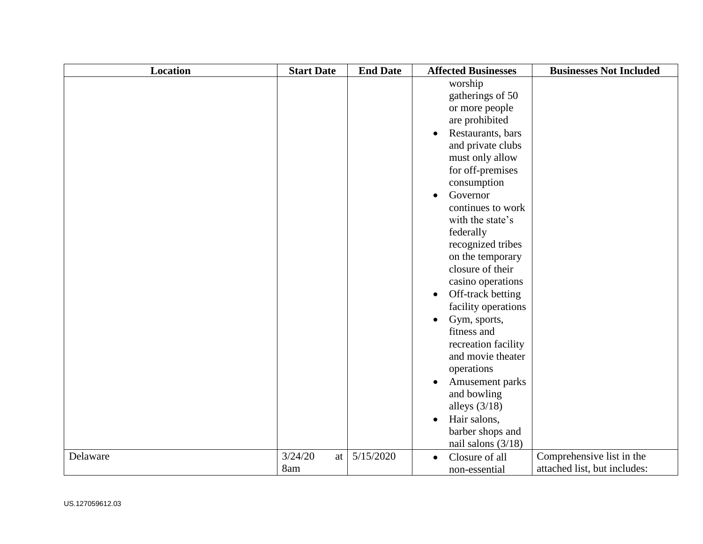| <b>Location</b> | <b>Start Date</b> | <b>End Date</b> | <b>Affected Businesses</b>                                                                                                                                                                                                                                                                                                                                                                                                                                                                                                 | <b>Businesses Not Included</b> |
|-----------------|-------------------|-----------------|----------------------------------------------------------------------------------------------------------------------------------------------------------------------------------------------------------------------------------------------------------------------------------------------------------------------------------------------------------------------------------------------------------------------------------------------------------------------------------------------------------------------------|--------------------------------|
|                 |                   |                 | worship<br>gatherings of 50<br>or more people<br>are prohibited<br>Restaurants, bars<br>and private clubs<br>must only allow<br>for off-premises<br>consumption<br>Governor<br>continues to work<br>with the state's<br>federally<br>recognized tribes<br>on the temporary<br>closure of their<br>casino operations<br>Off-track betting<br>facility operations<br>Gym, sports,<br>$\bullet$<br>fitness and<br>recreation facility<br>and movie theater<br>operations<br>Amusement parks<br>and bowling<br>alleys $(3/18)$ |                                |
| Delaware        | 3/24/20           | 5/15/2020       | Hair salons,<br>$\bullet$<br>barber shops and<br>nail salons $(3/18)$                                                                                                                                                                                                                                                                                                                                                                                                                                                      | Comprehensive list in the      |
|                 | at<br>8am         |                 | Closure of all<br>$\bullet$<br>non-essential                                                                                                                                                                                                                                                                                                                                                                                                                                                                               | attached list, but includes:   |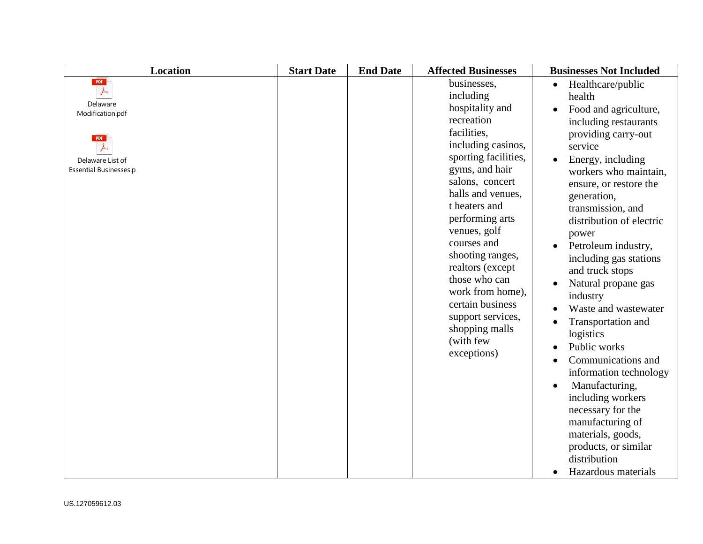| <b>Location</b>                                                                                                                    | <b>Start Date</b> | <b>End Date</b> | <b>Affected Businesses</b>                                                                                                                                                                                                                                                                                                                                                                                              | <b>Businesses Not Included</b>                                                                                                                                                                                                                                                                                                                                                                                                                                                                                                                                                                                                                                                      |
|------------------------------------------------------------------------------------------------------------------------------------|-------------------|-----------------|-------------------------------------------------------------------------------------------------------------------------------------------------------------------------------------------------------------------------------------------------------------------------------------------------------------------------------------------------------------------------------------------------------------------------|-------------------------------------------------------------------------------------------------------------------------------------------------------------------------------------------------------------------------------------------------------------------------------------------------------------------------------------------------------------------------------------------------------------------------------------------------------------------------------------------------------------------------------------------------------------------------------------------------------------------------------------------------------------------------------------|
| PDF<br>$\overline{\mathcal{F}}$<br>Delaware<br>Modification.pdf<br><b>PDF</b><br>Delaware List of<br><b>Essential Businesses.p</b> |                   |                 | businesses,<br>including<br>hospitality and<br>recreation<br>facilities,<br>including casinos,<br>sporting facilities,<br>gyms, and hair<br>salons, concert<br>halls and venues,<br>t heaters and<br>performing arts<br>venues, golf<br>courses and<br>shooting ranges,<br>realtors (except<br>those who can<br>work from home),<br>certain business<br>support services,<br>shopping malls<br>(with few<br>exceptions) | Healthcare/public<br>$\bullet$<br>health<br>Food and agriculture,<br>including restaurants<br>providing carry-out<br>service<br>Energy, including<br>workers who maintain,<br>ensure, or restore the<br>generation,<br>transmission, and<br>distribution of electric<br>power<br>Petroleum industry,<br>including gas stations<br>and truck stops<br>Natural propane gas<br>industry<br>Waste and wastewater<br>Transportation and<br>logistics<br>Public works<br>Communications and<br>information technology<br>Manufacturing,<br>including workers<br>necessary for the<br>manufacturing of<br>materials, goods,<br>products, or similar<br>distribution<br>Hazardous materials |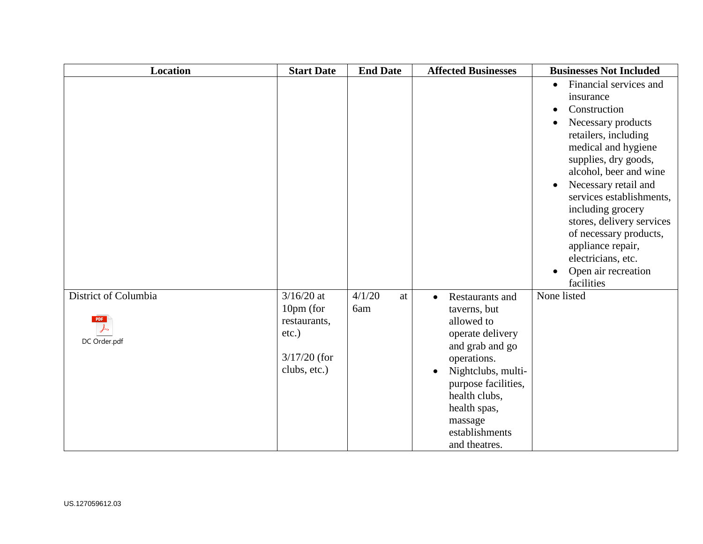| Location                                           | <b>Start Date</b>                                                                       | <b>End Date</b>     | <b>Affected Businesses</b>                                                                                                                                                                                                                                | <b>Businesses Not Included</b>                                                                                                                                                                                                                                                                                                                                                                                       |
|----------------------------------------------------|-----------------------------------------------------------------------------------------|---------------------|-----------------------------------------------------------------------------------------------------------------------------------------------------------------------------------------------------------------------------------------------------------|----------------------------------------------------------------------------------------------------------------------------------------------------------------------------------------------------------------------------------------------------------------------------------------------------------------------------------------------------------------------------------------------------------------------|
|                                                    |                                                                                         |                     |                                                                                                                                                                                                                                                           | Financial services and<br>insurance<br>Construction<br>$\bullet$<br>Necessary products<br>retailers, including<br>medical and hygiene<br>supplies, dry goods,<br>alcohol, beer and wine<br>Necessary retail and<br>$\bullet$<br>services establishments,<br>including grocery<br>stores, delivery services<br>of necessary products,<br>appliance repair,<br>electricians, etc.<br>Open air recreation<br>facilities |
| District of Columbia<br><b>PDF</b><br>DC Order.pdf | $3/16/20$ at<br>10pm (for<br>restaurants,<br>$etc.$ )<br>$3/17/20$ (for<br>clubs, etc.) | 4/1/20<br>at<br>6am | Restaurants and<br>$\bullet$<br>taverns, but<br>allowed to<br>operate delivery<br>and grab and go<br>operations.<br>Nightclubs, multi-<br>$\bullet$<br>purpose facilities,<br>health clubs,<br>health spas,<br>massage<br>establishments<br>and theatres. | None listed                                                                                                                                                                                                                                                                                                                                                                                                          |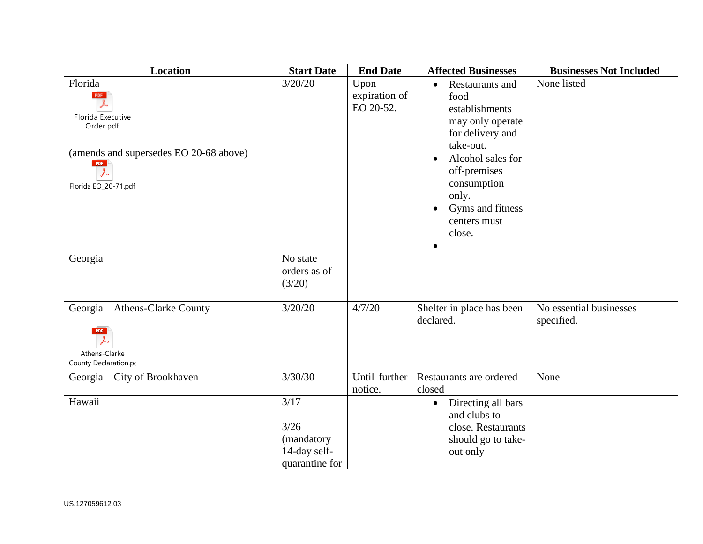| <b>Location</b>                                                                                                           | <b>Start Date</b>                                            | <b>End Date</b>                    | <b>Affected Businesses</b>                                                                                                                                                                                                          | <b>Businesses Not Included</b>        |
|---------------------------------------------------------------------------------------------------------------------------|--------------------------------------------------------------|------------------------------------|-------------------------------------------------------------------------------------------------------------------------------------------------------------------------------------------------------------------------------------|---------------------------------------|
| Florida<br>PDF<br>Florida Executive<br>Order.pdf<br>(amends and supersedes EO 20-68 above)<br>PDF<br>Florida EO_20-71.pdf | 3/20/20                                                      | Upon<br>expiration of<br>EO 20-52. | Restaurants and<br>$\bullet$<br>food<br>establishments<br>may only operate<br>for delivery and<br>take-out.<br>Alcohol sales for<br>$\bullet$<br>off-premises<br>consumption<br>only.<br>Gyms and fitness<br>centers must<br>close. | None listed                           |
| Georgia                                                                                                                   | No state<br>orders as of<br>(3/20)                           |                                    |                                                                                                                                                                                                                                     |                                       |
| Georgia - Athens-Clarke County<br><b>PDF</b><br>Athens-Clarke<br>County Declaration.pc                                    | 3/20/20                                                      | 4/7/20                             | Shelter in place has been<br>declared.                                                                                                                                                                                              | No essential businesses<br>specified. |
| Georgia - City of Brookhaven                                                                                              | 3/30/30                                                      | Until further<br>notice.           | Restaurants are ordered<br>closed                                                                                                                                                                                                   | None                                  |
| Hawaii                                                                                                                    | 3/17<br>3/26<br>(mandatory<br>14-day self-<br>quarantine for |                                    | Directing all bars<br>$\bullet$<br>and clubs to<br>close. Restaurants<br>should go to take-<br>out only                                                                                                                             |                                       |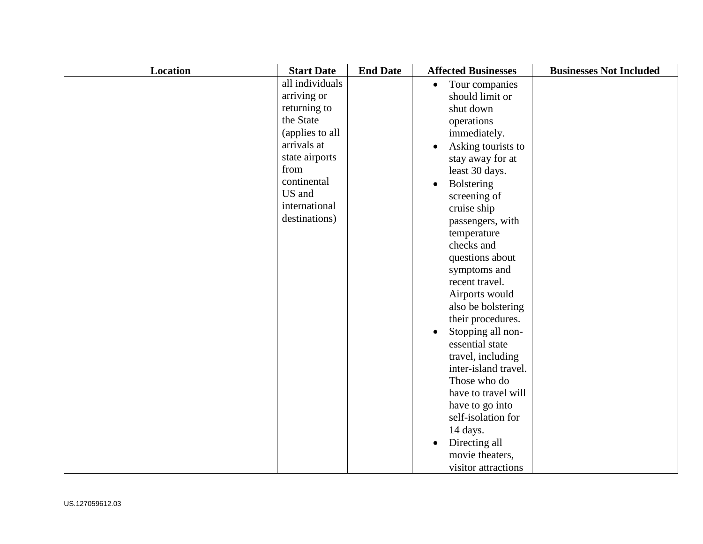| Location | <b>Start Date</b> | <b>End Date</b> | <b>Affected Businesses</b>  | <b>Businesses Not Included</b> |
|----------|-------------------|-----------------|-----------------------------|--------------------------------|
|          | all individuals   |                 | Tour companies<br>$\bullet$ |                                |
|          | arriving or       |                 | should limit or             |                                |
|          | returning to      |                 | shut down                   |                                |
|          | the State         |                 | operations                  |                                |
|          | (applies to all   |                 | immediately.                |                                |
|          | arrivals at       |                 | Asking tourists to          |                                |
|          | state airports    |                 | stay away for at            |                                |
|          | from              |                 | least 30 days.              |                                |
|          | continental       |                 | <b>Bolstering</b>           |                                |
|          | US and            |                 | screening of                |                                |
|          | international     |                 | cruise ship                 |                                |
|          | destinations)     |                 | passengers, with            |                                |
|          |                   |                 | temperature                 |                                |
|          |                   |                 | checks and                  |                                |
|          |                   |                 | questions about             |                                |
|          |                   |                 | symptoms and                |                                |
|          |                   |                 | recent travel.              |                                |
|          |                   |                 | Airports would              |                                |
|          |                   |                 | also be bolstering          |                                |
|          |                   |                 | their procedures.           |                                |
|          |                   |                 | Stopping all non-           |                                |
|          |                   |                 | essential state             |                                |
|          |                   |                 | travel, including           |                                |
|          |                   |                 | inter-island travel.        |                                |
|          |                   |                 | Those who do                |                                |
|          |                   |                 | have to travel will         |                                |
|          |                   |                 | have to go into             |                                |
|          |                   |                 | self-isolation for          |                                |
|          |                   |                 | 14 days.                    |                                |
|          |                   |                 | Directing all               |                                |
|          |                   |                 | movie theaters,             |                                |
|          |                   |                 | visitor attractions         |                                |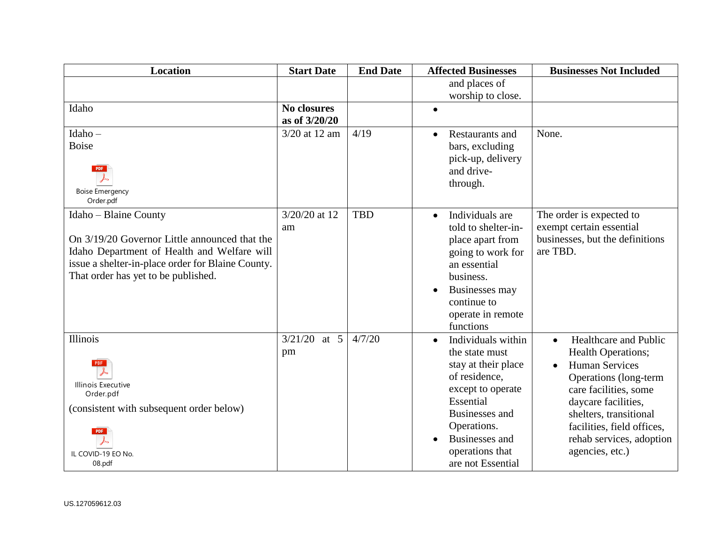| Location                                          | <b>Start Date</b>  | <b>End Date</b> | <b>Affected Businesses</b>          | <b>Businesses Not Included</b>               |
|---------------------------------------------------|--------------------|-----------------|-------------------------------------|----------------------------------------------|
|                                                   |                    |                 | and places of                       |                                              |
|                                                   |                    |                 | worship to close.                   |                                              |
| Idaho                                             | <b>No closures</b> |                 | $\bullet$                           |                                              |
|                                                   | as of 3/20/20      |                 |                                     |                                              |
| Idaho-                                            | 3/20 at 12 am      | 4/19            | <b>Restaurants and</b><br>$\bullet$ | None.                                        |
| <b>Boise</b>                                      |                    |                 | bars, excluding                     |                                              |
|                                                   |                    |                 | pick-up, delivery                   |                                              |
| <b>PDF</b>                                        |                    |                 | and drive-                          |                                              |
| <b>Boise Emergency</b>                            |                    |                 | through.                            |                                              |
| Order.pdf                                         |                    |                 |                                     |                                              |
| Idaho - Blaine County                             | 3/20/20 at 12      | <b>TBD</b>      | Individuals are<br>$\bullet$        | The order is expected to                     |
|                                                   | am                 |                 | told to shelter-in-                 | exempt certain essential                     |
| On 3/19/20 Governor Little announced that the     |                    |                 | place apart from                    | businesses, but the definitions              |
| Idaho Department of Health and Welfare will       |                    |                 | going to work for                   | are TBD.                                     |
| issue a shelter-in-place order for Blaine County. |                    |                 | an essential                        |                                              |
| That order has yet to be published.               |                    |                 | business.                           |                                              |
|                                                   |                    |                 | Businesses may                      |                                              |
|                                                   |                    |                 | continue to                         |                                              |
|                                                   |                    |                 | operate in remote                   |                                              |
|                                                   |                    |                 | functions                           |                                              |
| <b>Illinois</b>                                   | 3/21/20<br>at $5$  | 4/7/20          | Individuals within<br>$\bullet$     | Healthcare and Public<br>$\bullet$           |
|                                                   | pm                 |                 | the state must                      | <b>Health Operations;</b>                    |
|                                                   |                    |                 | stay at their place                 | <b>Human Services</b>                        |
| <b>Illinois Executive</b>                         |                    |                 | of residence,<br>except to operate  | Operations (long-term                        |
| Order.pdf                                         |                    |                 | Essential                           | care facilities, some<br>daycare facilities, |
| (consistent with subsequent order below)          |                    |                 | Businesses and                      | shelters, transitional                       |
|                                                   |                    |                 | Operations.                         | facilities, field offices,                   |
|                                                   |                    |                 | Businesses and                      | rehab services, adoption                     |
| IL COVID-19 EO No.                                |                    |                 | operations that                     | agencies, etc.)                              |
| 08.pdf                                            |                    |                 | are not Essential                   |                                              |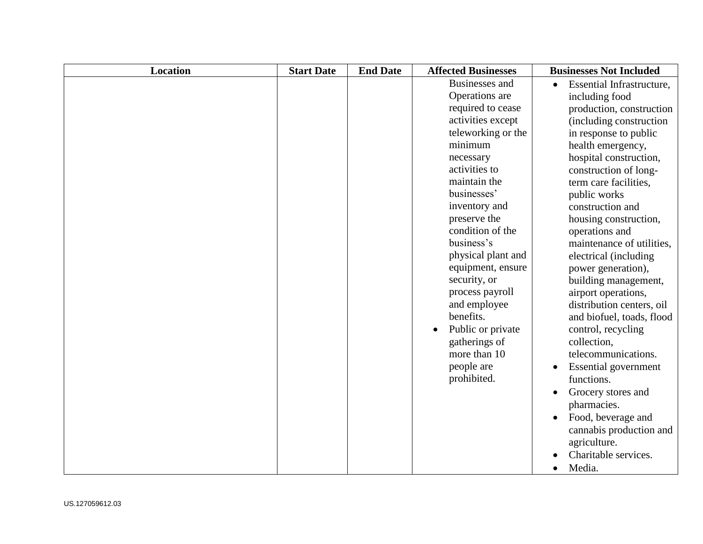| <b>Location</b> | <b>Start Date</b> | <b>End Date</b> | <b>Affected Businesses</b> | <b>Businesses Not Included</b> |
|-----------------|-------------------|-----------------|----------------------------|--------------------------------|
|                 |                   |                 | <b>Businesses</b> and      | Essential Infrastructure,      |
|                 |                   |                 | Operations are             | including food                 |
|                 |                   |                 | required to cease          | production, construction       |
|                 |                   |                 | activities except          | (including construction)       |
|                 |                   |                 | teleworking or the         | in response to public          |
|                 |                   |                 | minimum                    | health emergency,              |
|                 |                   |                 | necessary                  | hospital construction,         |
|                 |                   |                 | activities to              | construction of long-          |
|                 |                   |                 | maintain the               | term care facilities,          |
|                 |                   |                 | businesses'                | public works                   |
|                 |                   |                 | inventory and              | construction and               |
|                 |                   |                 | preserve the               | housing construction,          |
|                 |                   |                 | condition of the           | operations and                 |
|                 |                   |                 | business's                 | maintenance of utilities,      |
|                 |                   |                 | physical plant and         | electrical (including          |
|                 |                   |                 | equipment, ensure          | power generation),             |
|                 |                   |                 | security, or               | building management,           |
|                 |                   |                 | process payroll            | airport operations,            |
|                 |                   |                 | and employee               | distribution centers, oil      |
|                 |                   |                 | benefits.                  | and biofuel, toads, flood      |
|                 |                   |                 | Public or private          | control, recycling             |
|                 |                   |                 | gatherings of              | collection,                    |
|                 |                   |                 | more than 10               | telecommunications.            |
|                 |                   |                 | people are                 | <b>Essential</b> government    |
|                 |                   |                 | prohibited.                | functions.                     |
|                 |                   |                 |                            | Grocery stores and             |
|                 |                   |                 |                            | pharmacies.                    |
|                 |                   |                 |                            | Food, beverage and             |
|                 |                   |                 |                            | cannabis production and        |
|                 |                   |                 |                            | agriculture.                   |
|                 |                   |                 |                            | Charitable services.           |
|                 |                   |                 |                            | Media.                         |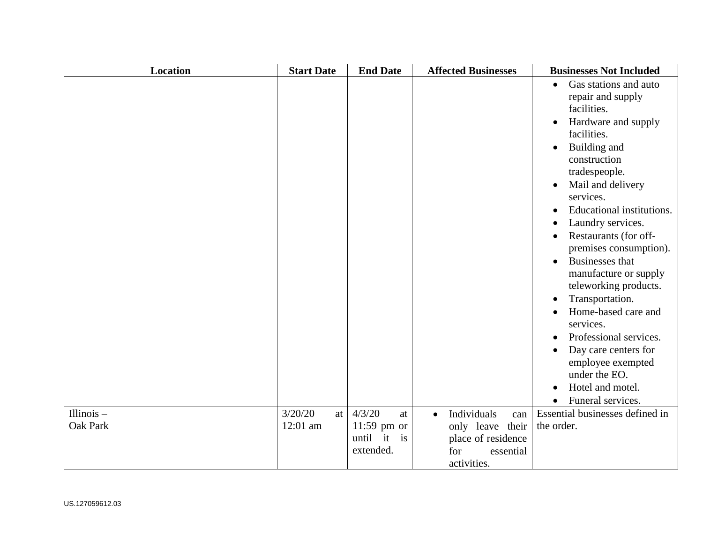| <b>Location</b> | <b>Start Date</b> | <b>End Date</b> | <b>Affected Businesses</b>      | <b>Businesses Not Included</b>                                                                                                                                                                                                                                                                                                                                                                                                                                                                                                                                                                                                                                                                                                       |
|-----------------|-------------------|-----------------|---------------------------------|--------------------------------------------------------------------------------------------------------------------------------------------------------------------------------------------------------------------------------------------------------------------------------------------------------------------------------------------------------------------------------------------------------------------------------------------------------------------------------------------------------------------------------------------------------------------------------------------------------------------------------------------------------------------------------------------------------------------------------------|
|                 |                   |                 |                                 | Gas stations and auto<br>$\bullet$<br>repair and supply<br>facilities.<br>Hardware and supply<br>$\bullet$<br>facilities.<br>Building and<br>$\bullet$<br>construction<br>tradespeople.<br>Mail and delivery<br>$\bullet$<br>services.<br>Educational institutions.<br>$\bullet$<br>Laundry services.<br>$\bullet$<br>Restaurants (for off-<br>$\bullet$<br>premises consumption).<br><b>Businesses</b> that<br>$\bullet$<br>manufacture or supply<br>teleworking products.<br>Transportation.<br>$\bullet$<br>Home-based care and<br>$\bullet$<br>services.<br>Professional services.<br>$\bullet$<br>Day care centers for<br>employee exempted<br>under the EO.<br>Hotel and motel.<br>$\bullet$<br>Funeral services.<br>$\bullet$ |
| Illinois $-$    | 3/20/20<br>at     | 4/3/20<br>at    | Individuals<br>$\bullet$<br>can | Essential businesses defined in                                                                                                                                                                                                                                                                                                                                                                                                                                                                                                                                                                                                                                                                                                      |
| Oak Park        | 12:01 am          | $11:59$ pm or   | only leave their                | the order.                                                                                                                                                                                                                                                                                                                                                                                                                                                                                                                                                                                                                                                                                                                           |
|                 |                   | until it is     | place of residence              |                                                                                                                                                                                                                                                                                                                                                                                                                                                                                                                                                                                                                                                                                                                                      |
|                 |                   | extended.       | for<br>essential                |                                                                                                                                                                                                                                                                                                                                                                                                                                                                                                                                                                                                                                                                                                                                      |
|                 |                   |                 | activities.                     |                                                                                                                                                                                                                                                                                                                                                                                                                                                                                                                                                                                                                                                                                                                                      |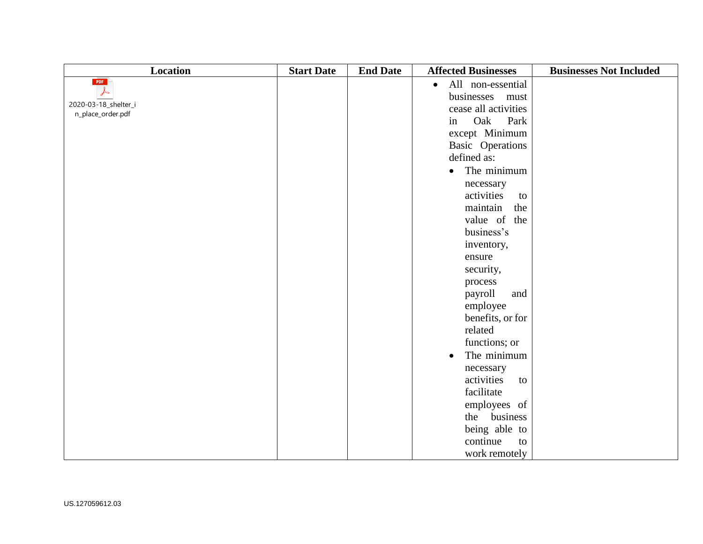| Location                                  | <b>Start Date</b> | <b>End Date</b> | <b>Affected Businesses</b>     | <b>Businesses Not Included</b> |
|-------------------------------------------|-------------------|-----------------|--------------------------------|--------------------------------|
| PDF                                       |                   |                 | All non-essential<br>$\bullet$ |                                |
| $\downarrow$                              |                   |                 | businesses<br>must             |                                |
| 2020-03-18_shelter_i<br>n_place_order.pdf |                   |                 | cease all activities           |                                |
|                                           |                   |                 | Oak<br>Park<br>in              |                                |
|                                           |                   |                 | except Minimum                 |                                |
|                                           |                   |                 | Basic Operations               |                                |
|                                           |                   |                 | defined as:                    |                                |
|                                           |                   |                 | The minimum<br>$\bullet$       |                                |
|                                           |                   |                 | necessary                      |                                |
|                                           |                   |                 | activities<br>to               |                                |
|                                           |                   |                 | maintain<br>the                |                                |
|                                           |                   |                 | value of the                   |                                |
|                                           |                   |                 | business's                     |                                |
|                                           |                   |                 | inventory,                     |                                |
|                                           |                   |                 | ensure                         |                                |
|                                           |                   |                 | security,                      |                                |
|                                           |                   |                 | process                        |                                |
|                                           |                   |                 | payroll<br>and                 |                                |
|                                           |                   |                 | employee                       |                                |
|                                           |                   |                 | benefits, or for               |                                |
|                                           |                   |                 | related                        |                                |
|                                           |                   |                 | functions; or                  |                                |
|                                           |                   |                 | The minimum<br>$\bullet$       |                                |
|                                           |                   |                 | necessary                      |                                |
|                                           |                   |                 | activities<br>to               |                                |
|                                           |                   |                 | facilitate                     |                                |
|                                           |                   |                 | employees of                   |                                |
|                                           |                   |                 | the business                   |                                |
|                                           |                   |                 | being able to                  |                                |
|                                           |                   |                 | continue<br>to                 |                                |
|                                           |                   |                 | work remotely                  |                                |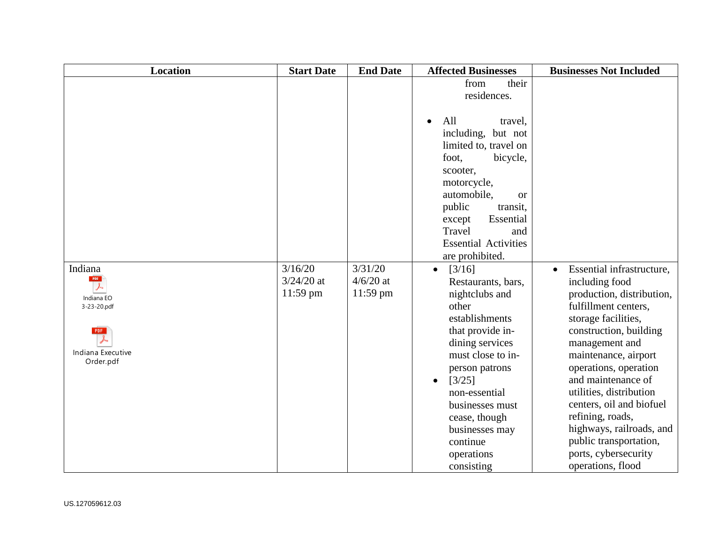| <b>Location</b>                                                                                                         | <b>Start Date</b>                   | <b>End Date</b>                    | <b>Affected Businesses</b>                                                                                                                                                                                                                                                                                 | <b>Businesses Not Included</b>                                                                                                                                                                                                                                                                                                                                                                                           |
|-------------------------------------------------------------------------------------------------------------------------|-------------------------------------|------------------------------------|------------------------------------------------------------------------------------------------------------------------------------------------------------------------------------------------------------------------------------------------------------------------------------------------------------|--------------------------------------------------------------------------------------------------------------------------------------------------------------------------------------------------------------------------------------------------------------------------------------------------------------------------------------------------------------------------------------------------------------------------|
|                                                                                                                         |                                     |                                    | from<br>their<br>residences.<br>All<br>travel,<br>$\bullet$<br>including, but not<br>limited to, travel on<br>foot,<br>bicycle,<br>scooter,<br>motorcycle,<br>automobile,<br><sub>or</sub>                                                                                                                 |                                                                                                                                                                                                                                                                                                                                                                                                                          |
|                                                                                                                         |                                     |                                    | public<br>transit,<br>Essential<br>except<br>Travel<br>and<br><b>Essential Activities</b><br>are prohibited.                                                                                                                                                                                               |                                                                                                                                                                                                                                                                                                                                                                                                                          |
| Indiana<br>PDF<br>$\overline{\mathcal{F}}$<br>Indiana EO<br>3-23-20.pdf<br><b>PDF</b><br>Indiana Executive<br>Order.pdf | 3/16/20<br>$3/24/20$ at<br>11:59 pm | 3/31/20<br>$4/6/20$ at<br>11:59 pm | [3/16]<br>$\bullet$<br>Restaurants, bars,<br>nightclubs and<br>other<br>establishments<br>that provide in-<br>dining services<br>must close to in-<br>person patrons<br>[3/25]<br>$\bullet$<br>non-essential<br>businesses must<br>cease, though<br>businesses may<br>continue<br>operations<br>consisting | Essential infrastructure,<br>including food<br>production, distribution,<br>fulfillment centers,<br>storage facilities,<br>construction, building<br>management and<br>maintenance, airport<br>operations, operation<br>and maintenance of<br>utilities, distribution<br>centers, oil and biofuel<br>refining, roads,<br>highways, railroads, and<br>public transportation,<br>ports, cybersecurity<br>operations, flood |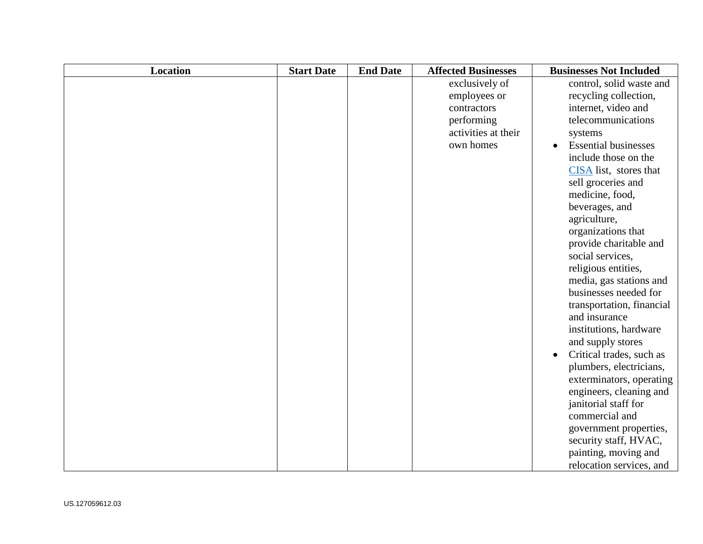| <b>Location</b> | <b>Start Date</b> | <b>End Date</b> | <b>Affected Businesses</b> | <b>Businesses Not Included</b>        |
|-----------------|-------------------|-----------------|----------------------------|---------------------------------------|
|                 |                   |                 | exclusively of             | control, solid waste and              |
|                 |                   |                 | employees or               | recycling collection,                 |
|                 |                   |                 | contractors                | internet, video and                   |
|                 |                   |                 | performing                 | telecommunications                    |
|                 |                   |                 | activities at their        | systems                               |
|                 |                   |                 | own homes                  | <b>Essential businesses</b>           |
|                 |                   |                 |                            | include those on the                  |
|                 |                   |                 |                            | CISA list, stores that                |
|                 |                   |                 |                            | sell groceries and                    |
|                 |                   |                 |                            | medicine, food,                       |
|                 |                   |                 |                            | beverages, and                        |
|                 |                   |                 |                            | agriculture,                          |
|                 |                   |                 |                            | organizations that                    |
|                 |                   |                 |                            | provide charitable and                |
|                 |                   |                 |                            | social services,                      |
|                 |                   |                 |                            | religious entities,                   |
|                 |                   |                 |                            | media, gas stations and               |
|                 |                   |                 |                            | businesses needed for                 |
|                 |                   |                 |                            | transportation, financial             |
|                 |                   |                 |                            | and insurance                         |
|                 |                   |                 |                            | institutions, hardware                |
|                 |                   |                 |                            | and supply stores                     |
|                 |                   |                 |                            | Critical trades, such as<br>$\bullet$ |
|                 |                   |                 |                            | plumbers, electricians,               |
|                 |                   |                 |                            | exterminators, operating              |
|                 |                   |                 |                            | engineers, cleaning and               |
|                 |                   |                 |                            | janitorial staff for                  |
|                 |                   |                 |                            | commercial and                        |
|                 |                   |                 |                            | government properties,                |
|                 |                   |                 |                            | security staff, HVAC,                 |
|                 |                   |                 |                            | painting, moving and                  |
|                 |                   |                 |                            | relocation services, and              |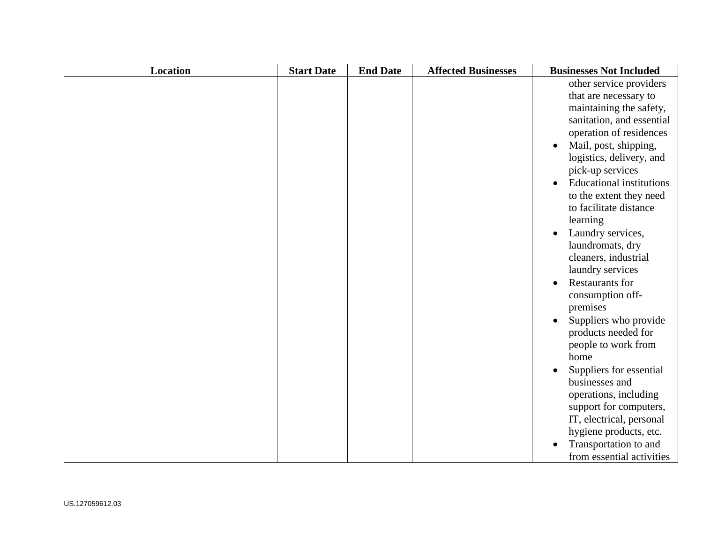| <b>Location</b> | <b>Start Date</b> | <b>End Date</b> | <b>Affected Businesses</b> | <b>Businesses Not Included</b>               |
|-----------------|-------------------|-----------------|----------------------------|----------------------------------------------|
|                 |                   |                 |                            | other service providers                      |
|                 |                   |                 |                            | that are necessary to                        |
|                 |                   |                 |                            | maintaining the safety,                      |
|                 |                   |                 |                            | sanitation, and essential                    |
|                 |                   |                 |                            | operation of residences                      |
|                 |                   |                 |                            | Mail, post, shipping,                        |
|                 |                   |                 |                            | logistics, delivery, and                     |
|                 |                   |                 |                            | pick-up services                             |
|                 |                   |                 |                            | <b>Educational institutions</b><br>$\bullet$ |
|                 |                   |                 |                            | to the extent they need                      |
|                 |                   |                 |                            | to facilitate distance                       |
|                 |                   |                 |                            | learning                                     |
|                 |                   |                 |                            | Laundry services,                            |
|                 |                   |                 |                            | laundromats, dry                             |
|                 |                   |                 |                            | cleaners, industrial                         |
|                 |                   |                 |                            | laundry services                             |
|                 |                   |                 |                            | <b>Restaurants for</b>                       |
|                 |                   |                 |                            | consumption off-                             |
|                 |                   |                 |                            | premises                                     |
|                 |                   |                 |                            | Suppliers who provide<br>$\bullet$           |
|                 |                   |                 |                            | products needed for                          |
|                 |                   |                 |                            | people to work from                          |
|                 |                   |                 |                            | home                                         |
|                 |                   |                 |                            | Suppliers for essential<br>$\bullet$         |
|                 |                   |                 |                            | businesses and                               |
|                 |                   |                 |                            | operations, including                        |
|                 |                   |                 |                            | support for computers,                       |
|                 |                   |                 |                            | IT, electrical, personal                     |
|                 |                   |                 |                            | hygiene products, etc.                       |
|                 |                   |                 |                            | Transportation to and                        |
|                 |                   |                 |                            | from essential activities                    |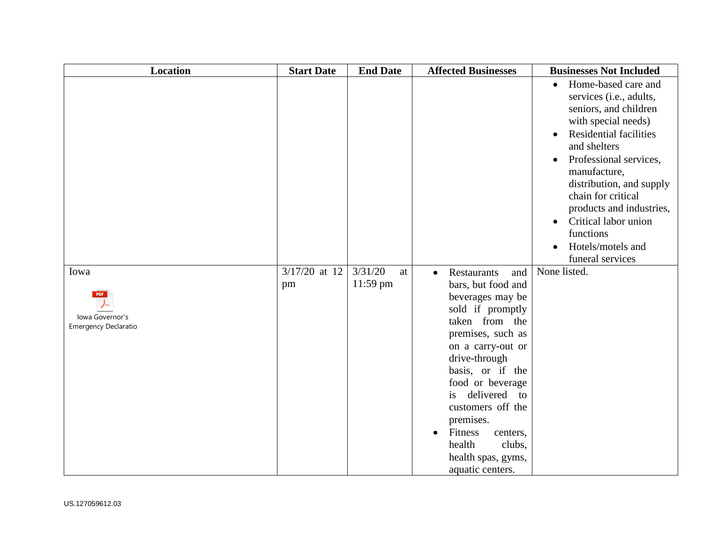| <b>Location</b>                                               | <b>Start Date</b>     | <b>End Date</b>           | <b>Affected Businesses</b>                                                                                                                                                                                                                                                                                                                                                             | <b>Businesses Not Included</b>                                                                                                                                                                                                                                                                                                                                     |
|---------------------------------------------------------------|-----------------------|---------------------------|----------------------------------------------------------------------------------------------------------------------------------------------------------------------------------------------------------------------------------------------------------------------------------------------------------------------------------------------------------------------------------------|--------------------------------------------------------------------------------------------------------------------------------------------------------------------------------------------------------------------------------------------------------------------------------------------------------------------------------------------------------------------|
|                                                               |                       |                           |                                                                                                                                                                                                                                                                                                                                                                                        | Home-based care and<br>$\bullet$<br>services (i.e., adults,<br>seniors, and children<br>with special needs)<br><b>Residential facilities</b><br>and shelters<br>Professional services,<br>manufacture,<br>distribution, and supply<br>chain for critical<br>products and industries,<br>Critical labor union<br>functions<br>Hotels/motels and<br>funeral services |
| Iowa<br><b>PDF</b><br>Iowa Governor's<br>Emergency Declaratio | $3/17/20$ at 12<br>pm | 3/31/20<br>at<br>11:59 pm | <b>Restaurants</b><br>and<br>$\bullet$<br>bars, but food and<br>beverages may be<br>sold if promptly<br>taken from the<br>premises, such as<br>on a carry-out or<br>drive-through<br>basis, or if the<br>food or beverage<br>delivered<br>is<br>to<br>customers off the<br>premises.<br>Fitness<br>centers,<br>$\bullet$<br>health<br>clubs,<br>health spas, gyms,<br>aquatic centers. | None listed.                                                                                                                                                                                                                                                                                                                                                       |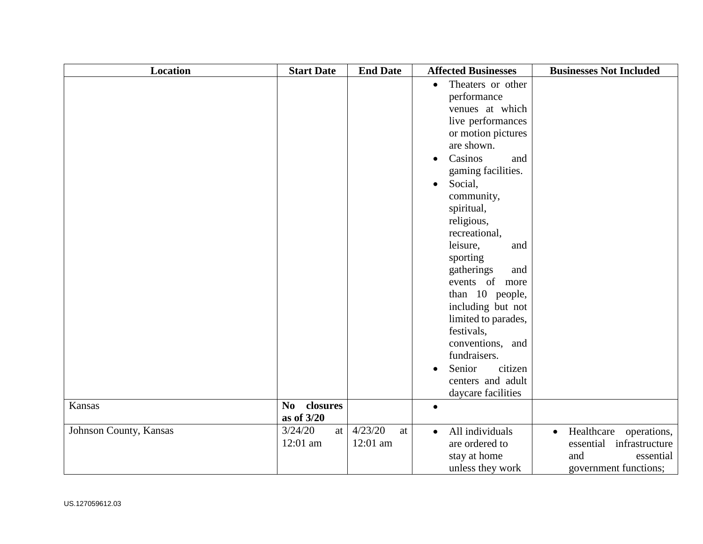| Location               | <b>Start Date</b>          | <b>End Date</b> | <b>Affected Businesses</b>     | <b>Businesses Not Included</b> |
|------------------------|----------------------------|-----------------|--------------------------------|--------------------------------|
|                        |                            |                 | Theaters or other<br>$\bullet$ |                                |
|                        |                            |                 | performance                    |                                |
|                        |                            |                 | venues at which                |                                |
|                        |                            |                 | live performances              |                                |
|                        |                            |                 | or motion pictures             |                                |
|                        |                            |                 | are shown.                     |                                |
|                        |                            |                 | Casinos<br>and<br>$\bullet$    |                                |
|                        |                            |                 | gaming facilities.             |                                |
|                        |                            |                 | Social,<br>$\bullet$           |                                |
|                        |                            |                 | community,                     |                                |
|                        |                            |                 | spiritual,                     |                                |
|                        |                            |                 | religious,                     |                                |
|                        |                            |                 | recreational,                  |                                |
|                        |                            |                 | leisure,<br>and                |                                |
|                        |                            |                 | sporting                       |                                |
|                        |                            |                 | gatherings<br>and              |                                |
|                        |                            |                 | events of more                 |                                |
|                        |                            |                 | than 10 people,                |                                |
|                        |                            |                 | including but not              |                                |
|                        |                            |                 | limited to parades,            |                                |
|                        |                            |                 | festivals,                     |                                |
|                        |                            |                 | conventions, and               |                                |
|                        |                            |                 | fundraisers.                   |                                |
|                        |                            |                 | Senior<br>citizen<br>$\bullet$ |                                |
|                        |                            |                 | centers and adult              |                                |
|                        |                            |                 | daycare facilities             |                                |
| Kansas                 | closures<br>N <sub>0</sub> |                 | $\bullet$                      |                                |
|                        | as of 3/20                 |                 |                                |                                |
| Johnson County, Kansas | 3/24/20<br>at              | 4/23/20<br>at   | All individuals<br>$\bullet$   | Healthcare operations,         |
|                        | 12:01 am                   | 12:01 am        | are ordered to                 | essential infrastructure       |
|                        |                            |                 | stay at home                   | and<br>essential               |
|                        |                            |                 | unless they work               | government functions;          |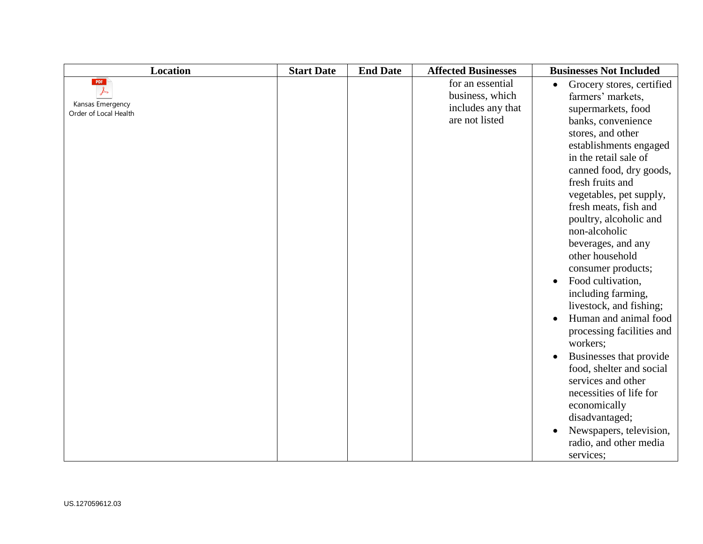| <b>Location</b>                           | <b>Start Date</b> | <b>End Date</b> | <b>Affected Businesses</b> | <b>Businesses Not Included</b>         |
|-------------------------------------------|-------------------|-----------------|----------------------------|----------------------------------------|
| PDF                                       |                   |                 | for an essential           | Grocery stores, certified<br>$\bullet$ |
|                                           |                   |                 | business, which            | farmers' markets,                      |
| Kansas Emergency<br>Order of Local Health |                   |                 | includes any that          | supermarkets, food                     |
|                                           |                   |                 | are not listed             | banks, convenience                     |
|                                           |                   |                 |                            | stores, and other                      |
|                                           |                   |                 |                            | establishments engaged                 |
|                                           |                   |                 |                            | in the retail sale of                  |
|                                           |                   |                 |                            | canned food, dry goods,                |
|                                           |                   |                 |                            | fresh fruits and                       |
|                                           |                   |                 |                            | vegetables, pet supply,                |
|                                           |                   |                 |                            | fresh meats, fish and                  |
|                                           |                   |                 |                            | poultry, alcoholic and                 |
|                                           |                   |                 |                            | non-alcoholic                          |
|                                           |                   |                 |                            | beverages, and any                     |
|                                           |                   |                 |                            | other household                        |
|                                           |                   |                 |                            | consumer products;                     |
|                                           |                   |                 |                            | Food cultivation,<br>$\bullet$         |
|                                           |                   |                 |                            | including farming,                     |
|                                           |                   |                 |                            | livestock, and fishing;                |
|                                           |                   |                 |                            | Human and animal food<br>$\bullet$     |
|                                           |                   |                 |                            | processing facilities and              |
|                                           |                   |                 |                            | workers;                               |
|                                           |                   |                 |                            | Businesses that provide                |
|                                           |                   |                 |                            | food, shelter and social               |
|                                           |                   |                 |                            | services and other                     |
|                                           |                   |                 |                            | necessities of life for                |
|                                           |                   |                 |                            | economically                           |
|                                           |                   |                 |                            | disadvantaged;                         |
|                                           |                   |                 |                            | Newspapers, television,                |
|                                           |                   |                 |                            | radio, and other media                 |
|                                           |                   |                 |                            | services;                              |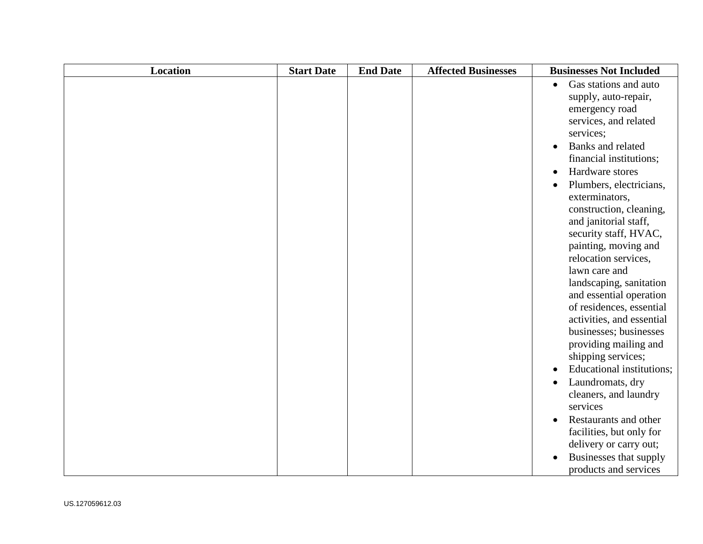| <b>Location</b> | <b>Start Date</b> | <b>End Date</b> | <b>Affected Businesses</b> | <b>Businesses Not Included</b>                                                                                                                                                                                                                                                                                                                                                                                                                                                                                                                                                                                                                                                                                                                                                                                        |
|-----------------|-------------------|-----------------|----------------------------|-----------------------------------------------------------------------------------------------------------------------------------------------------------------------------------------------------------------------------------------------------------------------------------------------------------------------------------------------------------------------------------------------------------------------------------------------------------------------------------------------------------------------------------------------------------------------------------------------------------------------------------------------------------------------------------------------------------------------------------------------------------------------------------------------------------------------|
|                 |                   |                 |                            | Gas stations and auto<br>$\bullet$<br>supply, auto-repair,<br>emergency road<br>services, and related<br>services;<br>Banks and related<br>financial institutions;<br>Hardware stores<br>$\bullet$<br>Plumbers, electricians,<br>$\bullet$<br>exterminators,<br>construction, cleaning,<br>and janitorial staff,<br>security staff, HVAC,<br>painting, moving and<br>relocation services,<br>lawn care and<br>landscaping, sanitation<br>and essential operation<br>of residences, essential<br>activities, and essential<br>businesses; businesses<br>providing mailing and<br>shipping services;<br><b>Educational institutions;</b><br>$\bullet$<br>Laundromats, dry<br>$\bullet$<br>cleaners, and laundry<br>services<br>Restaurants and other<br>$\bullet$<br>facilities, but only for<br>delivery or carry out; |
|                 |                   |                 |                            | Businesses that supply<br>$\bullet$<br>products and services                                                                                                                                                                                                                                                                                                                                                                                                                                                                                                                                                                                                                                                                                                                                                          |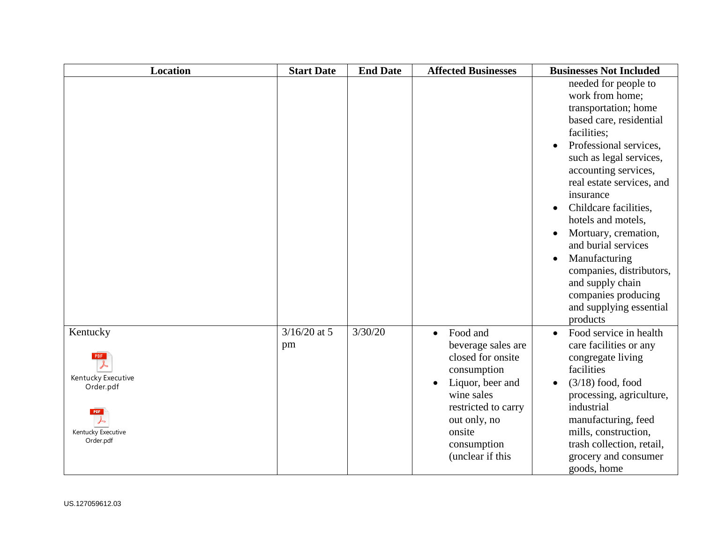| <b>Location</b>                                                                              | <b>Start Date</b>    | <b>End Date</b> | <b>Affected Businesses</b>                                                                                                                                                                            | <b>Businesses Not Included</b>                                                                                                                                                                                                                                                                                                                                                                                                                                                                       |
|----------------------------------------------------------------------------------------------|----------------------|-----------------|-------------------------------------------------------------------------------------------------------------------------------------------------------------------------------------------------------|------------------------------------------------------------------------------------------------------------------------------------------------------------------------------------------------------------------------------------------------------------------------------------------------------------------------------------------------------------------------------------------------------------------------------------------------------------------------------------------------------|
|                                                                                              |                      |                 |                                                                                                                                                                                                       | needed for people to<br>work from home;<br>transportation; home<br>based care, residential<br>facilities;<br>Professional services,<br>$\bullet$<br>such as legal services,<br>accounting services,<br>real estate services, and<br>insurance<br>Childcare facilities,<br>$\bullet$<br>hotels and motels,<br>Mortuary, cremation,<br>and burial services<br>Manufacturing<br>$\bullet$<br>companies, distributors,<br>and supply chain<br>companies producing<br>and supplying essential<br>products |
| Kentucky<br>Kentucky Executive<br>Order.pdf<br><b>PDF</b><br>Kentucky Executive<br>Order.pdf | $3/16/20$ at 5<br>pm | 3/30/20         | Food and<br>$\bullet$<br>beverage sales are<br>closed for onsite<br>consumption<br>Liquor, beer and<br>wine sales<br>restricted to carry<br>out only, no<br>onsite<br>consumption<br>(unclear if this | Food service in health<br>$\bullet$<br>care facilities or any<br>congregate living<br>facilities<br>$(3/18)$ food, food<br>$\bullet$<br>processing, agriculture,<br>industrial<br>manufacturing, feed<br>mills, construction,<br>trash collection, retail,<br>grocery and consumer<br>goods, home                                                                                                                                                                                                    |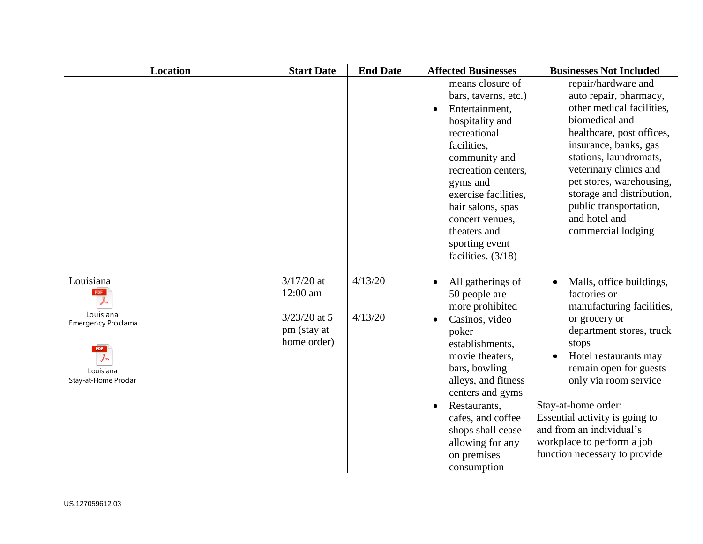| <b>Location</b>                                                                          | <b>Start Date</b>                                                        | <b>End Date</b>    | <b>Affected Businesses</b>                                                                                                                                                                                                                                                                     | <b>Businesses Not Included</b>                                                                                                                                                                                                                                                                                                                              |
|------------------------------------------------------------------------------------------|--------------------------------------------------------------------------|--------------------|------------------------------------------------------------------------------------------------------------------------------------------------------------------------------------------------------------------------------------------------------------------------------------------------|-------------------------------------------------------------------------------------------------------------------------------------------------------------------------------------------------------------------------------------------------------------------------------------------------------------------------------------------------------------|
|                                                                                          |                                                                          |                    | means closure of<br>bars, taverns, etc.)<br>Entertainment,<br>hospitality and<br>recreational<br>facilities,<br>community and<br>recreation centers,<br>gyms and<br>exercise facilities,<br>hair salons, spas<br>concert venues,<br>theaters and<br>sporting event<br>facilities. $(3/18)$     | repair/hardware and<br>auto repair, pharmacy,<br>other medical facilities,<br>biomedical and<br>healthcare, post offices,<br>insurance, banks, gas<br>stations, laundromats,<br>veterinary clinics and<br>pet stores, warehousing,<br>storage and distribution,<br>public transportation,<br>and hotel and<br>commercial lodging                            |
| Louisiana<br>PDF<br>Louisiana<br>Emergency Proclama<br>Louisiana<br>Stay-at-Home Proclan | $3/17/20$ at<br>12:00 am<br>$3/23/20$ at 5<br>pm (stay at<br>home order) | 4/13/20<br>4/13/20 | All gatherings of<br>50 people are<br>more prohibited<br>Casinos, video<br>poker<br>establishments,<br>movie theaters,<br>bars, bowling<br>alleys, and fitness<br>centers and gyms<br>Restaurants,<br>cafes, and coffee<br>shops shall cease<br>allowing for any<br>on premises<br>consumption | Malls, office buildings,<br>factories or<br>manufacturing facilities,<br>or grocery or<br>department stores, truck<br>stops<br>Hotel restaurants may<br>remain open for guests<br>only via room service<br>Stay-at-home order:<br>Essential activity is going to<br>and from an individual's<br>workplace to perform a job<br>function necessary to provide |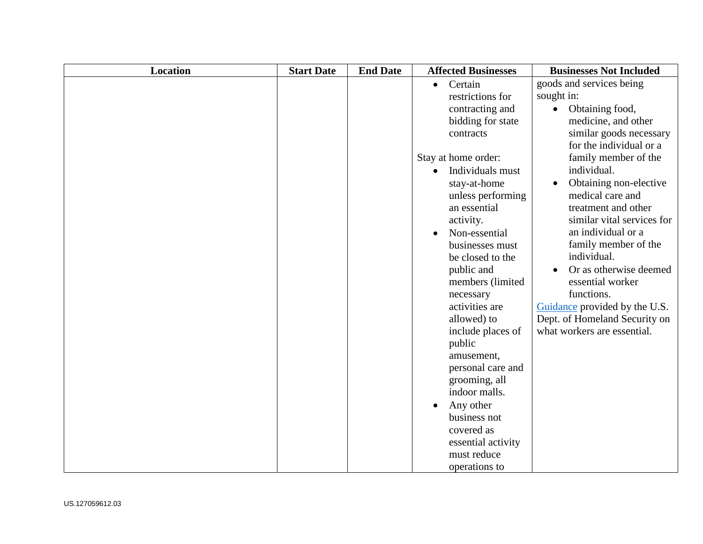| <b>Location</b> | <b>Start Date</b> | <b>End Date</b> | <b>Affected Businesses</b>    | <b>Businesses Not Included</b> |
|-----------------|-------------------|-----------------|-------------------------------|--------------------------------|
|                 |                   |                 | Certain<br>$\bullet$          | goods and services being       |
|                 |                   |                 | restrictions for              | sought in:                     |
|                 |                   |                 | contracting and               | Obtaining food,                |
|                 |                   |                 | bidding for state             | medicine, and other            |
|                 |                   |                 | contracts                     | similar goods necessary        |
|                 |                   |                 |                               | for the individual or a        |
|                 |                   |                 | Stay at home order:           | family member of the           |
|                 |                   |                 | Individuals must<br>$\bullet$ | individual.                    |
|                 |                   |                 | stay-at-home                  | Obtaining non-elective         |
|                 |                   |                 | unless performing             | medical care and               |
|                 |                   |                 | an essential                  | treatment and other            |
|                 |                   |                 | activity.                     | similar vital services for     |
|                 |                   |                 | Non-essential                 | an individual or a             |
|                 |                   |                 | businesses must               | family member of the           |
|                 |                   |                 | be closed to the              | individual.                    |
|                 |                   |                 | public and                    | Or as otherwise deemed         |
|                 |                   |                 | members (limited              | essential worker               |
|                 |                   |                 | necessary                     | functions.                     |
|                 |                   |                 | activities are                | Guidance provided by the U.S.  |
|                 |                   |                 | allowed) to                   | Dept. of Homeland Security on  |
|                 |                   |                 | include places of             | what workers are essential.    |
|                 |                   |                 | public                        |                                |
|                 |                   |                 | amusement,                    |                                |
|                 |                   |                 | personal care and             |                                |
|                 |                   |                 | grooming, all                 |                                |
|                 |                   |                 | indoor malls.                 |                                |
|                 |                   |                 | Any other<br>$\bullet$        |                                |
|                 |                   |                 | business not                  |                                |
|                 |                   |                 | covered as                    |                                |
|                 |                   |                 | essential activity            |                                |
|                 |                   |                 | must reduce                   |                                |
|                 |                   |                 | operations to                 |                                |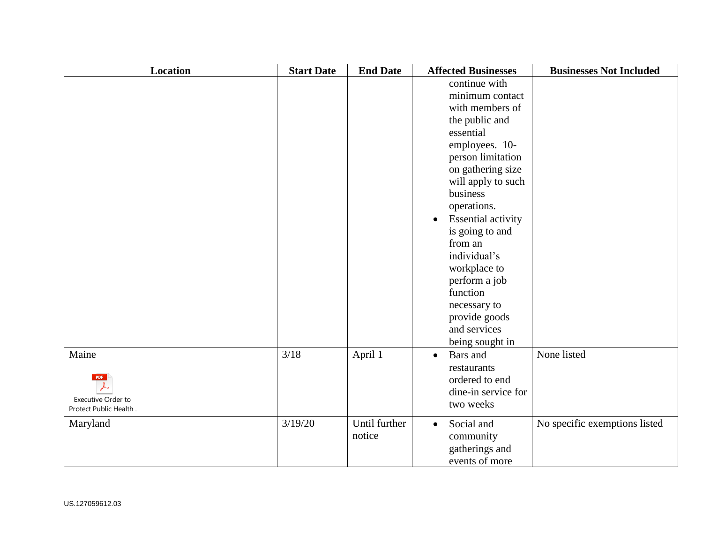| <b>Location</b>                                                     | <b>Start Date</b> | <b>End Date</b>         | <b>Affected Businesses</b>                                                                                                                                                                                                                                                                                                                                                                  | <b>Businesses Not Included</b> |
|---------------------------------------------------------------------|-------------------|-------------------------|---------------------------------------------------------------------------------------------------------------------------------------------------------------------------------------------------------------------------------------------------------------------------------------------------------------------------------------------------------------------------------------------|--------------------------------|
|                                                                     |                   |                         | continue with<br>minimum contact<br>with members of<br>the public and<br>essential<br>employees. 10-<br>person limitation<br>on gathering size<br>will apply to such<br>business<br>operations.<br><b>Essential activity</b><br>is going to and<br>from an<br>individual's<br>workplace to<br>perform a job<br>function<br>necessary to<br>provide goods<br>and services<br>being sought in |                                |
| Maine<br><b>PDF</b><br>Executive Order to<br>Protect Public Health. | $3/18$            | April 1                 | Bars and<br>$\bullet$<br>restaurants<br>ordered to end<br>dine-in service for<br>two weeks                                                                                                                                                                                                                                                                                                  | None listed                    |
| Maryland                                                            | 3/19/20           | Until further<br>notice | Social and<br>$\bullet$<br>community<br>gatherings and<br>events of more                                                                                                                                                                                                                                                                                                                    | No specific exemptions listed  |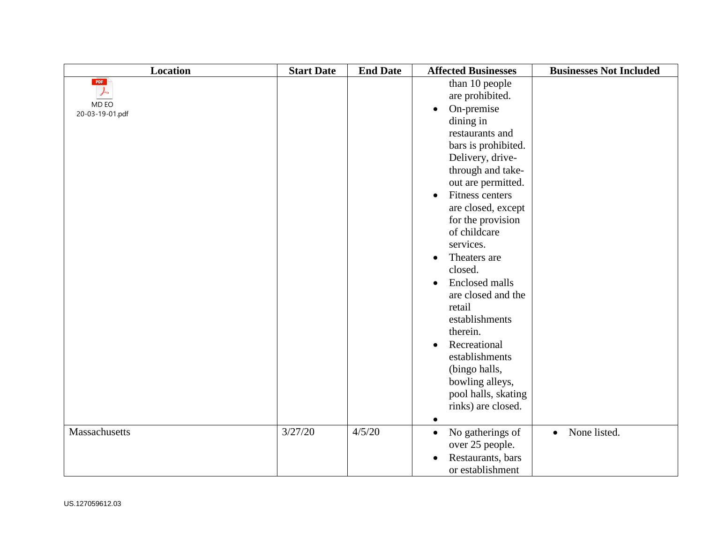| <b>Location</b>                      | <b>Start Date</b> | <b>End Date</b> | <b>Affected Businesses</b>                                                                                                                                                                                                                                                                                                                                                                                                                                                                                                                                             | <b>Businesses Not Included</b> |
|--------------------------------------|-------------------|-----------------|------------------------------------------------------------------------------------------------------------------------------------------------------------------------------------------------------------------------------------------------------------------------------------------------------------------------------------------------------------------------------------------------------------------------------------------------------------------------------------------------------------------------------------------------------------------------|--------------------------------|
| PDF<br>ふ<br>MD EO<br>20-03-19-01.pdf |                   |                 | than 10 people<br>are prohibited.<br>On-premise<br>dining in<br>restaurants and<br>bars is prohibited.<br>Delivery, drive-<br>through and take-<br>out are permitted.<br>Fitness centers<br>$\bullet$<br>are closed, except<br>for the provision<br>of childcare<br>services.<br>Theaters are<br>$\bullet$<br>closed.<br><b>Enclosed malls</b><br>$\bullet$<br>are closed and the<br>retail<br>establishments<br>therein.<br>Recreational<br>$\bullet$<br>establishments<br>(bingo halls,<br>bowling alleys,<br>pool halls, skating<br>rinks) are closed.<br>$\bullet$ |                                |
| Massachusetts                        | 3/27/20           | 4/5/20          | No gatherings of<br>$\bullet$<br>over 25 people.<br>Restaurants, bars<br>$\bullet$<br>or establishment                                                                                                                                                                                                                                                                                                                                                                                                                                                                 | None listed.<br>$\bullet$      |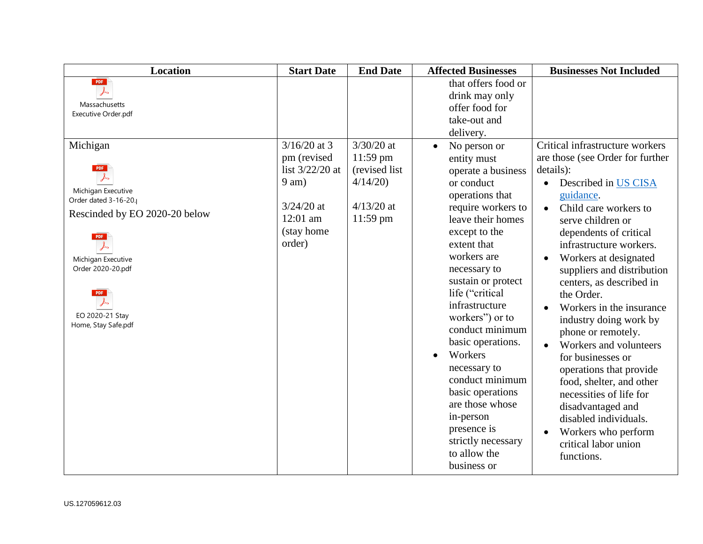| <b>Location</b>                                                                                                                                                                                                        | <b>Start Date</b>                                                                                                 | <b>End Date</b>                                                                       | <b>Affected Businesses</b>                                                                                                                                                                                                                                                                                                                                                                                                                                                                                         | <b>Businesses Not Included</b>                                                                                                                                                                                                                                                                                                                                                                                                                                                                                                                                                                                                                                                                                     |
|------------------------------------------------------------------------------------------------------------------------------------------------------------------------------------------------------------------------|-------------------------------------------------------------------------------------------------------------------|---------------------------------------------------------------------------------------|--------------------------------------------------------------------------------------------------------------------------------------------------------------------------------------------------------------------------------------------------------------------------------------------------------------------------------------------------------------------------------------------------------------------------------------------------------------------------------------------------------------------|--------------------------------------------------------------------------------------------------------------------------------------------------------------------------------------------------------------------------------------------------------------------------------------------------------------------------------------------------------------------------------------------------------------------------------------------------------------------------------------------------------------------------------------------------------------------------------------------------------------------------------------------------------------------------------------------------------------------|
| PDF<br>$\lambda$<br>Massachusetts<br>Executive Order.pdf                                                                                                                                                               |                                                                                                                   |                                                                                       | that offers food or<br>drink may only<br>offer food for<br>take-out and<br>delivery.                                                                                                                                                                                                                                                                                                                                                                                                                               |                                                                                                                                                                                                                                                                                                                                                                                                                                                                                                                                                                                                                                                                                                                    |
| Michigan<br><b>PDF</b><br>Michigan Executive<br>Order dated 3-16-20.<br>Rescinded by EO 2020-20 below<br><b>PDF</b><br>Michigan Executive<br>Order 2020-20.pdf<br><b>PDF</b><br>EO 2020-21 Stay<br>Home, Stay Safe.pdf | $3/16/20$ at 3<br>pm (revised<br>list $3/22/20$ at<br>$9$ am)<br>$3/24/20$ at<br>12:01 am<br>(stay home<br>order) | $3/30/20$ at<br>$11:59$ pm<br>(revised list)<br>4/14/20<br>$4/13/20$ at<br>$11:59$ pm | No person or<br>$\bullet$<br>entity must<br>operate a business<br>or conduct<br>operations that<br>require workers to<br>leave their homes<br>except to the<br>extent that<br>workers are<br>necessary to<br>sustain or protect<br>life ("critical<br>infrastructure<br>workers") or to<br>conduct minimum<br>basic operations.<br>Workers<br>$\bullet$<br>necessary to<br>conduct minimum<br>basic operations<br>are those whose<br>in-person<br>presence is<br>strictly necessary<br>to allow the<br>business or | Critical infrastructure workers<br>are those (see Order for further<br>details):<br>Described in US CISA<br>$\bullet$<br>guidance.<br>Child care workers to<br>$\bullet$<br>serve children or<br>dependents of critical<br>infrastructure workers.<br>Workers at designated<br>$\bullet$<br>suppliers and distribution<br>centers, as described in<br>the Order.<br>Workers in the insurance<br>industry doing work by<br>phone or remotely.<br>Workers and volunteers<br>$\bullet$<br>for businesses or<br>operations that provide<br>food, shelter, and other<br>necessities of life for<br>disadvantaged and<br>disabled individuals.<br>Workers who perform<br>$\bullet$<br>critical labor union<br>functions. |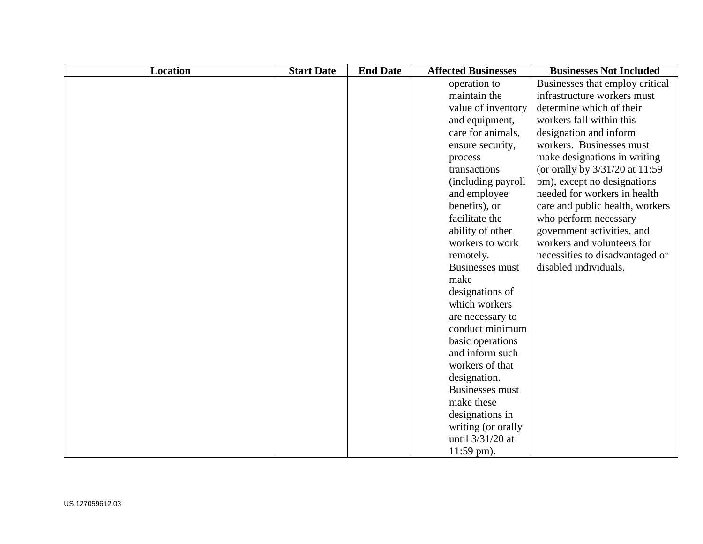| <b>Location</b> | <b>Start Date</b> | <b>End Date</b> | <b>Affected Businesses</b> | <b>Businesses Not Included</b>   |
|-----------------|-------------------|-----------------|----------------------------|----------------------------------|
|                 |                   |                 | operation to               | Businesses that employ critical  |
|                 |                   |                 | maintain the               | infrastructure workers must      |
|                 |                   |                 | value of inventory         | determine which of their         |
|                 |                   |                 | and equipment,             | workers fall within this         |
|                 |                   |                 | care for animals,          | designation and inform           |
|                 |                   |                 | ensure security,           | workers. Businesses must         |
|                 |                   |                 | process                    | make designations in writing     |
|                 |                   |                 | transactions               | (or orally by $3/31/20$ at 11:59 |
|                 |                   |                 | (including payroll)        | pm), except no designations      |
|                 |                   |                 | and employee               | needed for workers in health     |
|                 |                   |                 | benefits), or              | care and public health, workers  |
|                 |                   |                 | facilitate the             | who perform necessary            |
|                 |                   |                 | ability of other           | government activities, and       |
|                 |                   |                 | workers to work            | workers and volunteers for       |
|                 |                   |                 | remotely.                  | necessities to disadvantaged or  |
|                 |                   |                 | <b>Businesses must</b>     | disabled individuals.            |
|                 |                   |                 | make                       |                                  |
|                 |                   |                 | designations of            |                                  |
|                 |                   |                 | which workers              |                                  |
|                 |                   |                 | are necessary to           |                                  |
|                 |                   |                 | conduct minimum            |                                  |
|                 |                   |                 | basic operations           |                                  |
|                 |                   |                 | and inform such            |                                  |
|                 |                   |                 | workers of that            |                                  |
|                 |                   |                 | designation.               |                                  |
|                 |                   |                 | <b>Businesses must</b>     |                                  |
|                 |                   |                 | make these                 |                                  |
|                 |                   |                 | designations in            |                                  |
|                 |                   |                 | writing (or orally         |                                  |
|                 |                   |                 | until 3/31/20 at           |                                  |
|                 |                   |                 | $11:59$ pm).               |                                  |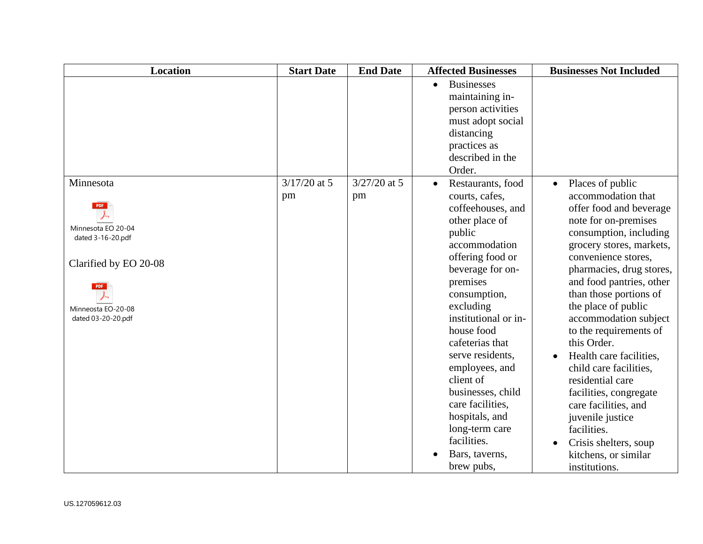| <b>Location</b>                                                                                                                                       | <b>Start Date</b>    | <b>End Date</b>      | <b>Affected Businesses</b>                                                                                                                                                                                                                                                                                                                                                                                                                  | <b>Businesses Not Included</b>                                                                                                                                                                                                                                                                                                                                                                                                                                                                                                                                                                 |
|-------------------------------------------------------------------------------------------------------------------------------------------------------|----------------------|----------------------|---------------------------------------------------------------------------------------------------------------------------------------------------------------------------------------------------------------------------------------------------------------------------------------------------------------------------------------------------------------------------------------------------------------------------------------------|------------------------------------------------------------------------------------------------------------------------------------------------------------------------------------------------------------------------------------------------------------------------------------------------------------------------------------------------------------------------------------------------------------------------------------------------------------------------------------------------------------------------------------------------------------------------------------------------|
|                                                                                                                                                       |                      |                      | <b>Businesses</b><br>$\bullet$<br>maintaining in-<br>person activities<br>must adopt social<br>distancing<br>practices as<br>described in the<br>Order.                                                                                                                                                                                                                                                                                     |                                                                                                                                                                                                                                                                                                                                                                                                                                                                                                                                                                                                |
| Minnesota<br><b>PDF</b><br>Minnesota EO 20-04<br>dated 3-16-20.pdf<br>Clarified by EO 20-08<br><b>PDF</b><br>Minneosta EO-20-08<br>dated 03-20-20.pdf | $3/17/20$ at 5<br>pm | $3/27/20$ at 5<br>pm | Restaurants, food<br>$\bullet$<br>courts, cafes,<br>coffeehouses, and<br>other place of<br>public<br>accommodation<br>offering food or<br>beverage for on-<br>premises<br>consumption,<br>excluding<br>institutional or in-<br>house food<br>cafeterias that<br>serve residents,<br>employees, and<br>client of<br>businesses, child<br>care facilities,<br>hospitals, and<br>long-term care<br>facilities.<br>Bars, taverns,<br>brew pubs, | Places of public<br>$\bullet$<br>accommodation that<br>offer food and beverage<br>note for on-premises<br>consumption, including<br>grocery stores, markets,<br>convenience stores,<br>pharmacies, drug stores,<br>and food pantries, other<br>than those portions of<br>the place of public<br>accommodation subject<br>to the requirements of<br>this Order.<br>Health care facilities,<br>child care facilities,<br>residential care<br>facilities, congregate<br>care facilities, and<br>juvenile justice<br>facilities.<br>Crisis shelters, soup<br>kitchens, or similar<br>institutions. |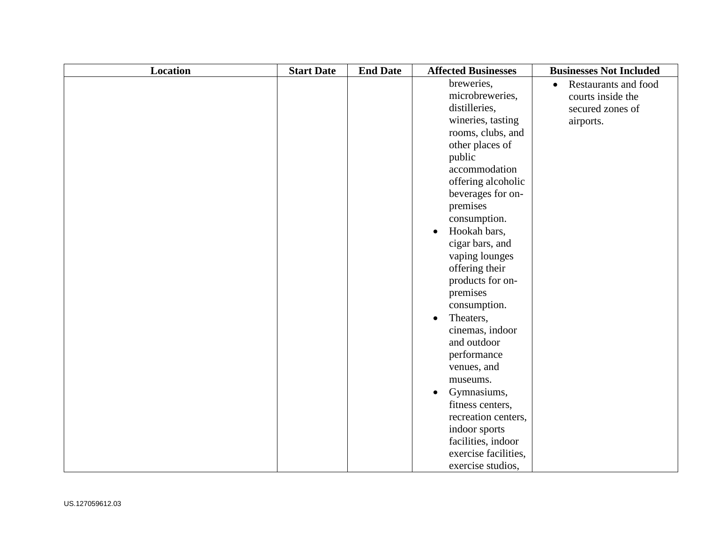| <b>Location</b> | <b>Start Date</b> | <b>End Date</b> | <b>Affected Businesses</b> | <b>Businesses Not Included</b>           |
|-----------------|-------------------|-----------------|----------------------------|------------------------------------------|
|                 |                   |                 | breweries,                 | <b>Restaurants and food</b><br>$\bullet$ |
|                 |                   |                 | microbreweries,            | courts inside the                        |
|                 |                   |                 | distilleries,              | secured zones of                         |
|                 |                   |                 | wineries, tasting          | airports.                                |
|                 |                   |                 | rooms, clubs, and          |                                          |
|                 |                   |                 | other places of            |                                          |
|                 |                   |                 | public                     |                                          |
|                 |                   |                 | accommodation              |                                          |
|                 |                   |                 | offering alcoholic         |                                          |
|                 |                   |                 | beverages for on-          |                                          |
|                 |                   |                 | premises                   |                                          |
|                 |                   |                 | consumption.               |                                          |
|                 |                   |                 | Hookah bars,<br>$\bullet$  |                                          |
|                 |                   |                 | cigar bars, and            |                                          |
|                 |                   |                 | vaping lounges             |                                          |
|                 |                   |                 | offering their             |                                          |
|                 |                   |                 | products for on-           |                                          |
|                 |                   |                 | premises                   |                                          |
|                 |                   |                 | consumption.               |                                          |
|                 |                   |                 | Theaters,<br>$\bullet$     |                                          |
|                 |                   |                 | cinemas, indoor            |                                          |
|                 |                   |                 | and outdoor                |                                          |
|                 |                   |                 | performance                |                                          |
|                 |                   |                 | venues, and                |                                          |
|                 |                   |                 | museums.                   |                                          |
|                 |                   |                 | Gymnasiums,                |                                          |
|                 |                   |                 | fitness centers,           |                                          |
|                 |                   |                 | recreation centers,        |                                          |
|                 |                   |                 | indoor sports              |                                          |
|                 |                   |                 | facilities, indoor         |                                          |
|                 |                   |                 | exercise facilities,       |                                          |
|                 |                   |                 | exercise studios,          |                                          |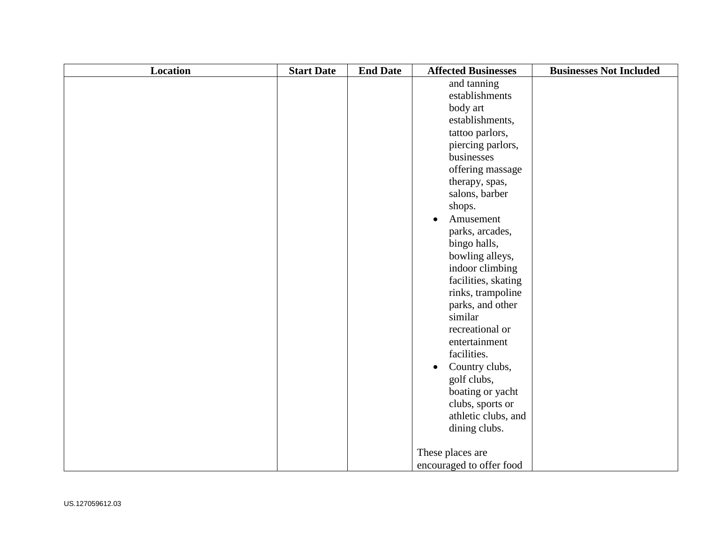| Location | <b>Start Date</b> | <b>End Date</b> | <b>Affected Businesses</b>  | <b>Businesses Not Included</b> |
|----------|-------------------|-----------------|-----------------------------|--------------------------------|
|          |                   |                 | and tanning                 |                                |
|          |                   |                 | establishments              |                                |
|          |                   |                 | body art                    |                                |
|          |                   |                 | establishments,             |                                |
|          |                   |                 | tattoo parlors,             |                                |
|          |                   |                 | piercing parlors,           |                                |
|          |                   |                 | businesses                  |                                |
|          |                   |                 | offering massage            |                                |
|          |                   |                 | therapy, spas,              |                                |
|          |                   |                 | salons, barber              |                                |
|          |                   |                 | shops.                      |                                |
|          |                   |                 | Amusement<br>$\bullet$      |                                |
|          |                   |                 | parks, arcades,             |                                |
|          |                   |                 | bingo halls,                |                                |
|          |                   |                 | bowling alleys,             |                                |
|          |                   |                 | indoor climbing             |                                |
|          |                   |                 | facilities, skating         |                                |
|          |                   |                 | rinks, trampoline           |                                |
|          |                   |                 | parks, and other            |                                |
|          |                   |                 | similar                     |                                |
|          |                   |                 | recreational or             |                                |
|          |                   |                 | entertainment               |                                |
|          |                   |                 | facilities.                 |                                |
|          |                   |                 | Country clubs,<br>$\bullet$ |                                |
|          |                   |                 | golf clubs,                 |                                |
|          |                   |                 | boating or yacht            |                                |
|          |                   |                 | clubs, sports or            |                                |
|          |                   |                 | athletic clubs, and         |                                |
|          |                   |                 | dining clubs.               |                                |
|          |                   |                 |                             |                                |
|          |                   |                 | These places are            |                                |
|          |                   |                 | encouraged to offer food    |                                |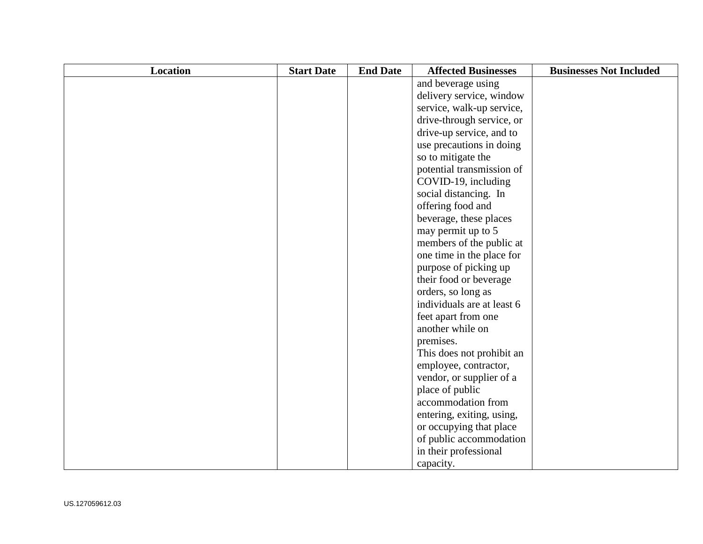| <b>Location</b> | <b>Start Date</b> | <b>End Date</b> | <b>Affected Businesses</b> | <b>Businesses Not Included</b> |
|-----------------|-------------------|-----------------|----------------------------|--------------------------------|
|                 |                   |                 | and beverage using         |                                |
|                 |                   |                 | delivery service, window   |                                |
|                 |                   |                 | service, walk-up service,  |                                |
|                 |                   |                 | drive-through service, or  |                                |
|                 |                   |                 | drive-up service, and to   |                                |
|                 |                   |                 | use precautions in doing   |                                |
|                 |                   |                 | so to mitigate the         |                                |
|                 |                   |                 | potential transmission of  |                                |
|                 |                   |                 | COVID-19, including        |                                |
|                 |                   |                 | social distancing. In      |                                |
|                 |                   |                 | offering food and          |                                |
|                 |                   |                 | beverage, these places     |                                |
|                 |                   |                 | may permit up to 5         |                                |
|                 |                   |                 | members of the public at   |                                |
|                 |                   |                 | one time in the place for  |                                |
|                 |                   |                 | purpose of picking up      |                                |
|                 |                   |                 | their food or beverage     |                                |
|                 |                   |                 | orders, so long as         |                                |
|                 |                   |                 | individuals are at least 6 |                                |
|                 |                   |                 | feet apart from one        |                                |
|                 |                   |                 | another while on           |                                |
|                 |                   |                 | premises.                  |                                |
|                 |                   |                 | This does not prohibit an  |                                |
|                 |                   |                 | employee, contractor,      |                                |
|                 |                   |                 | vendor, or supplier of a   |                                |
|                 |                   |                 | place of public            |                                |
|                 |                   |                 | accommodation from         |                                |
|                 |                   |                 | entering, exiting, using,  |                                |
|                 |                   |                 | or occupying that place    |                                |
|                 |                   |                 | of public accommodation    |                                |
|                 |                   |                 | in their professional      |                                |
|                 |                   |                 | capacity.                  |                                |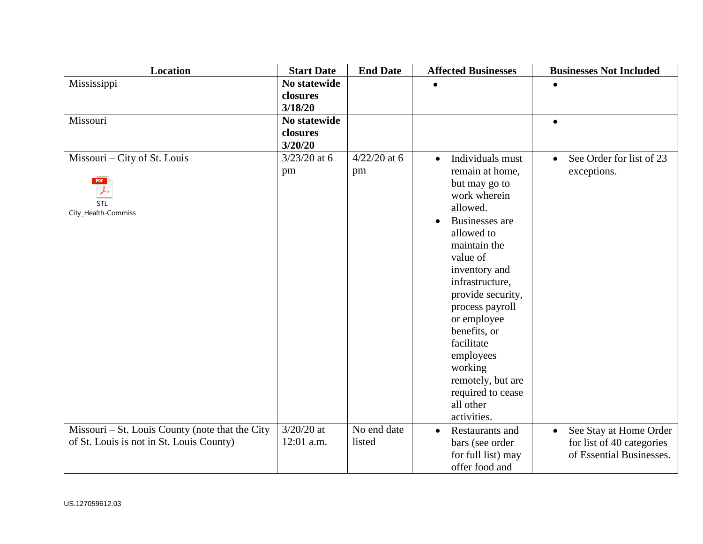| <b>Location</b>                                 | <b>Start Date</b> | <b>End Date</b> | <b>Affected Businesses</b>    | <b>Businesses Not Included</b>      |
|-------------------------------------------------|-------------------|-----------------|-------------------------------|-------------------------------------|
| Mississippi                                     | No statewide      |                 |                               |                                     |
|                                                 | closures          |                 |                               |                                     |
|                                                 | 3/18/20           |                 |                               |                                     |
| Missouri                                        | No statewide      |                 |                               | $\bullet$                           |
|                                                 | closures          |                 |                               |                                     |
|                                                 | 3/20/20           |                 |                               |                                     |
| Missouri - City of St. Louis                    | $3/23/20$ at 6    | $4/22/20$ at 6  | Individuals must<br>$\bullet$ | See Order for list of 23            |
|                                                 | pm                | pm              | remain at home,               | exceptions.                         |
| <b>PDF</b>                                      |                   |                 | but may go to                 |                                     |
|                                                 |                   |                 | work wherein                  |                                     |
| STL<br>City_Health-Commiss                      |                   |                 | allowed.                      |                                     |
|                                                 |                   |                 | Businesses are<br>$\bullet$   |                                     |
|                                                 |                   |                 | allowed to                    |                                     |
|                                                 |                   |                 | maintain the                  |                                     |
|                                                 |                   |                 | value of                      |                                     |
|                                                 |                   |                 | inventory and                 |                                     |
|                                                 |                   |                 | infrastructure,               |                                     |
|                                                 |                   |                 | provide security,             |                                     |
|                                                 |                   |                 | process payroll               |                                     |
|                                                 |                   |                 | or employee                   |                                     |
|                                                 |                   |                 | benefits, or                  |                                     |
|                                                 |                   |                 | facilitate                    |                                     |
|                                                 |                   |                 | employees                     |                                     |
|                                                 |                   |                 | working                       |                                     |
|                                                 |                   |                 | remotely, but are             |                                     |
|                                                 |                   |                 | required to cease             |                                     |
|                                                 |                   |                 | all other                     |                                     |
|                                                 |                   |                 | activities.                   |                                     |
| Missouri – St. Louis County (note that the City | $3/20/20$ at      | No end date     | Restaurants and<br>$\bullet$  | See Stay at Home Order<br>$\bullet$ |
| of St. Louis is not in St. Louis County)        | 12:01 a.m.        | listed          | bars (see order               | for list of 40 categories           |
|                                                 |                   |                 | for full list) may            | of Essential Businesses.            |
|                                                 |                   |                 | offer food and                |                                     |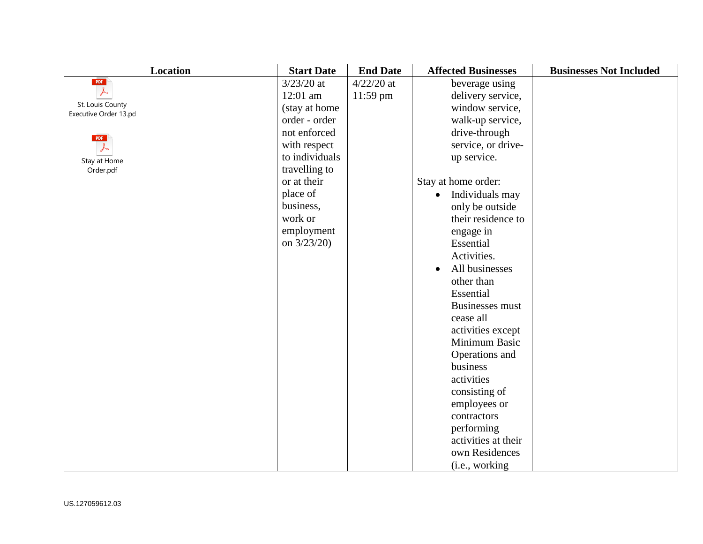| <b>Location</b>                           | <b>Start Date</b> | <b>End Date</b> | <b>Affected Businesses</b>   | <b>Businesses Not Included</b> |
|-------------------------------------------|-------------------|-----------------|------------------------------|--------------------------------|
| PDF                                       | $3/23/20$ at      | $4/22/20$ at    | beverage using               |                                |
| ーム                                        | $12:01$ am        | $11:59$ pm      | delivery service,            |                                |
| St. Louis County<br>Executive Order 13.pd | (stay at home     |                 | window service,              |                                |
|                                           | order - order     |                 | walk-up service,             |                                |
| PDF                                       | not enforced      |                 | drive-through                |                                |
|                                           | with respect      |                 | service, or drive-           |                                |
| Stay at Home                              | to individuals    |                 | up service.                  |                                |
| Order.pdf                                 | travelling to     |                 |                              |                                |
|                                           | or at their       |                 | Stay at home order:          |                                |
|                                           | place of          |                 | Individuals may<br>$\bullet$ |                                |
|                                           | business,         |                 | only be outside              |                                |
|                                           | work or           |                 | their residence to           |                                |
|                                           | employment        |                 | engage in                    |                                |
|                                           | on 3/23/20)       |                 | Essential                    |                                |
|                                           |                   |                 | Activities.                  |                                |
|                                           |                   |                 | All businesses<br>$\bullet$  |                                |
|                                           |                   |                 | other than                   |                                |
|                                           |                   |                 | Essential                    |                                |
|                                           |                   |                 | <b>Businesses must</b>       |                                |
|                                           |                   |                 | cease all                    |                                |
|                                           |                   |                 | activities except            |                                |
|                                           |                   |                 | Minimum Basic                |                                |
|                                           |                   |                 | Operations and               |                                |
|                                           |                   |                 | business                     |                                |
|                                           |                   |                 | activities                   |                                |
|                                           |                   |                 | consisting of                |                                |
|                                           |                   |                 | employees or                 |                                |
|                                           |                   |                 | contractors                  |                                |
|                                           |                   |                 | performing                   |                                |
|                                           |                   |                 | activities at their          |                                |
|                                           |                   |                 | own Residences               |                                |
|                                           |                   |                 | (i.e., working               |                                |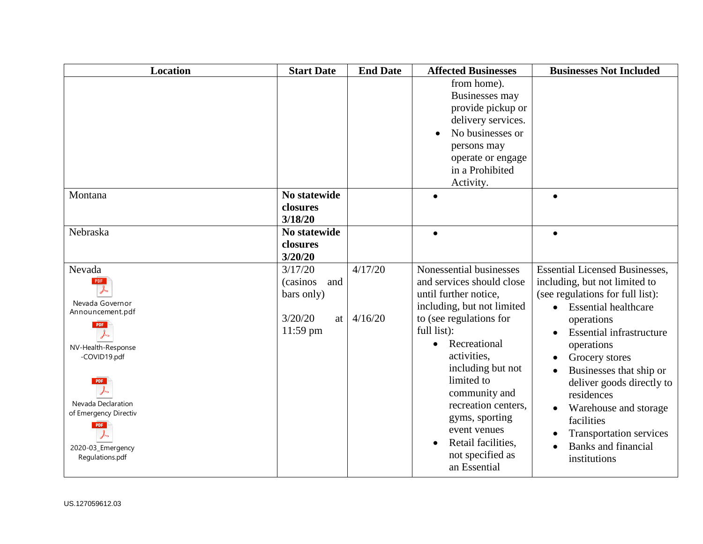| <b>Location</b>                                                                                                                                                                                                      | <b>Start Date</b>                                                      | <b>End Date</b>    | <b>Affected Businesses</b>                                                                                                                                                                                                                                                                                                                                               | <b>Businesses Not Included</b>                                                                                                                                                                                                                                                                                                                                                                                                       |
|----------------------------------------------------------------------------------------------------------------------------------------------------------------------------------------------------------------------|------------------------------------------------------------------------|--------------------|--------------------------------------------------------------------------------------------------------------------------------------------------------------------------------------------------------------------------------------------------------------------------------------------------------------------------------------------------------------------------|--------------------------------------------------------------------------------------------------------------------------------------------------------------------------------------------------------------------------------------------------------------------------------------------------------------------------------------------------------------------------------------------------------------------------------------|
|                                                                                                                                                                                                                      |                                                                        |                    | from home).<br>Businesses may<br>provide pickup or<br>delivery services.<br>No businesses or<br>persons may<br>operate or engage<br>in a Prohibited<br>Activity.                                                                                                                                                                                                         |                                                                                                                                                                                                                                                                                                                                                                                                                                      |
| Montana                                                                                                                                                                                                              | <b>No statewide</b><br>closures<br>3/18/20                             |                    |                                                                                                                                                                                                                                                                                                                                                                          |                                                                                                                                                                                                                                                                                                                                                                                                                                      |
| Nebraska                                                                                                                                                                                                             | <b>No statewide</b><br>closures<br>3/20/20                             |                    | $\bullet$                                                                                                                                                                                                                                                                                                                                                                | $\bullet$                                                                                                                                                                                                                                                                                                                                                                                                                            |
| Nevada<br><b>PDF</b><br>Nevada Governor<br>Announcement.pdf<br><b>PDF</b><br>NV-Health-Response<br>-COVID19.pdf<br>Nevada Declaration<br>of Emergency Directiv<br><b>PDF</b><br>2020-03_Emergency<br>Regulations.pdf | 3/17/20<br>(casinos)<br>and<br>bars only)<br>3/20/20<br>at<br>11:59 pm | 4/17/20<br>4/16/20 | Nonessential businesses<br>and services should close<br>until further notice,<br>including, but not limited<br>to (see regulations for<br>full list):<br>Recreational<br>$\bullet$<br>activities,<br>including but not<br>limited to<br>community and<br>recreation centers.<br>gyms, sporting<br>event venues<br>Retail facilities,<br>not specified as<br>an Essential | <b>Essential Licensed Businesses,</b><br>including, but not limited to<br>(see regulations for full list):<br><b>Essential healthcare</b><br>operations<br><b>Essential infrastructure</b><br>operations<br>Grocery stores<br>Businesses that ship or<br>deliver goods directly to<br>residences<br>Warehouse and storage<br>$\bullet$<br>facilities<br><b>Transportation services</b><br><b>Banks and financial</b><br>institutions |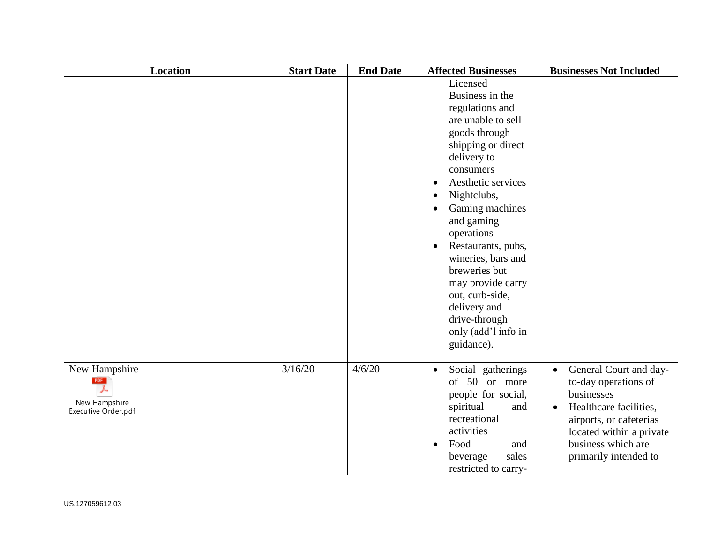| <b>Location</b>                                                     | <b>Start Date</b> | <b>End Date</b> | <b>Affected Businesses</b>                                                                                                                                                                                                                                                                                                                                                                                                       | <b>Businesses Not Included</b>                                                                                                                                                                              |
|---------------------------------------------------------------------|-------------------|-----------------|----------------------------------------------------------------------------------------------------------------------------------------------------------------------------------------------------------------------------------------------------------------------------------------------------------------------------------------------------------------------------------------------------------------------------------|-------------------------------------------------------------------------------------------------------------------------------------------------------------------------------------------------------------|
|                                                                     |                   |                 | Licensed<br>Business in the<br>regulations and<br>are unable to sell<br>goods through<br>shipping or direct<br>delivery to<br>consumers<br>Aesthetic services<br>Nightclubs,<br>Gaming machines<br>$\bullet$<br>and gaming<br>operations<br>Restaurants, pubs,<br>$\bullet$<br>wineries, bars and<br>breweries but<br>may provide carry<br>out, curb-side,<br>delivery and<br>drive-through<br>only (add'l info in<br>guidance). |                                                                                                                                                                                                             |
| New Hampshire<br><b>PDF</b><br>New Hampshire<br>Executive Order.pdf | 3/16/20           | 4/6/20          | Social gatherings<br>$\bullet$<br>50 or more<br>of<br>people for social,<br>spiritual<br>and<br>recreational<br>activities<br>Food<br>and<br>$\bullet$<br>sales<br>beverage<br>restricted to carry-                                                                                                                                                                                                                              | • General Court and day-<br>to-day operations of<br>businesses<br>Healthcare facilities,<br>$\bullet$<br>airports, or cafeterias<br>located within a private<br>business which are<br>primarily intended to |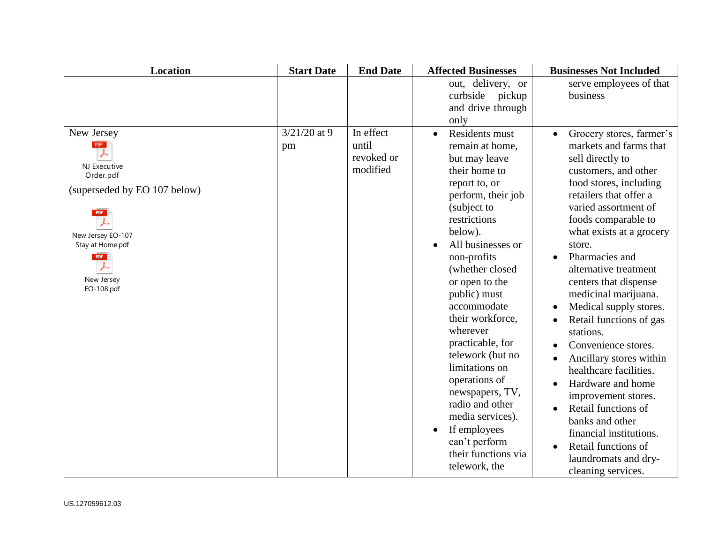| <b>Location</b>                                                                                                                                                                 | <b>Start Date</b>    | <b>End Date</b>                              | <b>Affected Businesses</b>                                                                                                                                                                                                                                                                                                                                                                                                                                                                                                     | <b>Businesses Not Included</b>                                                                                                                                                                                                                                                                                                                                                                                                                                                                                                                                                                                                                                                                                                           |
|---------------------------------------------------------------------------------------------------------------------------------------------------------------------------------|----------------------|----------------------------------------------|--------------------------------------------------------------------------------------------------------------------------------------------------------------------------------------------------------------------------------------------------------------------------------------------------------------------------------------------------------------------------------------------------------------------------------------------------------------------------------------------------------------------------------|------------------------------------------------------------------------------------------------------------------------------------------------------------------------------------------------------------------------------------------------------------------------------------------------------------------------------------------------------------------------------------------------------------------------------------------------------------------------------------------------------------------------------------------------------------------------------------------------------------------------------------------------------------------------------------------------------------------------------------------|
|                                                                                                                                                                                 |                      |                                              | out, delivery, or<br>curbside pickup<br>and drive through<br>only                                                                                                                                                                                                                                                                                                                                                                                                                                                              | serve employees of that<br>business                                                                                                                                                                                                                                                                                                                                                                                                                                                                                                                                                                                                                                                                                                      |
| New Jersey<br>PDF<br>NJ Executive<br>Order.pdf<br>(superseded by EO 107 below)<br><b>PDF</b><br>New Jersey EO-107<br>Stay at Home.pdf<br><b>PDF</b><br>New Jersey<br>EO-108.pdf | $3/21/20$ at 9<br>pm | In effect<br>until<br>revoked or<br>modified | <b>Residents must</b><br>$\bullet$<br>remain at home,<br>but may leave<br>their home to<br>report to, or<br>perform, their job<br>(subject to<br>restrictions<br>below).<br>All businesses or<br>non-profits<br>(whether closed<br>or open to the<br>public) must<br>accommodate<br>their workforce,<br>wherever<br>practicable, for<br>telework (but no<br>limitations on<br>operations of<br>newspapers, TV,<br>radio and other<br>media services).<br>If employees<br>can't perform<br>their functions via<br>telework, the | Grocery stores, farmer's<br>$\bullet$<br>markets and farms that<br>sell directly to<br>customers, and other<br>food stores, including<br>retailers that offer a<br>varied assortment of<br>foods comparable to<br>what exists at a grocery<br>store.<br>Pharmacies and<br>alternative treatment<br>centers that dispense<br>medicinal marijuana.<br>Medical supply stores.<br>$\bullet$<br>Retail functions of gas<br>$\bullet$<br>stations.<br>Convenience stores.<br>Ancillary stores within<br>healthcare facilities.<br>Hardware and home<br>improvement stores.<br>Retail functions of<br>$\bullet$<br>banks and other<br>financial institutions.<br>Retail functions of<br>$\bullet$<br>laundromats and dry-<br>cleaning services. |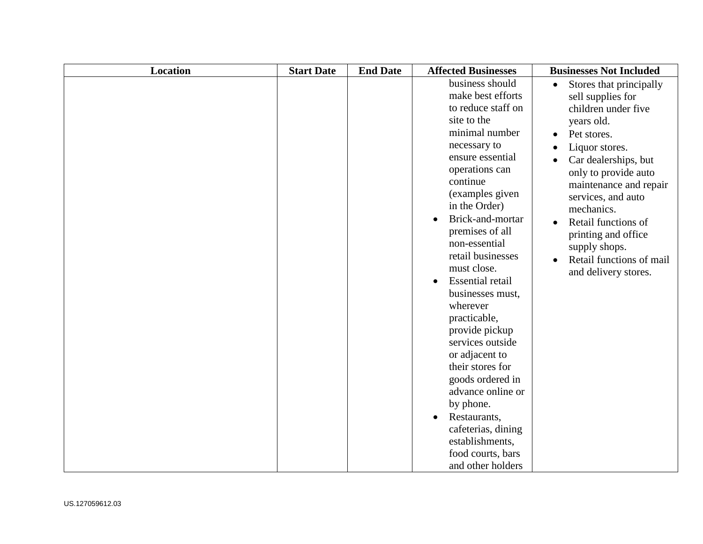| Location | <b>Start Date</b> | <b>End Date</b> | <b>Affected Businesses</b>                                                                                                                                                                                                                                                                                                                                                                                                                                                                                                                                                                                    | <b>Businesses Not Included</b>                                                                                                                                                                                                                                                                                                                      |
|----------|-------------------|-----------------|---------------------------------------------------------------------------------------------------------------------------------------------------------------------------------------------------------------------------------------------------------------------------------------------------------------------------------------------------------------------------------------------------------------------------------------------------------------------------------------------------------------------------------------------------------------------------------------------------------------|-----------------------------------------------------------------------------------------------------------------------------------------------------------------------------------------------------------------------------------------------------------------------------------------------------------------------------------------------------|
|          |                   |                 | business should<br>make best efforts<br>to reduce staff on<br>site to the<br>minimal number<br>necessary to<br>ensure essential<br>operations can<br>continue<br>(examples given<br>in the Order)<br>Brick-and-mortar<br>premises of all<br>non-essential<br>retail businesses<br>must close.<br><b>Essential retail</b><br>businesses must,<br>wherever<br>practicable,<br>provide pickup<br>services outside<br>or adjacent to<br>their stores for<br>goods ordered in<br>advance online or<br>by phone.<br>Restaurants,<br>cafeterias, dining<br>establishments,<br>food courts, bars<br>and other holders | Stores that principally<br>sell supplies for<br>children under five<br>years old.<br>Pet stores.<br>Liquor stores.<br>Car dealerships, but<br>only to provide auto<br>maintenance and repair<br>services, and auto<br>mechanics.<br>Retail functions of<br>printing and office<br>supply shops.<br>Retail functions of mail<br>and delivery stores. |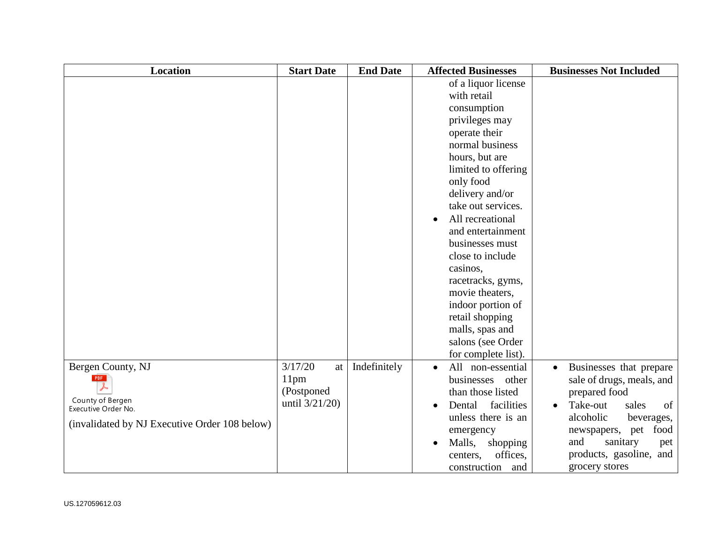| <b>Location</b>                               | <b>Start Date</b> | <b>End Date</b> | <b>Affected Businesses</b>     | <b>Businesses Not Included</b>       |
|-----------------------------------------------|-------------------|-----------------|--------------------------------|--------------------------------------|
|                                               |                   |                 | of a liquor license            |                                      |
|                                               |                   |                 | with retail                    |                                      |
|                                               |                   |                 | consumption                    |                                      |
|                                               |                   |                 | privileges may                 |                                      |
|                                               |                   |                 | operate their                  |                                      |
|                                               |                   |                 | normal business                |                                      |
|                                               |                   |                 | hours, but are                 |                                      |
|                                               |                   |                 | limited to offering            |                                      |
|                                               |                   |                 | only food                      |                                      |
|                                               |                   |                 | delivery and/or                |                                      |
|                                               |                   |                 | take out services.             |                                      |
|                                               |                   |                 | All recreational<br>$\bullet$  |                                      |
|                                               |                   |                 | and entertainment              |                                      |
|                                               |                   |                 | businesses must                |                                      |
|                                               |                   |                 | close to include               |                                      |
|                                               |                   |                 | casinos,                       |                                      |
|                                               |                   |                 | racetracks, gyms,              |                                      |
|                                               |                   |                 | movie theaters,                |                                      |
|                                               |                   |                 | indoor portion of              |                                      |
|                                               |                   |                 | retail shopping                |                                      |
|                                               |                   |                 | malls, spas and                |                                      |
|                                               |                   |                 | salons (see Order              |                                      |
|                                               |                   |                 | for complete list).            |                                      |
| Bergen County, NJ                             | 3/17/20<br>at     | Indefinitely    | All non-essential<br>$\bullet$ | Businesses that prepare<br>$\bullet$ |
| PDF                                           | 11 <sub>pm</sub>  |                 | businesses other               | sale of drugs, meals, and            |
|                                               | (Postponed        |                 | than those listed              | prepared food                        |
| County of Bergen<br>Executive Order No.       | until $3/21/20$ ) |                 | Dental<br>facilities           | Take-out<br>of<br>sales              |
|                                               |                   |                 | unless there is an             | alcoholic<br>beverages,              |
| (invalidated by NJ Executive Order 108 below) |                   |                 | emergency                      | newspapers, pet food                 |
|                                               |                   |                 | Malls,<br>shopping             | and<br>sanitary<br>pet               |
|                                               |                   |                 | offices,<br>centers,           | products, gasoline, and              |
|                                               |                   |                 | construction<br>and            | grocery stores                       |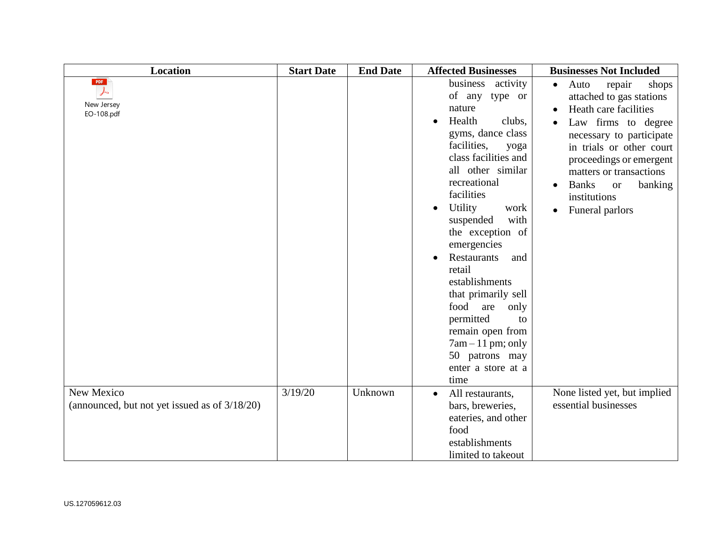| <b>Location</b>                                             | <b>Start Date</b> | <b>End Date</b> | <b>Affected Businesses</b>                                                                                                                                                                                                                                                                                                                                                                                                                                                         | <b>Businesses Not Included</b>                                                                                                                                                                                                                                                                                                      |
|-------------------------------------------------------------|-------------------|-----------------|------------------------------------------------------------------------------------------------------------------------------------------------------------------------------------------------------------------------------------------------------------------------------------------------------------------------------------------------------------------------------------------------------------------------------------------------------------------------------------|-------------------------------------------------------------------------------------------------------------------------------------------------------------------------------------------------------------------------------------------------------------------------------------------------------------------------------------|
| PDF<br>$\downarrow$<br>New Jersey<br>EO-108.pdf             |                   |                 | business activity<br>of any type or<br>nature<br>Health<br>clubs,<br>gyms, dance class<br>facilities,<br>yoga<br>class facilities and<br>all other similar<br>recreational<br>facilities<br>Utility<br>work<br>suspended<br>with<br>the exception of<br>emergencies<br>Restaurants<br>and<br>retail<br>establishments<br>that primarily sell<br>food<br>are<br>only<br>permitted<br>to<br>remain open from<br>$7am - 11 pm$ ; only<br>50 patrons may<br>enter a store at a<br>time | Auto<br>repair<br>shops<br>$\bullet$<br>attached to gas stations<br>Heath care facilities<br>Law firms to degree<br>necessary to participate<br>in trials or other court<br>proceedings or emergent<br>matters or transactions<br><b>Banks</b><br>banking<br><b>or</b><br>$\bullet$<br>institutions<br>Funeral parlors<br>$\bullet$ |
| New Mexico<br>(announced, but not yet issued as of 3/18/20) | 3/19/20           | Unknown         | All restaurants,<br>bars, breweries,<br>eateries, and other<br>food<br>establishments<br>limited to takeout                                                                                                                                                                                                                                                                                                                                                                        | None listed yet, but implied<br>essential businesses                                                                                                                                                                                                                                                                                |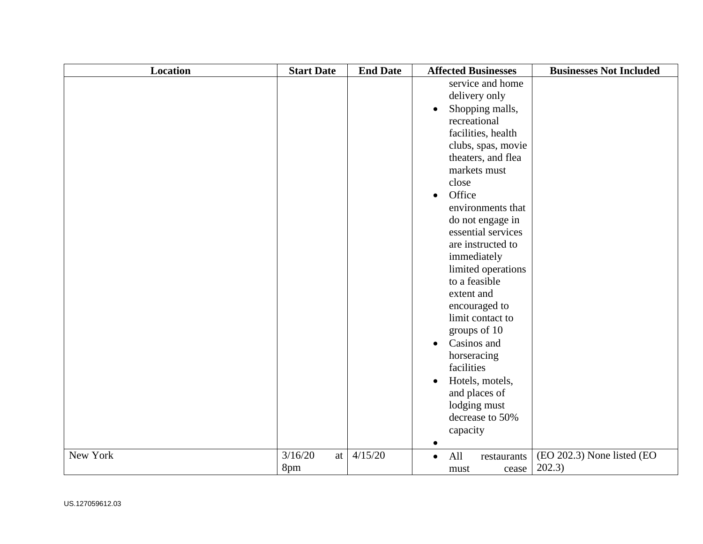| <b>Location</b> | <b>Start Date</b>    | <b>End Date</b> | <b>Affected Businesses</b>                                                                                                                                                                                                                                                                                                                                                                                                                                                                                                                                                             | <b>Businesses Not Included</b>       |
|-----------------|----------------------|-----------------|----------------------------------------------------------------------------------------------------------------------------------------------------------------------------------------------------------------------------------------------------------------------------------------------------------------------------------------------------------------------------------------------------------------------------------------------------------------------------------------------------------------------------------------------------------------------------------------|--------------------------------------|
|                 |                      |                 | service and home<br>delivery only<br>Shopping malls,<br>$\bullet$<br>recreational<br>facilities, health<br>clubs, spas, movie<br>theaters, and flea<br>markets must<br>close<br>Office<br>$\bullet$<br>environments that<br>do not engage in<br>essential services<br>are instructed to<br>immediately<br>limited operations<br>to a feasible<br>extent and<br>encouraged to<br>limit contact to<br>groups of 10<br>Casinos and<br>$\bullet$<br>horseracing<br>facilities<br>Hotels, motels,<br>$\bullet$<br>and places of<br>lodging must<br>decrease to 50%<br>capacity<br>$\bullet$ |                                      |
| New York        | 3/16/20<br>at<br>8pm | 4/15/20         | All<br>restaurants<br>$\bullet$<br>cease<br>must                                                                                                                                                                                                                                                                                                                                                                                                                                                                                                                                       | (EO 202.3) None listed (EO<br>202.3) |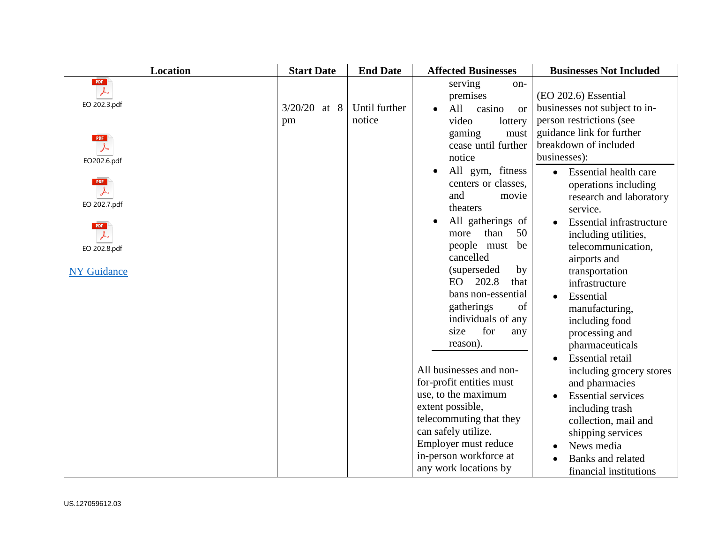| <b>Location</b>                                                                                                                              | <b>Start Date</b>       | <b>End Date</b>         | <b>Affected Businesses</b>                                                                                                                                                                                                                                                          | <b>Businesses Not Included</b>                                                                                                                                                                                                                                                                                                                                       |
|----------------------------------------------------------------------------------------------------------------------------------------------|-------------------------|-------------------------|-------------------------------------------------------------------------------------------------------------------------------------------------------------------------------------------------------------------------------------------------------------------------------------|----------------------------------------------------------------------------------------------------------------------------------------------------------------------------------------------------------------------------------------------------------------------------------------------------------------------------------------------------------------------|
| PDF<br>$\downarrow$<br>EO 202.3.pdf<br><b>PDF</b><br>EO202.6.pdf<br><b>PDF</b><br>$\downarrow$<br>EO 202.7.pdf<br><b>PDF</b><br>EO 202.8.pdf | 3/20/20<br>at $8$<br>pm | Until further<br>notice | serving<br>on-<br>premises<br>All<br>casino<br><b>or</b><br>video<br>lottery<br>gaming<br>must<br>cease until further<br>notice<br>All gym, fitness<br>centers or classes,<br>and<br>movie<br>theaters<br>All gatherings of<br>50<br>than<br>more<br>people must<br>be<br>cancelled | (EO 202.6) Essential<br>businesses not subject to in-<br>person restrictions (see<br>guidance link for further<br>breakdown of included<br>businesses):<br><b>Essential health care</b><br>$\bullet$<br>operations including<br>research and laboratory<br>service.<br><b>Essential infrastructure</b><br>including utilities,<br>telecommunication,<br>airports and |
| <b>NY Guidance</b>                                                                                                                           |                         |                         | (superseded)<br>by<br>EO 202.8<br>that<br>bans non-essential<br>gatherings<br>of<br>individuals of any<br>for<br>size<br>any<br>reason).<br>All businesses and non-<br>for-profit entities must<br>use, to the maximum<br>extent possible,                                          | transportation<br>infrastructure<br>Essential<br>manufacturing,<br>including food<br>processing and<br>pharmaceuticals<br><b>Essential retail</b><br>including grocery stores<br>and pharmacies<br><b>Essential services</b><br>including trash                                                                                                                      |
|                                                                                                                                              |                         |                         | telecommuting that they<br>can safely utilize.<br>Employer must reduce<br>in-person workforce at<br>any work locations by                                                                                                                                                           | collection, mail and<br>shipping services<br>News media<br><b>Banks</b> and related<br>financial institutions                                                                                                                                                                                                                                                        |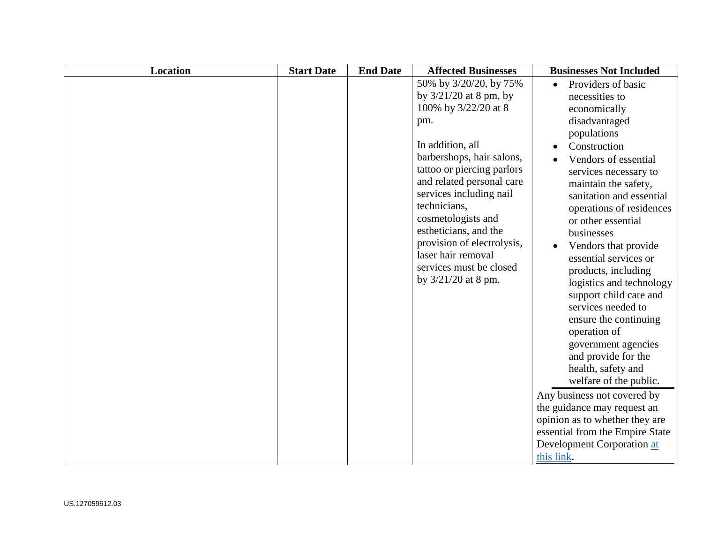| <b>Location</b> | <b>Start Date</b> | <b>End Date</b> | <b>Affected Businesses</b>                                                                                                                                                                                                                                                                                                                                                                    | <b>Businesses Not Included</b>                                                                                                                                                                                                                                                                                                                                                                                                                                                                                                                                                                                                                                                                                                                             |
|-----------------|-------------------|-----------------|-----------------------------------------------------------------------------------------------------------------------------------------------------------------------------------------------------------------------------------------------------------------------------------------------------------------------------------------------------------------------------------------------|------------------------------------------------------------------------------------------------------------------------------------------------------------------------------------------------------------------------------------------------------------------------------------------------------------------------------------------------------------------------------------------------------------------------------------------------------------------------------------------------------------------------------------------------------------------------------------------------------------------------------------------------------------------------------------------------------------------------------------------------------------|
|                 |                   |                 | 50% by 3/20/20, by 75%<br>by $3/21/20$ at 8 pm, by<br>100% by 3/22/20 at 8<br>pm.<br>In addition, all<br>barbershops, hair salons,<br>tattoo or piercing parlors<br>and related personal care<br>services including nail<br>technicians,<br>cosmetologists and<br>estheticians, and the<br>provision of electrolysis,<br>laser hair removal<br>services must be closed<br>by 3/21/20 at 8 pm. | Providers of basic<br>necessities to<br>economically<br>disadvantaged<br>populations<br>Construction<br>Vendors of essential<br>services necessary to<br>maintain the safety,<br>sanitation and essential<br>operations of residences<br>or other essential<br>businesses<br>Vendors that provide<br>essential services or<br>products, including<br>logistics and technology<br>support child care and<br>services needed to<br>ensure the continuing<br>operation of<br>government agencies<br>and provide for the<br>health, safety and<br>welfare of the public.<br>Any business not covered by<br>the guidance may request an<br>opinion as to whether they are<br>essential from the Empire State<br><b>Development Corporation at</b><br>this link. |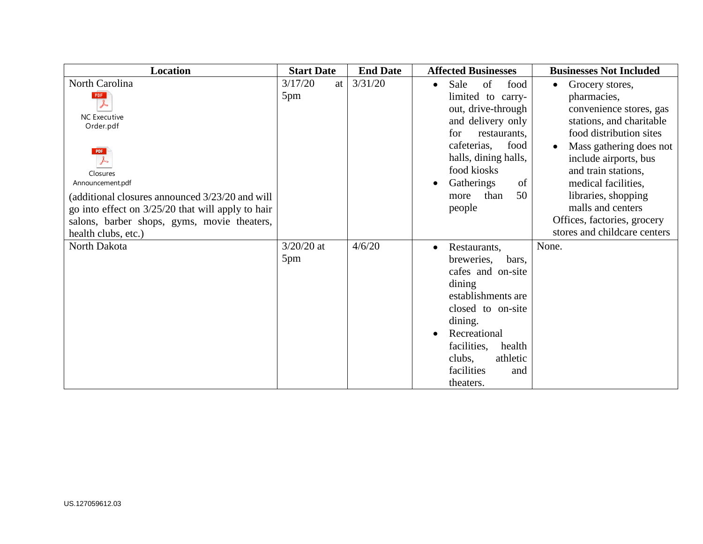| Location                                                                                                                                                                                                   | <b>Start Date</b>    | <b>End Date</b> | <b>Affected Businesses</b>                                                                                                                                                                                                               | <b>Businesses Not Included</b>                                                                                                                                                                                                                                              |
|------------------------------------------------------------------------------------------------------------------------------------------------------------------------------------------------------------|----------------------|-----------------|------------------------------------------------------------------------------------------------------------------------------------------------------------------------------------------------------------------------------------------|-----------------------------------------------------------------------------------------------------------------------------------------------------------------------------------------------------------------------------------------------------------------------------|
| North Carolina<br>PDF<br><b>NC</b> Executive<br>Order.pdf<br>PDF<br>Closures<br>Announcement.pdf<br>(additional closures announced 3/23/20 and will<br>go into effect on $3/25/20$ that will apply to hair | 3/17/20<br>at<br>5pm | 3/31/20         | of<br>Sale<br>food<br>$\bullet$<br>limited to carry-<br>out, drive-through<br>and delivery only<br>for<br>restaurants,<br>food<br>cafeterias,<br>halls, dining halls,<br>food kiosks<br>Gatherings<br>of<br>50<br>than<br>more<br>people | Grocery stores,<br>$\bullet$<br>pharmacies,<br>convenience stores, gas<br>stations, and charitable<br>food distribution sites<br>Mass gathering does not<br>include airports, bus<br>and train stations,<br>medical facilities,<br>libraries, shopping<br>malls and centers |
| salons, barber shops, gyms, movie theaters,<br>health clubs, etc.)                                                                                                                                         |                      |                 |                                                                                                                                                                                                                                          | Offices, factories, grocery<br>stores and childcare centers                                                                                                                                                                                                                 |
| North Dakota                                                                                                                                                                                               | $3/20/20$ at<br>5pm  | 4/6/20          | Restaurants,<br>$\bullet$<br>breweries,<br>bars,<br>cafes and on-site<br>dining<br>establishments are<br>closed to on-site<br>dining.<br>Recreational<br>facilities,<br>health<br>athletic<br>clubs,<br>facilities<br>and<br>theaters.   | None.                                                                                                                                                                                                                                                                       |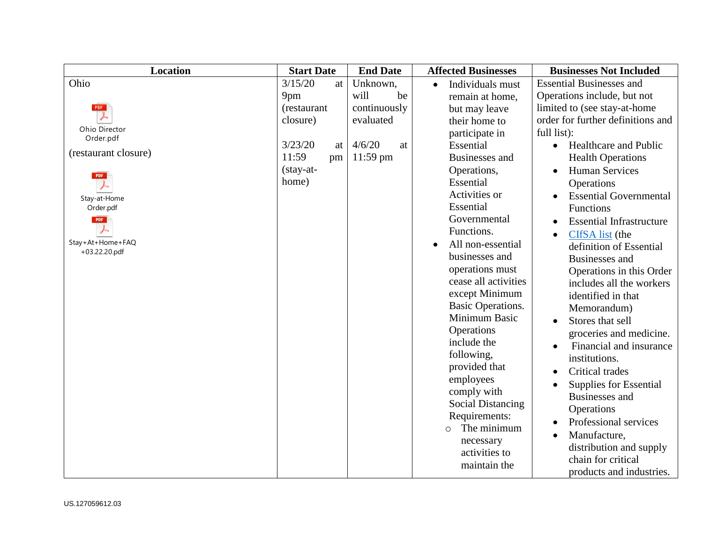| <b>Location</b>            | <b>Start Date</b> | <b>End Date</b> | <b>Affected Businesses</b>    | <b>Businesses Not Included</b>               |
|----------------------------|-------------------|-----------------|-------------------------------|----------------------------------------------|
| Ohio                       | 3/15/20<br>at     | Unknown,        | Individuals must<br>$\bullet$ | <b>Essential Businesses and</b>              |
|                            | 9pm               | will<br>be      | remain at home,               | Operations include, but not                  |
| PDF                        | (restaurant       | continuously    | but may leave                 | limited to (see stay-at-home)                |
|                            | closure)          | evaluated       | their home to                 | order for further definitions and            |
| Ohio Director<br>Order.pdf |                   |                 | participate in                | full list):                                  |
|                            | 3/23/20<br>at     | 4/6/20<br>at    | Essential                     | <b>Healthcare and Public</b><br>$\bullet$    |
| (restaurant closure)       | 11:59<br>pm       | $11:59$ pm      | <b>Businesses</b> and         | <b>Health Operations</b>                     |
|                            | $(\text{stay-at}$ |                 | Operations,                   | <b>Human Services</b><br>$\bullet$           |
| PDF                        | home)             |                 | Essential                     | Operations                                   |
| Stay-at-Home               |                   |                 | Activities or                 | <b>Essential Governmental</b><br>$\bullet$   |
| Order.pdf                  |                   |                 | Essential                     | Functions                                    |
| PDF                        |                   |                 | Governmental                  | <b>Essential Infrastructure</b><br>$\bullet$ |
|                            |                   |                 | Functions.                    | CIfSA list (the<br>$\bullet$                 |
| Stay+At+Home+FAQ           |                   |                 | All non-essential             | definition of Essential                      |
| +03.22.20.pdf              |                   |                 | businesses and                | <b>Businesses</b> and                        |
|                            |                   |                 | operations must               | Operations in this Order                     |
|                            |                   |                 | cease all activities          | includes all the workers                     |
|                            |                   |                 | except Minimum                | identified in that                           |
|                            |                   |                 | <b>Basic Operations.</b>      | Memorandum)                                  |
|                            |                   |                 | Minimum Basic                 | Stores that sell<br>$\bullet$                |
|                            |                   |                 | Operations                    | groceries and medicine.                      |
|                            |                   |                 | include the                   | Financial and insurance                      |
|                            |                   |                 | following,                    | institutions.                                |
|                            |                   |                 | provided that                 | Critical trades<br>$\bullet$                 |
|                            |                   |                 | employees                     | Supplies for Essential                       |
|                            |                   |                 | comply with                   | <b>Businesses</b> and                        |
|                            |                   |                 | <b>Social Distancing</b>      | Operations                                   |
|                            |                   |                 | Requirements:                 | Professional services<br>$\bullet$           |
|                            |                   |                 | The minimum<br>$\circ$        | Manufacture,                                 |
|                            |                   |                 | necessary                     | distribution and supply                      |
|                            |                   |                 | activities to                 | chain for critical                           |
|                            |                   |                 | maintain the                  | products and industries.                     |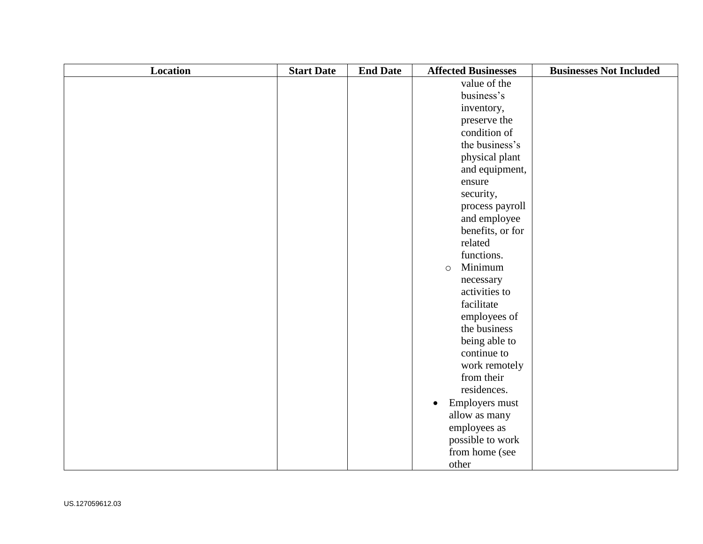| <b>Location</b> | <b>Start Date</b> | <b>End Date</b> | <b>Affected Businesses</b>  | <b>Businesses Not Included</b> |
|-----------------|-------------------|-----------------|-----------------------------|--------------------------------|
|                 |                   |                 | value of the                |                                |
|                 |                   |                 | business's                  |                                |
|                 |                   |                 | inventory,                  |                                |
|                 |                   |                 | preserve the                |                                |
|                 |                   |                 | condition of                |                                |
|                 |                   |                 | the business's              |                                |
|                 |                   |                 | physical plant              |                                |
|                 |                   |                 | and equipment,              |                                |
|                 |                   |                 | ensure                      |                                |
|                 |                   |                 | security,                   |                                |
|                 |                   |                 | process payroll             |                                |
|                 |                   |                 | and employee                |                                |
|                 |                   |                 | benefits, or for            |                                |
|                 |                   |                 | related                     |                                |
|                 |                   |                 | functions.                  |                                |
|                 |                   |                 | Minimum<br>$\circ$          |                                |
|                 |                   |                 | necessary                   |                                |
|                 |                   |                 | activities to               |                                |
|                 |                   |                 | facilitate                  |                                |
|                 |                   |                 | employees of                |                                |
|                 |                   |                 | the business                |                                |
|                 |                   |                 | being able to               |                                |
|                 |                   |                 | continue to                 |                                |
|                 |                   |                 | work remotely               |                                |
|                 |                   |                 | from their                  |                                |
|                 |                   |                 | residences.                 |                                |
|                 |                   |                 | Employers must<br>$\bullet$ |                                |
|                 |                   |                 | allow as many               |                                |
|                 |                   |                 | employees as                |                                |
|                 |                   |                 | possible to work            |                                |
|                 |                   |                 | from home (see              |                                |
|                 |                   |                 | other                       |                                |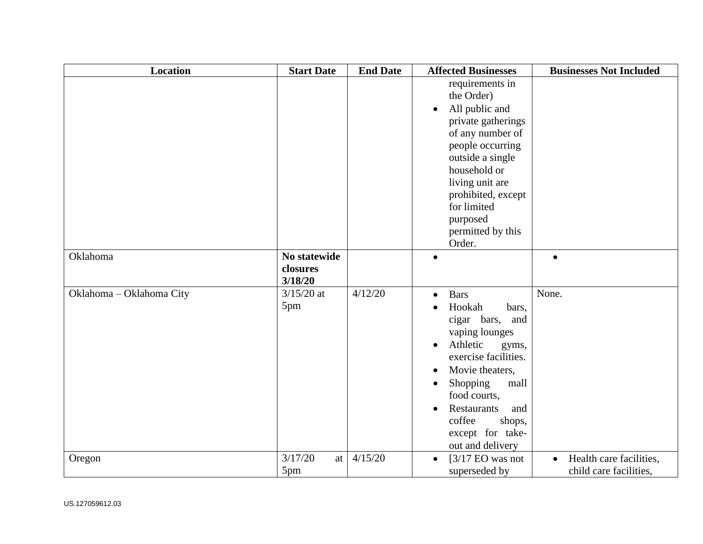| <b>Location</b>          | <b>Start Date</b>                   | <b>End Date</b> | <b>Affected Businesses</b>                                                                                                                                                                                                                                                                                 | <b>Businesses Not Included</b>                                 |
|--------------------------|-------------------------------------|-----------------|------------------------------------------------------------------------------------------------------------------------------------------------------------------------------------------------------------------------------------------------------------------------------------------------------------|----------------------------------------------------------------|
|                          |                                     |                 | requirements in<br>the Order)<br>All public and<br>private gatherings<br>of any number of<br>people occurring<br>outside a single<br>household or<br>living unit are<br>prohibited, except<br>for limited<br>purposed<br>permitted by this<br>Order.                                                       |                                                                |
| Oklahoma                 | No statewide<br>closures<br>3/18/20 |                 |                                                                                                                                                                                                                                                                                                            |                                                                |
| Oklahoma - Oklahoma City | $3/15/20$ at<br>5pm                 | 4/12/20         | <b>Bars</b><br>$\bullet$<br>Hookah<br>bars,<br>cigar bars,<br>and<br>vaping lounges<br>Athletic<br>gyms,<br>exercise facilities.<br>Movie theaters,<br>$\bullet$<br>Shopping<br>mall<br>$\bullet$<br>food courts,<br><b>Restaurants</b><br>and<br>coffee<br>shops,<br>except for take-<br>out and delivery | None.                                                          |
| Oregon                   | 3/17/20<br>at<br>5pm                | 4/15/20         | [ $3/17$ EO was not<br>$\bullet$<br>superseded by                                                                                                                                                                                                                                                          | Health care facilities,<br>$\bullet$<br>child care facilities, |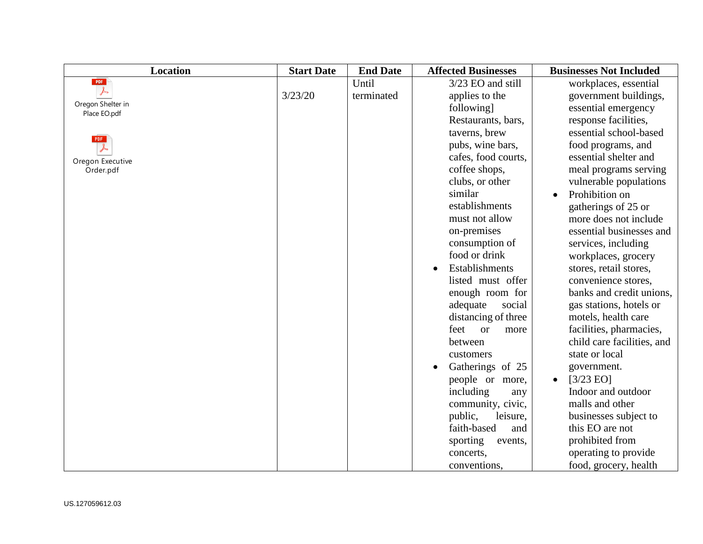| <b>Location</b>                   | <b>Start Date</b> | <b>End Date</b> | <b>Affected Businesses</b> | <b>Businesses Not Included</b> |
|-----------------------------------|-------------------|-----------------|----------------------------|--------------------------------|
| PDF                               |                   | Until           | 3/23 EO and still          | workplaces, essential          |
|                                   | 3/23/20           | terminated      | applies to the             | government buildings,          |
| Oregon Shelter in<br>Place EO.pdf |                   |                 | following]                 | essential emergency            |
|                                   |                   |                 | Restaurants, bars,         | response facilities,           |
| <b>PDF</b>                        |                   |                 | taverns, brew              | essential school-based         |
|                                   |                   |                 | pubs, wine bars,           | food programs, and             |
| Oregon Executive                  |                   |                 | cafes, food courts,        | essential shelter and          |
| Order.pdf                         |                   |                 | coffee shops,              | meal programs serving          |
|                                   |                   |                 | clubs, or other            | vulnerable populations         |
|                                   |                   |                 | similar                    | Prohibition on                 |
|                                   |                   |                 | establishments             | gatherings of 25 or            |
|                                   |                   |                 | must not allow             | more does not include          |
|                                   |                   |                 | on-premises                | essential businesses and       |
|                                   |                   |                 | consumption of             | services, including            |
|                                   |                   |                 | food or drink              | workplaces, grocery            |
|                                   |                   |                 | Establishments             | stores, retail stores,         |
|                                   |                   |                 | listed must offer          | convenience stores,            |
|                                   |                   |                 | enough room for            | banks and credit unions,       |
|                                   |                   |                 | adequate<br>social         | gas stations, hotels or        |
|                                   |                   |                 | distancing of three        | motels, health care            |
|                                   |                   |                 | feet<br><b>or</b><br>more  | facilities, pharmacies,        |
|                                   |                   |                 | between                    | child care facilities, and     |
|                                   |                   |                 | customers                  | state or local                 |
|                                   |                   |                 | Gatherings of 25           | government.                    |
|                                   |                   |                 | people or more,            | $[3/23$ EO]<br>$\bullet$       |
|                                   |                   |                 | including<br>any           | Indoor and outdoor             |
|                                   |                   |                 | community, civic,          | malls and other                |
|                                   |                   |                 | public,<br>leisure,        | businesses subject to          |
|                                   |                   |                 | faith-based<br>and         | this EO are not                |
|                                   |                   |                 | sporting<br>events,        | prohibited from                |
|                                   |                   |                 | concerts,                  | operating to provide           |
|                                   |                   |                 | conventions,               | food, grocery, health          |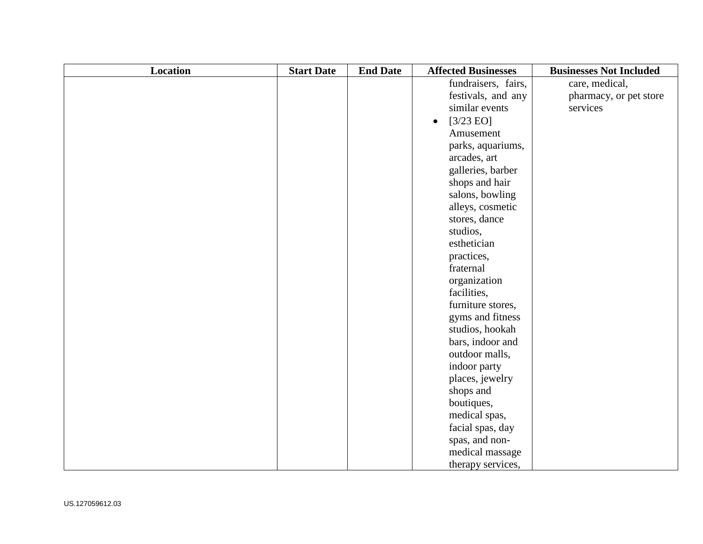| Location | <b>Start Date</b> | <b>End Date</b> | <b>Affected Businesses</b>       | <b>Businesses Not Included</b> |
|----------|-------------------|-----------------|----------------------------------|--------------------------------|
|          |                   |                 | fundraisers, fairs,              | care, medical,                 |
|          |                   |                 | festivals, and any               | pharmacy, or pet store         |
|          |                   |                 | similar events                   | services                       |
|          |                   |                 | $[3/23 \text{ EO}]$<br>$\bullet$ |                                |
|          |                   |                 | Amusement                        |                                |
|          |                   |                 | parks, aquariums,                |                                |
|          |                   |                 | arcades, art                     |                                |
|          |                   |                 | galleries, barber                |                                |
|          |                   |                 | shops and hair                   |                                |
|          |                   |                 | salons, bowling                  |                                |
|          |                   |                 | alleys, cosmetic                 |                                |
|          |                   |                 | stores, dance                    |                                |
|          |                   |                 | studios,                         |                                |
|          |                   |                 | esthetician                      |                                |
|          |                   |                 | practices,                       |                                |
|          |                   |                 | fraternal                        |                                |
|          |                   |                 | organization                     |                                |
|          |                   |                 | facilities,                      |                                |
|          |                   |                 | furniture stores,                |                                |
|          |                   |                 | gyms and fitness                 |                                |
|          |                   |                 | studios, hookah                  |                                |
|          |                   |                 | bars, indoor and                 |                                |
|          |                   |                 | outdoor malls,                   |                                |
|          |                   |                 | indoor party                     |                                |
|          |                   |                 | places, jewelry                  |                                |
|          |                   |                 | shops and                        |                                |
|          |                   |                 | boutiques,                       |                                |
|          |                   |                 | medical spas,                    |                                |
|          |                   |                 | facial spas, day                 |                                |
|          |                   |                 | spas, and non-                   |                                |
|          |                   |                 | medical massage                  |                                |
|          |                   |                 | therapy services,                |                                |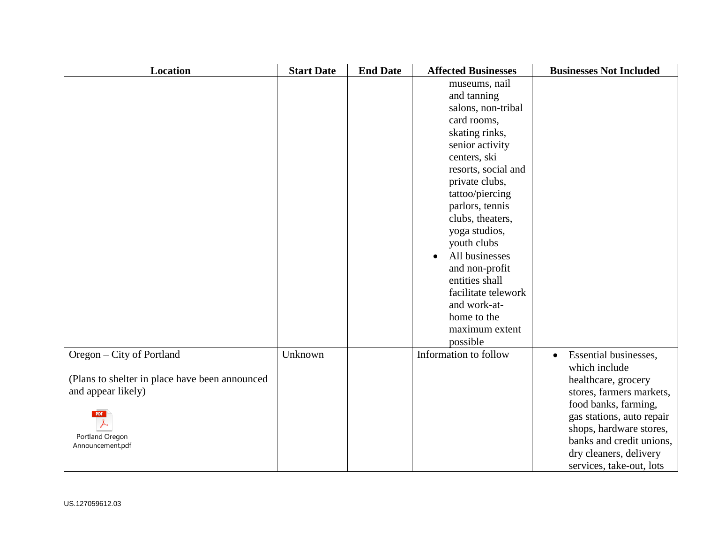| Location                                       | <b>Start Date</b> | <b>End Date</b> | <b>Affected Businesses</b> | <b>Businesses Not Included</b>     |
|------------------------------------------------|-------------------|-----------------|----------------------------|------------------------------------|
|                                                |                   |                 | museums, nail              |                                    |
|                                                |                   |                 | and tanning                |                                    |
|                                                |                   |                 | salons, non-tribal         |                                    |
|                                                |                   |                 | card rooms,                |                                    |
|                                                |                   |                 | skating rinks,             |                                    |
|                                                |                   |                 | senior activity            |                                    |
|                                                |                   |                 | centers, ski               |                                    |
|                                                |                   |                 | resorts, social and        |                                    |
|                                                |                   |                 | private clubs,             |                                    |
|                                                |                   |                 | tattoo/piercing            |                                    |
|                                                |                   |                 | parlors, tennis            |                                    |
|                                                |                   |                 | clubs, theaters,           |                                    |
|                                                |                   |                 | yoga studios,              |                                    |
|                                                |                   |                 | youth clubs                |                                    |
|                                                |                   |                 | All businesses             |                                    |
|                                                |                   |                 | and non-profit             |                                    |
|                                                |                   |                 | entities shall             |                                    |
|                                                |                   |                 | facilitate telework        |                                    |
|                                                |                   |                 | and work-at-               |                                    |
|                                                |                   |                 | home to the                |                                    |
|                                                |                   |                 | maximum extent             |                                    |
|                                                |                   |                 | possible                   |                                    |
| Oregon – City of Portland                      | Unknown           |                 | Information to follow      | Essential businesses,<br>$\bullet$ |
|                                                |                   |                 |                            | which include                      |
| (Plans to shelter in place have been announced |                   |                 |                            | healthcare, grocery                |
| and appear likely)                             |                   |                 |                            | stores, farmers markets,           |
|                                                |                   |                 |                            | food banks, farming,               |
| PDF                                            |                   |                 |                            | gas stations, auto repair          |
|                                                |                   |                 |                            | shops, hardware stores,            |
| Portland Oregon<br>Announcement.pdf            |                   |                 |                            | banks and credit unions,           |
|                                                |                   |                 |                            | dry cleaners, delivery             |
|                                                |                   |                 |                            | services, take-out, lots           |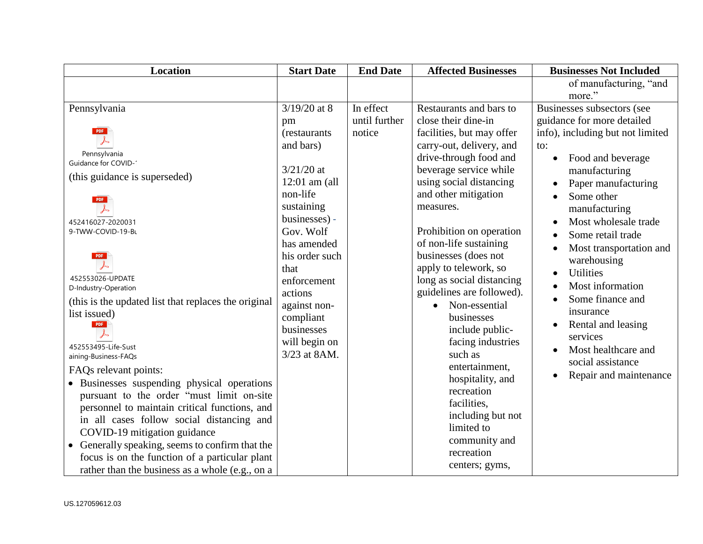| <b>Location</b>                                                                                                                                                                                                                                                                                                                                                                                                                                                                                                                                                | <b>Start Date</b>                                                                                                                                             | <b>End Date</b>            | <b>Affected Businesses</b>                                                                                                                                                                                                                                                                                   | <b>Businesses Not Included</b>                                                                                                                                                                                                                 |
|----------------------------------------------------------------------------------------------------------------------------------------------------------------------------------------------------------------------------------------------------------------------------------------------------------------------------------------------------------------------------------------------------------------------------------------------------------------------------------------------------------------------------------------------------------------|---------------------------------------------------------------------------------------------------------------------------------------------------------------|----------------------------|--------------------------------------------------------------------------------------------------------------------------------------------------------------------------------------------------------------------------------------------------------------------------------------------------------------|------------------------------------------------------------------------------------------------------------------------------------------------------------------------------------------------------------------------------------------------|
|                                                                                                                                                                                                                                                                                                                                                                                                                                                                                                                                                                |                                                                                                                                                               |                            |                                                                                                                                                                                                                                                                                                              | of manufacturing, "and                                                                                                                                                                                                                         |
|                                                                                                                                                                                                                                                                                                                                                                                                                                                                                                                                                                |                                                                                                                                                               |                            |                                                                                                                                                                                                                                                                                                              | more."                                                                                                                                                                                                                                         |
| Pennsylvania                                                                                                                                                                                                                                                                                                                                                                                                                                                                                                                                                   | $3/19/20$ at 8<br>pm                                                                                                                                          | In effect<br>until further | Restaurants and bars to<br>close their dine-in                                                                                                                                                                                                                                                               | Businesses subsectors (see<br>guidance for more detailed                                                                                                                                                                                       |
| PDF<br>Pennsylvania<br><b>Guidance for COVID-1</b><br>(this guidance is superseded)<br><b>PDF</b><br>452416027-2020031<br>9-TWW-COVID-19-BL<br><b>PDF</b><br>452553026-UPDATE                                                                                                                                                                                                                                                                                                                                                                                  | (restaurants<br>and bars)<br>$3/21/20$ at<br>$12:01$ am (all<br>non-life<br>sustaining<br>businesses) -<br>Gov. Wolf<br>has amended<br>his order such<br>that | notice                     | facilities, but may offer<br>carry-out, delivery, and<br>drive-through food and<br>beverage service while<br>using social distancing<br>and other mitigation<br>measures.<br>Prohibition on operation<br>of non-life sustaining<br>businesses (does not<br>apply to telework, so                             | info), including but not limited<br>to:<br>Food and beverage<br>manufacturing<br>Paper manufacturing<br>Some other<br>manufacturing<br>Most wholesale trade<br>Some retail trade<br>Most transportation and<br>warehousing<br><b>Utilities</b> |
| D-Industry-Operation<br>(this is the updated list that replaces the original)<br>list issued)<br>PDF<br>452553495-Life-Sust<br>aining-Business-FAQs<br>FAQs relevant points:<br>• Businesses suspending physical operations<br>pursuant to the order "must limit on-site<br>personnel to maintain critical functions, and<br>in all cases follow social distancing and<br>COVID-19 mitigation guidance<br>• Generally speaking, seems to confirm that the<br>focus is on the function of a particular plant<br>rather than the business as a whole (e.g., on a | enforcement<br>actions<br>against non-<br>compliant<br>businesses<br>will begin on<br>3/23 at 8AM.                                                            |                            | long as social distancing<br>guidelines are followed).<br>Non-essential<br>$\bullet$<br>businesses<br>include public-<br>facing industries<br>such as<br>entertainment,<br>hospitality, and<br>recreation<br>facilities,<br>including but not<br>limited to<br>community and<br>recreation<br>centers; gyms, | Most information<br>Some finance and<br>insurance<br>Rental and leasing<br>services<br>Most healthcare and<br>social assistance<br>Repair and maintenance                                                                                      |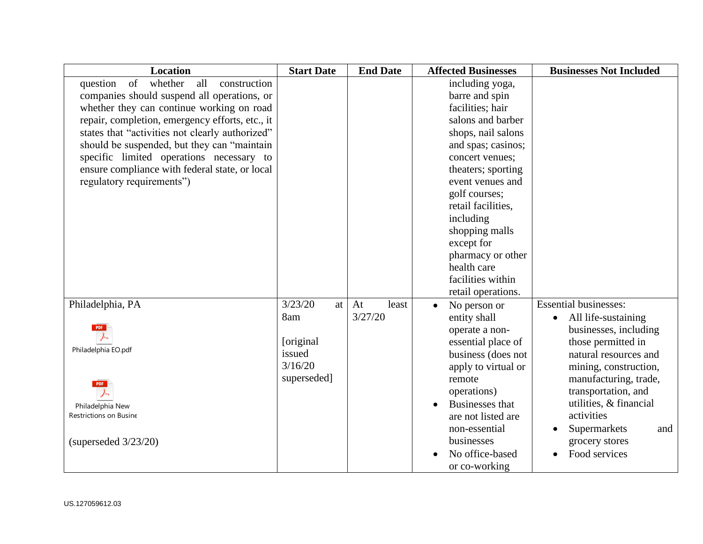| <b>Location</b>                                  | <b>Start Date</b> | <b>End Date</b> | <b>Affected Businesses</b> | <b>Businesses Not Included</b> |
|--------------------------------------------------|-------------------|-----------------|----------------------------|--------------------------------|
| of<br>whether<br>all<br>construction<br>question |                   |                 | including yoga,            |                                |
| companies should suspend all operations, or      |                   |                 | barre and spin             |                                |
| whether they can continue working on road        |                   |                 | facilities; hair           |                                |
| repair, completion, emergency efforts, etc., it  |                   |                 | salons and barber          |                                |
| states that "activities not clearly authorized"  |                   |                 | shops, nail salons         |                                |
| should be suspended, but they can "maintain      |                   |                 | and spas; casinos;         |                                |
| specific limited operations necessary to         |                   |                 | concert venues;            |                                |
| ensure compliance with federal state, or local   |                   |                 | theaters; sporting         |                                |
| regulatory requirements")                        |                   |                 | event venues and           |                                |
|                                                  |                   |                 | golf courses;              |                                |
|                                                  |                   |                 | retail facilities.         |                                |
|                                                  |                   |                 | including                  |                                |
|                                                  |                   |                 | shopping malls             |                                |
|                                                  |                   |                 | except for                 |                                |
|                                                  |                   |                 | pharmacy or other          |                                |
|                                                  |                   |                 | health care                |                                |
|                                                  |                   |                 | facilities within          |                                |
|                                                  |                   |                 | retail operations.         |                                |
| Philadelphia, PA                                 | 3/23/20<br>at     | At<br>least     | No person or               | <b>Essential businesses:</b>   |
|                                                  | 8am               | 3/27/20         | entity shall               | All life-sustaining            |
| <b>PDF</b>                                       |                   |                 | operate a non-             | businesses, including          |
|                                                  | [original]        |                 | essential place of         | those permitted in             |
| Philadelphia EO.pdf                              | issued            |                 | business (does not         | natural resources and          |
|                                                  | 3/16/20           |                 | apply to virtual or        | mining, construction,          |
| <b>PDF</b>                                       | superseded]       |                 | remote                     | manufacturing, trade,          |
|                                                  |                   |                 | operations)                | transportation, and            |
| Philadelphia New                                 |                   |                 | <b>Businesses that</b>     | utilities, & financial         |
| Restrictions on Busine                           |                   |                 | are not listed are         | activities                     |
|                                                  |                   |                 | non-essential              | Supermarkets<br>and            |
| (superseded $3/23/20$ )                          |                   |                 | businesses                 | grocery stores                 |
|                                                  |                   |                 | No office-based            | Food services                  |
|                                                  |                   |                 | or co-working              |                                |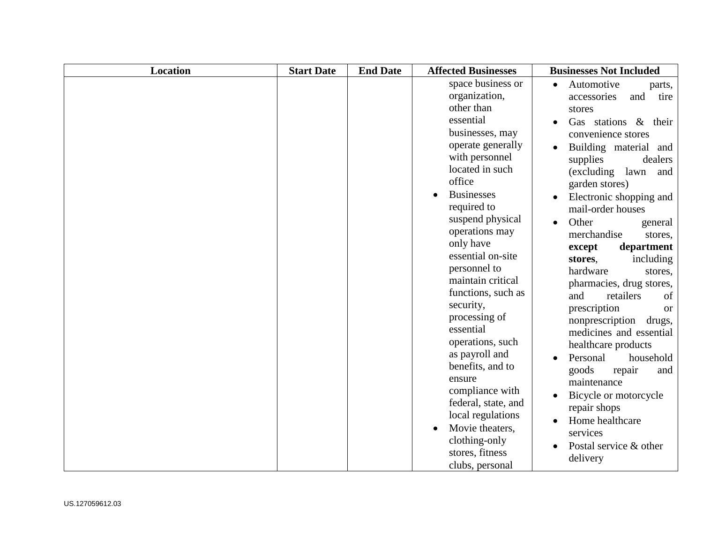| <b>Location</b> | <b>Start Date</b> | <b>End Date</b> | <b>Affected Businesses</b>                                                                                                                                                                                                                                                                                                                                                                                                                                                                                                                                                          | <b>Businesses Not Included</b>                                                                                                                                                                                                                                                                                                                                                                                                                                                                                                                                                                                                                                                                                                                                   |
|-----------------|-------------------|-----------------|-------------------------------------------------------------------------------------------------------------------------------------------------------------------------------------------------------------------------------------------------------------------------------------------------------------------------------------------------------------------------------------------------------------------------------------------------------------------------------------------------------------------------------------------------------------------------------------|------------------------------------------------------------------------------------------------------------------------------------------------------------------------------------------------------------------------------------------------------------------------------------------------------------------------------------------------------------------------------------------------------------------------------------------------------------------------------------------------------------------------------------------------------------------------------------------------------------------------------------------------------------------------------------------------------------------------------------------------------------------|
|                 |                   |                 | space business or<br>organization,<br>other than<br>essential<br>businesses, may<br>operate generally<br>with personnel<br>located in such<br>office<br><b>Businesses</b><br>required to<br>suspend physical<br>operations may<br>only have<br>essential on-site<br>personnel to<br>maintain critical<br>functions, such as<br>security,<br>processing of<br>essential<br>operations, such<br>as payroll and<br>benefits, and to<br>ensure<br>compliance with<br>federal, state, and<br>local regulations<br>Movie theaters,<br>clothing-only<br>stores, fitness<br>clubs, personal | Automotive<br>parts,<br>and<br>tire<br>accessories<br>stores<br>Gas stations $\&$<br>their<br>$\bullet$<br>convenience stores<br>Building material and<br>supplies<br>dealers<br>(excluding<br>lawn<br>and<br>garden stores)<br>Electronic shopping and<br>mail-order houses<br>Other<br>general<br>merchandise<br>stores,<br>department<br>except<br>including<br>stores,<br>hardware<br>stores,<br>pharmacies, drug stores,<br>retailers<br>and<br>of<br>prescription<br><b>or</b><br>nonprescription<br>drugs,<br>medicines and essential<br>healthcare products<br>Personal<br>household<br>goods<br>repair<br>and<br>maintenance<br>Bicycle or motorcycle<br>repair shops<br>Home healthcare<br>$\bullet$<br>services<br>Postal service & other<br>delivery |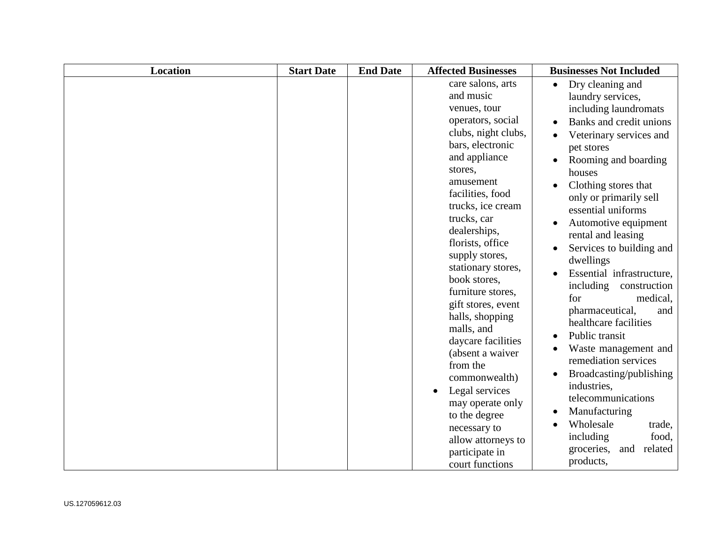| <b>Location</b> | <b>Start Date</b> | <b>End Date</b> | <b>Affected Businesses</b>                                                                                                                                                                                                                                                                                                                                                                                                                                                                                                                                                                       | <b>Businesses Not Included</b>                                                                                                                                                                                                                                                                                                                                                                                                                                                                                                                                                                                                                                                                                                                                       |
|-----------------|-------------------|-----------------|--------------------------------------------------------------------------------------------------------------------------------------------------------------------------------------------------------------------------------------------------------------------------------------------------------------------------------------------------------------------------------------------------------------------------------------------------------------------------------------------------------------------------------------------------------------------------------------------------|----------------------------------------------------------------------------------------------------------------------------------------------------------------------------------------------------------------------------------------------------------------------------------------------------------------------------------------------------------------------------------------------------------------------------------------------------------------------------------------------------------------------------------------------------------------------------------------------------------------------------------------------------------------------------------------------------------------------------------------------------------------------|
|                 |                   |                 | care salons, arts<br>and music<br>venues, tour<br>operators, social<br>clubs, night clubs,<br>bars, electronic<br>and appliance<br>stores,<br>amusement<br>facilities, food<br>trucks, ice cream<br>trucks, car<br>dealerships,<br>florists, office<br>supply stores,<br>stationary stores,<br>book stores,<br>furniture stores,<br>gift stores, event<br>halls, shopping<br>malls, and<br>daycare facilities<br>(absent a waiver<br>from the<br>commonwealth)<br>Legal services<br>may operate only<br>to the degree<br>necessary to<br>allow attorneys to<br>participate in<br>court functions | Dry cleaning and<br>$\bullet$<br>laundry services,<br>including laundromats<br>Banks and credit unions<br>Veterinary services and<br>pet stores<br>Rooming and boarding<br>houses<br>Clothing stores that<br>only or primarily sell<br>essential uniforms<br>Automotive equipment<br>$\bullet$<br>rental and leasing<br>Services to building and<br>dwellings<br>Essential infrastructure,<br>$\bullet$<br>including<br>construction<br>for<br>medical.<br>pharmaceutical,<br>and<br>healthcare facilities<br>Public transit<br>$\bullet$<br>Waste management and<br>remediation services<br>Broadcasting/publishing<br>industries,<br>telecommunications<br>Manufacturing<br>Wholesale<br>trade,<br>food,<br>including<br>related<br>groceries,<br>and<br>products, |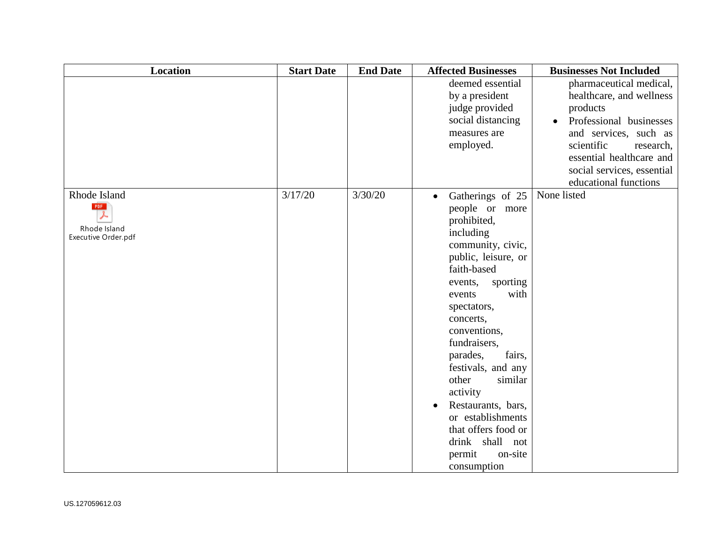| <b>Location</b>                                            | <b>Start Date</b> | <b>End Date</b> | <b>Affected Businesses</b>                                                                                                                                                                                                                                                                                                                                                                                                                       | <b>Businesses Not Included</b>                                                                                                                                                                                                    |
|------------------------------------------------------------|-------------------|-----------------|--------------------------------------------------------------------------------------------------------------------------------------------------------------------------------------------------------------------------------------------------------------------------------------------------------------------------------------------------------------------------------------------------------------------------------------------------|-----------------------------------------------------------------------------------------------------------------------------------------------------------------------------------------------------------------------------------|
|                                                            |                   |                 | deemed essential<br>by a president<br>judge provided<br>social distancing<br>measures are<br>employed.                                                                                                                                                                                                                                                                                                                                           | pharmaceutical medical,<br>healthcare, and wellness<br>products<br>Professional businesses<br>and services, such as<br>scientific<br>research,<br>essential healthcare and<br>social services, essential<br>educational functions |
| Rhode Island<br>PDF<br>Rhode Island<br>Executive Order.pdf | 3/17/20           | 3/30/20         | Gatherings of 25<br>$\bullet$<br>people or more<br>prohibited,<br>including<br>community, civic,<br>public, leisure, or<br>faith-based<br>sporting<br>events,<br>with<br>events<br>spectators,<br>concerts,<br>conventions,<br>fundraisers,<br>fairs,<br>parades,<br>festivals, and any<br>similar<br>other<br>activity<br>Restaurants, bars,<br>or establishments<br>that offers food or<br>drink shall not<br>permit<br>on-site<br>consumption | None listed                                                                                                                                                                                                                       |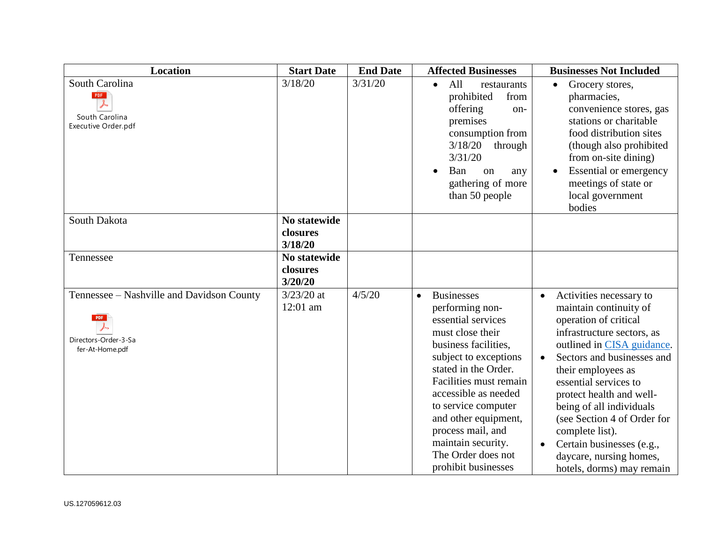| <b>Location</b>                                                                      | <b>Start Date</b>                   | <b>End Date</b> | <b>Affected Businesses</b>                                                                                                                                                                                                                                                                                                                                    | <b>Businesses Not Included</b>                                                                                                                                                                                                                                                                                                                                                                                                                            |
|--------------------------------------------------------------------------------------|-------------------------------------|-----------------|---------------------------------------------------------------------------------------------------------------------------------------------------------------------------------------------------------------------------------------------------------------------------------------------------------------------------------------------------------------|-----------------------------------------------------------------------------------------------------------------------------------------------------------------------------------------------------------------------------------------------------------------------------------------------------------------------------------------------------------------------------------------------------------------------------------------------------------|
| South Carolina<br><b>PDF</b><br>South Carolina<br>Executive Order.pdf                | 3/18/20                             | 3/31/20         | All<br>restaurants<br>$\bullet$<br>prohibited<br>from<br>offering<br>on-<br>premises<br>consumption from<br>3/18/20<br>through<br>3/31/20<br>Ban<br>$\alpha$<br>any<br>gathering of more<br>than 50 people                                                                                                                                                    | Grocery stores,<br>pharmacies,<br>convenience stores, gas<br>stations or charitable<br>food distribution sites<br>(though also prohibited<br>from on-site dining)<br><b>Essential or emergency</b><br>meetings of state or<br>local government<br>bodies                                                                                                                                                                                                  |
| South Dakota                                                                         | No statewide<br>closures<br>3/18/20 |                 |                                                                                                                                                                                                                                                                                                                                                               |                                                                                                                                                                                                                                                                                                                                                                                                                                                           |
| Tennessee                                                                            | No statewide<br>closures<br>3/20/20 |                 |                                                                                                                                                                                                                                                                                                                                                               |                                                                                                                                                                                                                                                                                                                                                                                                                                                           |
| Tennessee - Nashville and Davidson County<br>Directors-Order-3-Sa<br>fer-At-Home.pdf | $3/23/20$ at<br>12:01 am            | 4/5/20          | <b>Businesses</b><br>$\bullet$<br>performing non-<br>essential services<br>must close their<br>business facilities,<br>subject to exceptions<br>stated in the Order.<br>Facilities must remain<br>accessible as needed<br>to service computer<br>and other equipment,<br>process mail, and<br>maintain security.<br>The Order does not<br>prohibit businesses | Activities necessary to<br>$\bullet$<br>maintain continuity of<br>operation of critical<br>infrastructure sectors, as<br>outlined in CISA guidance.<br>Sectors and businesses and<br>$\bullet$<br>their employees as<br>essential services to<br>protect health and well-<br>being of all individuals<br>(see Section 4 of Order for<br>complete list).<br>Certain businesses (e.g.,<br>$\bullet$<br>daycare, nursing homes,<br>hotels, dorms) may remain |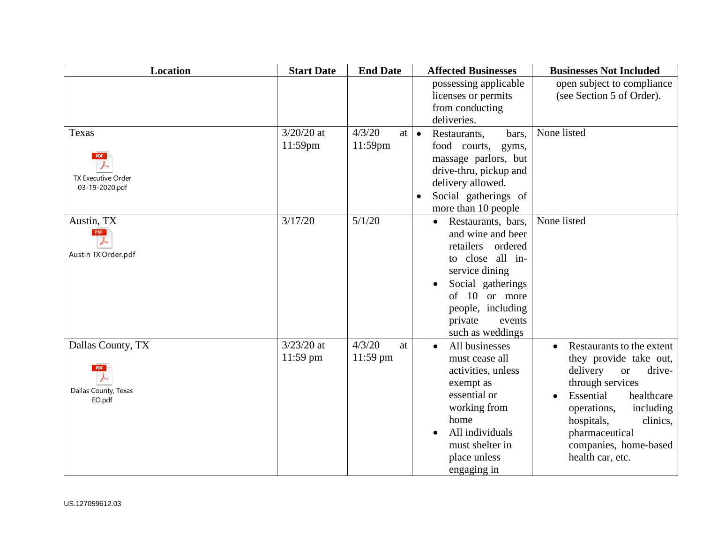| <b>Location</b>                                             | <b>Start Date</b>          | <b>End Date</b>              | <b>Affected Businesses</b>                                                                                                                                                                                                | <b>Businesses Not Included</b>                                                                                                                                                                                                                             |
|-------------------------------------------------------------|----------------------------|------------------------------|---------------------------------------------------------------------------------------------------------------------------------------------------------------------------------------------------------------------------|------------------------------------------------------------------------------------------------------------------------------------------------------------------------------------------------------------------------------------------------------------|
|                                                             |                            |                              | possessing applicable<br>licenses or permits<br>from conducting<br>deliveries.                                                                                                                                            | open subject to compliance<br>(see Section 5 of Order).                                                                                                                                                                                                    |
| Texas<br><b>PDF</b><br>TX Executive Order<br>03-19-2020.pdf | $3/20/20$ at<br>11:59pm    | 4/3/20<br>at  <br>$11:59$ pm | $\bullet$<br>Restaurants,<br>bars,<br>food courts,<br>gyms,<br>massage parlors, but<br>drive-thru, pickup and<br>delivery allowed.<br>Social gatherings of<br>more than 10 people                                         | None listed                                                                                                                                                                                                                                                |
| Austin, TX<br><b>PDF</b><br>Austin TX Order.pdf             | 3/17/20                    | 5/1/20                       | Restaurants, bars,<br>$\bullet$<br>and wine and beer<br>retailers<br>ordered<br>to close all in-<br>service dining<br>Social gatherings<br>of<br>10 or more<br>people, including<br>private<br>events<br>such as weddings | None listed                                                                                                                                                                                                                                                |
| Dallas County, TX<br>Dallas County, Texas<br>EO.pdf         | $3/23/20$ at<br>$11:59$ pm | 4/3/20<br>at<br>11:59 pm     | All businesses<br>must cease all<br>activities, unless<br>exempt as<br>essential or<br>working from<br>home<br>All individuals<br>must shelter in<br>place unless<br>engaging in                                          | Restaurants to the extent<br>they provide take out,<br>delivery<br>drive-<br><b>or</b><br>through services<br>Essential<br>healthcare<br>including<br>operations,<br>hospitals,<br>clinics,<br>pharmaceutical<br>companies, home-based<br>health car, etc. |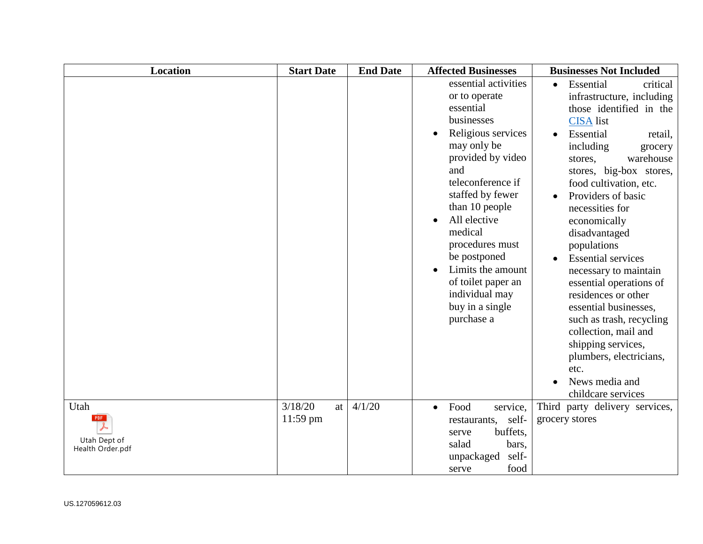| <b>Location</b>                          | <b>Start Date</b>           | <b>End Date</b> | <b>Affected Businesses</b>                                                                                                                                                                                                                                                                                                                               | <b>Businesses Not Included</b>                                                                                                                                                                                                                                                                                                                                                                                                                                                                                                                                                                                             |
|------------------------------------------|-----------------------------|-----------------|----------------------------------------------------------------------------------------------------------------------------------------------------------------------------------------------------------------------------------------------------------------------------------------------------------------------------------------------------------|----------------------------------------------------------------------------------------------------------------------------------------------------------------------------------------------------------------------------------------------------------------------------------------------------------------------------------------------------------------------------------------------------------------------------------------------------------------------------------------------------------------------------------------------------------------------------------------------------------------------------|
|                                          |                             |                 | essential activities<br>or to operate<br>essential<br>businesses<br>Religious services<br>may only be<br>provided by video<br>and<br>teleconference if<br>staffed by fewer<br>than 10 people<br>All elective<br>medical<br>procedures must<br>be postponed<br>Limits the amount<br>of toilet paper an<br>individual may<br>buy in a single<br>purchase a | Essential<br>critical<br>$\bullet$<br>infrastructure, including<br>those identified in the<br><b>CISA</b> list<br>Essential<br>retail,<br>including<br>grocery<br>warehouse<br>stores,<br>stores, big-box stores,<br>food cultivation, etc.<br>Providers of basic<br>necessities for<br>economically<br>disadvantaged<br>populations<br><b>Essential services</b><br>necessary to maintain<br>essential operations of<br>residences or other<br>essential businesses,<br>such as trash, recycling<br>collection, mail and<br>shipping services,<br>plumbers, electricians,<br>etc.<br>News media and<br>childcare services |
| Utah<br>Utah Dept of<br>Health Order.pdf | 3/18/20<br>at<br>$11:59$ pm | 4/1/20          | Food<br>service,<br>$\bullet$<br>self-<br>restaurants,<br>buffets,<br>serve<br>salad<br>bars,<br>self-<br>unpackaged<br>food<br>serve                                                                                                                                                                                                                    | Third party delivery services,<br>grocery stores                                                                                                                                                                                                                                                                                                                                                                                                                                                                                                                                                                           |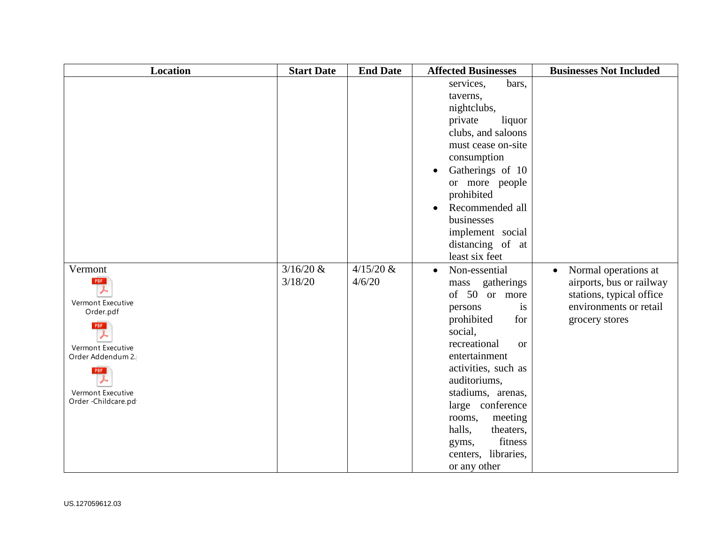| <b>Location</b>                                                                                                                                                            | <b>Start Date</b>      | <b>End Date</b>       | <b>Affected Businesses</b>                                                                                                                                                                                                                                                                                                                              | <b>Businesses Not Included</b>                                                                                                        |
|----------------------------------------------------------------------------------------------------------------------------------------------------------------------------|------------------------|-----------------------|---------------------------------------------------------------------------------------------------------------------------------------------------------------------------------------------------------------------------------------------------------------------------------------------------------------------------------------------------------|---------------------------------------------------------------------------------------------------------------------------------------|
|                                                                                                                                                                            |                        |                       | services,<br>bars,<br>taverns,<br>nightclubs,<br>private<br>liquor<br>clubs, and saloons<br>must cease on-site<br>consumption<br>Gatherings of 10<br>$\bullet$<br>or more people<br>prohibited<br>Recommended all<br>businesses<br>implement social<br>distancing of at<br>least six feet                                                               |                                                                                                                                       |
| Vermont<br><b>PDF</b><br>Vermont Executive<br>Order.pdf<br><b>PDF</b><br>Vermont Executive<br>Order Addendum 2.<br><b>PDF</b><br>Vermont Executive<br>Order - Childcare.pd | $3/16/20$ &<br>3/18/20 | $4/15/20$ &<br>4/6/20 | Non-essential<br>$\bullet$<br>gatherings<br>mass<br>of 50 or more<br>persons<br>is<br>prohibited<br>for<br>social,<br>recreational<br><b>or</b><br>entertainment<br>activities, such as<br>auditoriums,<br>stadiums, arenas,<br>large conference<br>meeting<br>rooms,<br>halls,<br>theaters,<br>fitness<br>gyms,<br>centers, libraries,<br>or any other | Normal operations at<br>$\bullet$<br>airports, bus or railway<br>stations, typical office<br>environments or retail<br>grocery stores |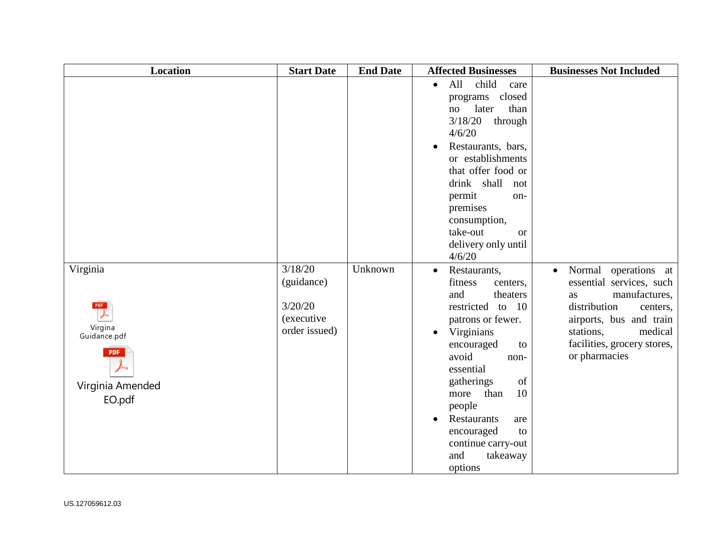| <b>Location</b>                                                                               | <b>Start Date</b>                                                       | <b>End Date</b> | <b>Affected Businesses</b>                                                                                                                                                                                                                                                                                                                                    | <b>Businesses Not Included</b>                                                                                                                                                                                      |
|-----------------------------------------------------------------------------------------------|-------------------------------------------------------------------------|-----------------|---------------------------------------------------------------------------------------------------------------------------------------------------------------------------------------------------------------------------------------------------------------------------------------------------------------------------------------------------------------|---------------------------------------------------------------------------------------------------------------------------------------------------------------------------------------------------------------------|
|                                                                                               |                                                                         |                 | All<br>child<br>$\bullet$<br>care<br>closed<br>programs<br>later<br>than<br>no<br>3/18/20<br>through<br>4/6/20<br>Restaurants, bars,<br>or establishments<br>that offer food or<br>drink shall<br>not<br>permit<br>on-<br>premises<br>consumption,<br>take-out<br><b>or</b><br>delivery only until<br>4/6/20                                                  |                                                                                                                                                                                                                     |
| Virginia<br><b>PDF</b><br>Virgina<br>Guidance.pdf<br><b>PDF</b><br>Virginia Amended<br>EO.pdf | 3/18/20<br>(guidance)<br>3/20/20<br><i>(executive)</i><br>order issued) | Unknown         | Restaurants,<br>$\bullet$<br>fitness<br>centers,<br>and<br>theaters<br>restricted<br>to $10$<br>patrons or fewer.<br>Virginians<br>$\bullet$<br>encouraged<br>to<br>avoid<br>non-<br>essential<br>of<br>gatherings<br>10<br>than<br>more<br>people<br>Restaurants<br>are<br>$\bullet$<br>encouraged<br>to<br>continue carry-out<br>and<br>takeaway<br>options | Normal operations at<br>$\bullet$<br>essential services, such<br>manufactures,<br>as<br>distribution<br>centers,<br>airports, bus and train<br>stations,<br>medical<br>facilities, grocery stores,<br>or pharmacies |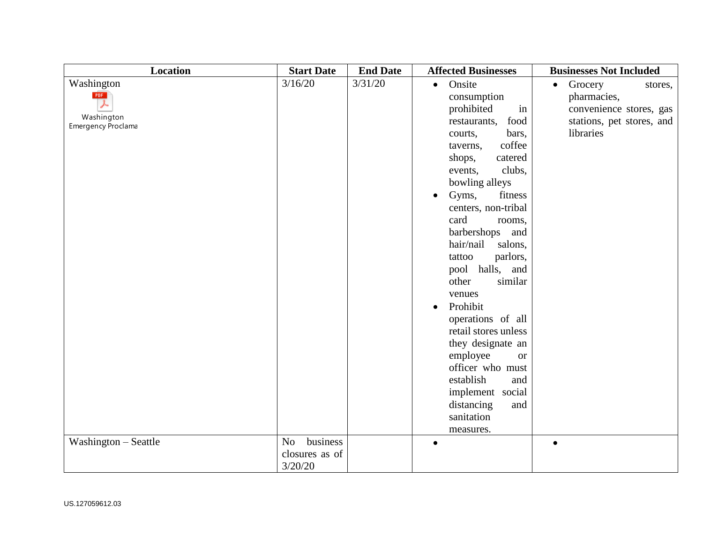| <b>Location</b>                         | <b>Start Date</b>          | <b>End Date</b> | <b>Affected Businesses</b>    | <b>Businesses Not Included</b>  |
|-----------------------------------------|----------------------------|-----------------|-------------------------------|---------------------------------|
| Washington                              | 3/16/20                    | 3/31/20         | Onsite<br>$\bullet$           | Grocery<br>$\bullet$<br>stores, |
| PDF                                     |                            |                 | consumption                   | pharmacies,                     |
|                                         |                            |                 | prohibited<br>in              | convenience stores, gas         |
| Washington<br><b>Emergency Proclama</b> |                            |                 | food<br>restaurants,          | stations, pet stores, and       |
|                                         |                            |                 | bars,<br>courts,              | libraries                       |
|                                         |                            |                 | coffee<br>taverns,            |                                 |
|                                         |                            |                 | shops,<br>catered             |                                 |
|                                         |                            |                 | clubs,<br>events,             |                                 |
|                                         |                            |                 | bowling alleys                |                                 |
|                                         |                            |                 | Gyms,<br>fitness<br>$\bullet$ |                                 |
|                                         |                            |                 | centers, non-tribal           |                                 |
|                                         |                            |                 | card<br>rooms,                |                                 |
|                                         |                            |                 | barbershops<br>and            |                                 |
|                                         |                            |                 | hair/nail<br>salons,          |                                 |
|                                         |                            |                 | parlors,<br>tattoo            |                                 |
|                                         |                            |                 | pool halls, and               |                                 |
|                                         |                            |                 | other<br>similar              |                                 |
|                                         |                            |                 | venues                        |                                 |
|                                         |                            |                 | Prohibit<br>$\bullet$         |                                 |
|                                         |                            |                 | operations of all             |                                 |
|                                         |                            |                 | retail stores unless          |                                 |
|                                         |                            |                 | they designate an             |                                 |
|                                         |                            |                 | employee<br><b>or</b>         |                                 |
|                                         |                            |                 | officer who must              |                                 |
|                                         |                            |                 | establish<br>and              |                                 |
|                                         |                            |                 | implement social              |                                 |
|                                         |                            |                 | distancing<br>and             |                                 |
|                                         |                            |                 | sanitation                    |                                 |
|                                         |                            |                 | measures.                     |                                 |
| Washington – Seattle                    | business<br>N <sub>o</sub> |                 | $\bullet$                     | $\bullet$                       |
|                                         | closures as of             |                 |                               |                                 |
|                                         | 3/20/20                    |                 |                               |                                 |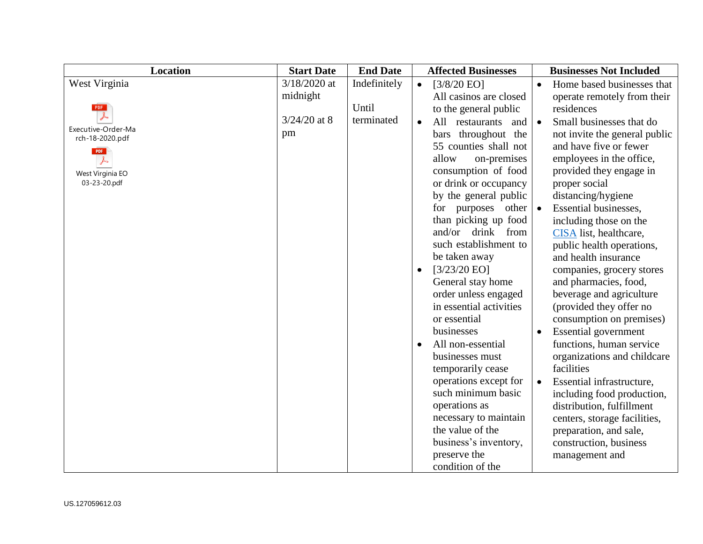| <b>Location</b>                       | <b>Start Date</b> | <b>End Date</b> | <b>Affected Businesses</b><br><b>Businesses Not Included</b>                 |
|---------------------------------------|-------------------|-----------------|------------------------------------------------------------------------------|
| West Virginia                         | $3/18/2020$ at    | Indefinitely    | Home based businesses that<br>[3/8/20 EO]<br>$\bullet$<br>$\bullet$          |
|                                       | midnight          |                 | All casinos are closed<br>operate remotely from their                        |
|                                       |                   | Until           | residences<br>to the general public                                          |
|                                       | $3/24/20$ at 8    | terminated      | Small businesses that do<br>All restaurants<br>and<br>$\bullet$<br>$\bullet$ |
| Executive-Order-Ma<br>rch-18-2020.pdf | pm                |                 | bars throughout the<br>not invite the general public                         |
| <b>PDF</b>                            |                   |                 | 55 counties shall not<br>and have five or fewer                              |
|                                       |                   |                 | allow<br>employees in the office,<br>on-premises                             |
| West Virginia EO                      |                   |                 | consumption of food<br>provided they engage in                               |
| 03-23-20.pdf                          |                   |                 | or drink or occupancy<br>proper social                                       |
|                                       |                   |                 | by the general public<br>distancing/hygiene                                  |
|                                       |                   |                 | purposes<br>Essential businesses,<br>for<br>other<br>$\bullet$               |
|                                       |                   |                 | than picking up food<br>including those on the                               |
|                                       |                   |                 | and/or drink from<br>CISA list, healthcare,                                  |
|                                       |                   |                 | such establishment to<br>public health operations,                           |
|                                       |                   |                 | be taken away<br>and health insurance                                        |
|                                       |                   |                 | $[3/23/20$ EO]<br>companies, grocery stores<br>$\bullet$                     |
|                                       |                   |                 | General stay home<br>and pharmacies, food,                                   |
|                                       |                   |                 | order unless engaged<br>beverage and agriculture                             |
|                                       |                   |                 | in essential activities<br>(provided they offer no                           |
|                                       |                   |                 | consumption on premises)<br>or essential                                     |
|                                       |                   |                 | businesses<br><b>Essential</b> government                                    |
|                                       |                   |                 | functions, human service<br>All non-essential<br>$\bullet$                   |
|                                       |                   |                 | businesses must<br>organizations and childcare                               |
|                                       |                   |                 | facilities<br>temporarily cease                                              |
|                                       |                   |                 | operations except for<br>Essential infrastructure,                           |
|                                       |                   |                 | such minimum basic<br>including food production,                             |
|                                       |                   |                 | operations as<br>distribution, fulfillment                                   |
|                                       |                   |                 | necessary to maintain<br>centers, storage facilities,<br>the value of the    |
|                                       |                   |                 | preparation, and sale,                                                       |
|                                       |                   |                 | business's inventory,<br>construction, business                              |
|                                       |                   |                 | preserve the<br>management and                                               |
|                                       |                   |                 | condition of the                                                             |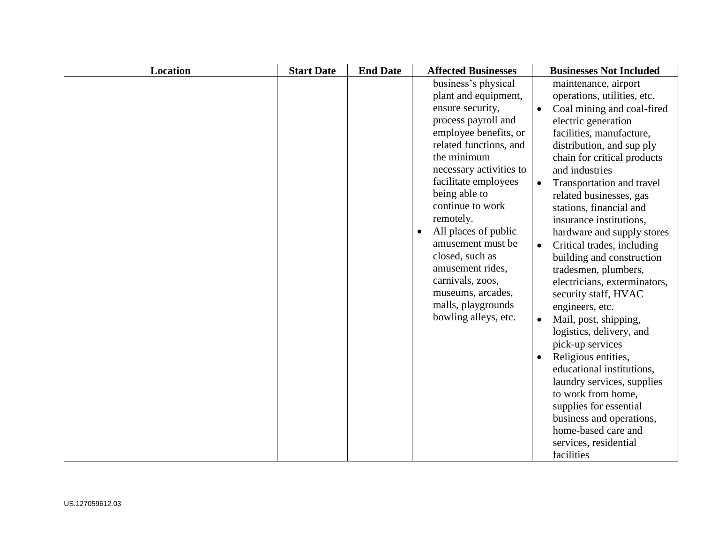| <b>Location</b> | <b>Start Date</b> | <b>End Date</b> | <b>Affected Businesses</b>                                                                                                                                                                                                                                                                                                                                                                                                                            | <b>Businesses Not Included</b>                                                                                                                                                                                                                                                                                                                                                                                                                                                                                                                                                                                                                                                                                                                                                                                                                                                        |
|-----------------|-------------------|-----------------|-------------------------------------------------------------------------------------------------------------------------------------------------------------------------------------------------------------------------------------------------------------------------------------------------------------------------------------------------------------------------------------------------------------------------------------------------------|---------------------------------------------------------------------------------------------------------------------------------------------------------------------------------------------------------------------------------------------------------------------------------------------------------------------------------------------------------------------------------------------------------------------------------------------------------------------------------------------------------------------------------------------------------------------------------------------------------------------------------------------------------------------------------------------------------------------------------------------------------------------------------------------------------------------------------------------------------------------------------------|
|                 |                   |                 | business's physical<br>plant and equipment,<br>ensure security,<br>process payroll and<br>employee benefits, or<br>related functions, and<br>the minimum<br>necessary activities to<br>facilitate employees<br>being able to<br>continue to work<br>remotely.<br>All places of public<br>$\bullet$<br>amusement must be<br>closed, such as<br>amusement rides,<br>carnivals, zoos,<br>museums, arcades,<br>malls, playgrounds<br>bowling alleys, etc. | maintenance, airport<br>operations, utilities, etc.<br>Coal mining and coal-fired<br>$\bullet$<br>electric generation<br>facilities, manufacture,<br>distribution, and sup ply<br>chain for critical products<br>and industries<br>Transportation and travel<br>$\bullet$<br>related businesses, gas<br>stations, financial and<br>insurance institutions,<br>hardware and supply stores<br>Critical trades, including<br>$\bullet$<br>building and construction<br>tradesmen, plumbers,<br>electricians, exterminators,<br>security staff, HVAC<br>engineers, etc.<br>Mail, post, shipping,<br>$\bullet$<br>logistics, delivery, and<br>pick-up services<br>Religious entities,<br>educational institutions,<br>laundry services, supplies<br>to work from home,<br>supplies for essential<br>business and operations,<br>home-based care and<br>services, residential<br>facilities |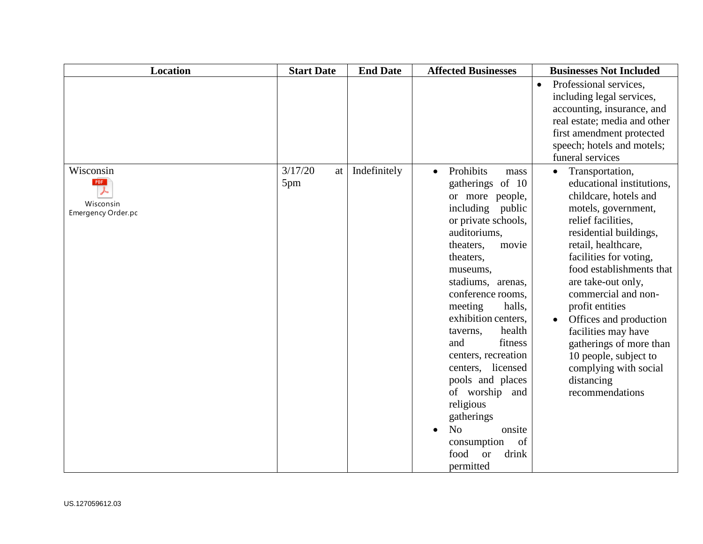| <b>Location</b>    | <b>Start Date</b> | <b>End Date</b> | <b>Affected Businesses</b>     | <b>Businesses Not Included</b>                     |
|--------------------|-------------------|-----------------|--------------------------------|----------------------------------------------------|
|                    |                   |                 |                                | Professional services,<br>$\bullet$                |
|                    |                   |                 |                                | including legal services,                          |
|                    |                   |                 |                                | accounting, insurance, and                         |
|                    |                   |                 |                                | real estate; media and other                       |
|                    |                   |                 |                                | first amendment protected                          |
|                    |                   |                 |                                | speech; hotels and motels;                         |
|                    |                   |                 |                                | funeral services                                   |
| Wisconsin          | 3/17/20<br>at     | Indefinitely    | Prohibits<br>$\bullet$<br>mass | Transportation,<br>$\bullet$                       |
| <b>PDF</b>         | 5pm               |                 | gatherings of 10               | educational institutions,                          |
| Wisconsin          |                   |                 | or more people,                | childcare, hotels and                              |
| Emergency Order.pc |                   |                 | including public               | motels, government,                                |
|                    |                   |                 | or private schools,            | relief facilities,                                 |
|                    |                   |                 | auditoriums.                   | residential buildings,                             |
|                    |                   |                 | theaters,<br>movie             | retail, healthcare,                                |
|                    |                   |                 | theaters,<br>museums,          | facilities for voting,<br>food establishments that |
|                    |                   |                 | stadiums, arenas,              | are take-out only,                                 |
|                    |                   |                 | conference rooms,              | commercial and non-                                |
|                    |                   |                 | halls,<br>meeting              | profit entities                                    |
|                    |                   |                 | exhibition centers,            | Offices and production                             |
|                    |                   |                 | health<br>taverns,             | facilities may have                                |
|                    |                   |                 | and<br>fitness                 | gatherings of more than                            |
|                    |                   |                 | centers, recreation            | 10 people, subject to                              |
|                    |                   |                 | centers, licensed              | complying with social                              |
|                    |                   |                 | pools and places               | distancing                                         |
|                    |                   |                 | of worship<br>and              | recommendations                                    |
|                    |                   |                 | religious                      |                                                    |
|                    |                   |                 | gatherings                     |                                                    |
|                    |                   |                 | N <sub>o</sub><br>onsite       |                                                    |
|                    |                   |                 | consumption<br>of              |                                                    |
|                    |                   |                 | food<br><b>or</b><br>drink     |                                                    |
|                    |                   |                 | permitted                      |                                                    |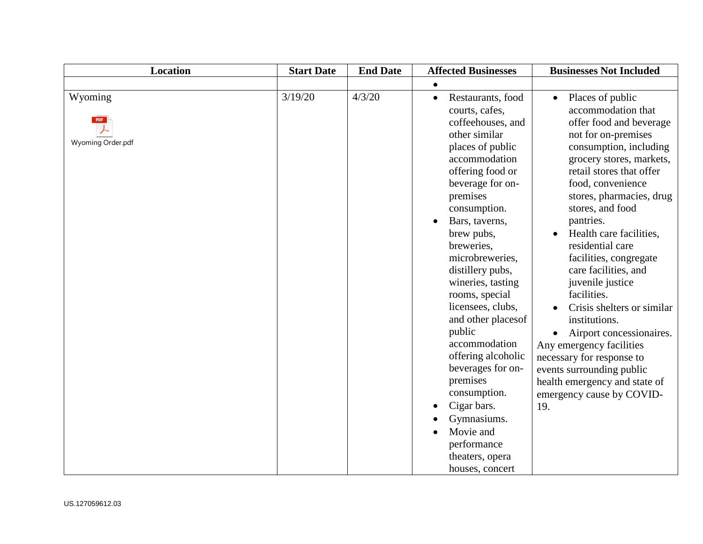| <b>Location</b>              | <b>Start Date</b> | <b>End Date</b> | <b>Affected Businesses</b>                                                                                                                                                                                                                                                                                                                                                                                                                                                                                                                                                | <b>Businesses Not Included</b>                                                                                                                                                                                                                                                                                                                                                                                                                                                                                                                                                                                                         |
|------------------------------|-------------------|-----------------|---------------------------------------------------------------------------------------------------------------------------------------------------------------------------------------------------------------------------------------------------------------------------------------------------------------------------------------------------------------------------------------------------------------------------------------------------------------------------------------------------------------------------------------------------------------------------|----------------------------------------------------------------------------------------------------------------------------------------------------------------------------------------------------------------------------------------------------------------------------------------------------------------------------------------------------------------------------------------------------------------------------------------------------------------------------------------------------------------------------------------------------------------------------------------------------------------------------------------|
|                              |                   |                 | $\bullet$                                                                                                                                                                                                                                                                                                                                                                                                                                                                                                                                                                 |                                                                                                                                                                                                                                                                                                                                                                                                                                                                                                                                                                                                                                        |
| Wyoming<br>Wyoming Order.pdf | 3/19/20           | 4/3/20          | Restaurants, food<br>$\bullet$<br>courts, cafes,<br>coffeehouses, and<br>other similar<br>places of public<br>accommodation<br>offering food or<br>beverage for on-<br>premises<br>consumption.<br>Bars, taverns,<br>brew pubs,<br>breweries,<br>microbreweries,<br>distillery pubs,<br>wineries, tasting<br>rooms, special<br>licensees, clubs,<br>and other places of<br>public<br>accommodation<br>offering alcoholic<br>beverages for on-<br>premises<br>consumption.<br>Cigar bars.<br>Gymnasiums.<br>Movie and<br>performance<br>theaters, opera<br>houses, concert | Places of public<br>accommodation that<br>offer food and beverage<br>not for on-premises<br>consumption, including<br>grocery stores, markets,<br>retail stores that offer<br>food, convenience<br>stores, pharmacies, drug<br>stores, and food<br>pantries.<br>Health care facilities,<br>residential care<br>facilities, congregate<br>care facilities, and<br>juvenile justice<br>facilities.<br>Crisis shelters or similar<br>institutions.<br>Airport concessionaires.<br>Any emergency facilities<br>necessary for response to<br>events surrounding public<br>health emergency and state of<br>emergency cause by COVID-<br>19. |